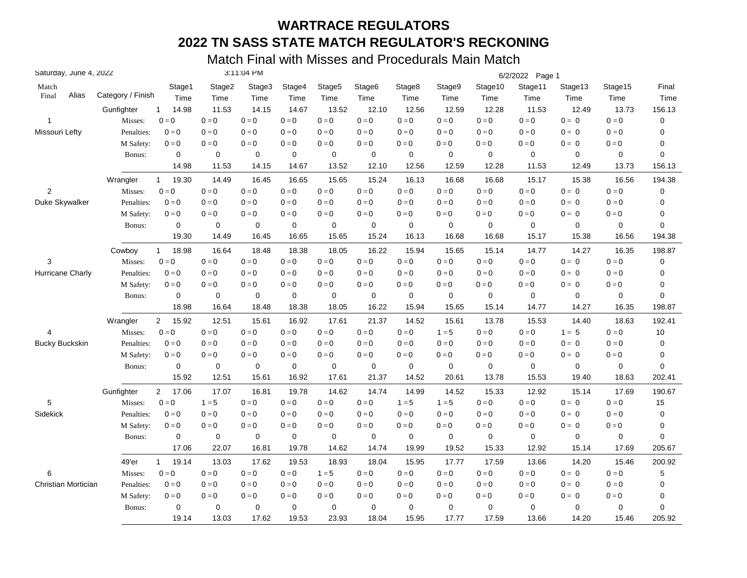| Saturday, June 4, 2022 |                   |                         |             | 3:11:04 PM  |             |                    |                         |             |                         |                         | 6/2/2022 Page 1         |                           |                         |             |
|------------------------|-------------------|-------------------------|-------------|-------------|-------------|--------------------|-------------------------|-------------|-------------------------|-------------------------|-------------------------|---------------------------|-------------------------|-------------|
| Match                  |                   | Stage1                  | Stage2      | Stage3      | Stage4      | Stage <sub>5</sub> | Stage6                  | Stage8      | Stage9                  | Stage10                 | Stage11                 | Stage13                   | Stage15                 | Final       |
| Alias<br>Final         | Category / Finish | Time                    | Time        | Time        | Time        | Time               | Time                    | Time        | Time                    | Time                    | Time                    | Time                      | Time                    | Time        |
|                        | Gunfighter        | 14.98<br>$\mathbf{1}$   | 11.53       | 14.15       | 14.67       | 13.52              | 12.10                   | 12.56       | 12.59                   | 12.28                   | 11.53                   | 12.49                     | 13.73                   | 156.13      |
| $\mathbf{1}$           | Misses:           | $0 = 0$                 | $0=0$       | $0 = 0$     | $0 = 0$     | $0 = 0$            | $0 = 0$                 | $0 = 0$     | $0 = 0$                 | $0 = 0$                 | $0 = 0$                 | $0 = 0$                   | $0 = 0$                 | $\mathbf 0$ |
| Missouri Lefty         | Penalties:        | $0 = 0$                 | $0 = 0$     | $0 = 0$     | $0 = 0$     | $0 = 0$            | $0 = 0$                 | $0 = 0$     | $0 = 0$                 | $0 = 0$                 | $0 = 0$                 | $0 = 0$                   | $0 = 0$                 | 0           |
|                        | M Safety:         | $0 = 0$                 | $0=0$       | $0 = 0$     | $0 = 0$     | $0 = 0$            | $\mathbf{0}=\mathbf{0}$ | $0 = 0$     | $0 = 0$                 | $0 = 0$                 | $\mathbf{0}=\mathbf{0}$ | $0 = 0$                   | $0 = 0$                 | 0           |
|                        | Bonus:            | 0                       | $\mathbf 0$ | $\mathbf 0$ | $\mathbf 0$ | $\mathbf 0$        | $\mathbf 0$             | $\mathbf 0$ | 0                       | $\mathbf 0$             | $\mathbf 0$             | $\mathbf 0$               | 0                       | $\mathbf 0$ |
|                        |                   | 14.98                   | 11.53       | 14.15       | 14.67       | 13.52              | 12.10                   | 12.56       | 12.59                   | 12.28                   | 11.53                   | 12.49                     | 13.73                   | 156.13      |
|                        | Wrangler          | 19.30<br>$\mathbf{1}$   | 14.49       | 16.45       | 16.65       | 15.65              | 15.24                   | 16.13       | 16.68                   | 16.68                   | 15.17                   | 15.38                     | 16.56                   | 194.38      |
| $\overline{2}$         | Misses:           | $0 = 0$                 | $0 = 0$     | $0 = 0$     | $0 = 0$     | $0=0$              | $0 = 0$                 | $0 = 0$     | $0 = 0$                 | $0=0$                   | $0 = 0$                 | $0 = 0$                   | $0 = 0$                 | 0           |
| Duke Skywalker         | Penalties:        | $0 = 0$                 | $0 = 0$     | $0 = 0$     | $0 = 0$     | $0 = 0$            | $0 = 0$                 | $0 = 0$     | $0 = 0$                 | $0 = 0$                 | $0 = 0$                 | $0 = 0$                   | $0 = 0$                 | 0           |
|                        | M Safety:         | $0 = 0$                 | $0 = 0$     | $0 = 0$     | $0 = 0$     | $0=0$              | $0 = 0$                 | $0 = 0$     | $0 = 0$                 | $0 = 0$                 | $0 = 0$                 | $0 = 0$                   | $0=0$                   | 0           |
|                        | Bonus:            | $\mathbf 0$             | $\mathbf 0$ | $\pmb{0}$   | $\pmb{0}$   | 0                  | $\mathbf 0$             | $\mathbf 0$ | 0                       | $\mathbf 0$             | $\mathbf 0$             | $\mathbf 0$               | $\mathbf 0$             | 0           |
|                        |                   | 19.30                   | 14.49       | 16.45       | 16.65       | 15.65              | 15.24                   | 16.13       | 16.68                   | 16.68                   | 15.17                   | 15.38                     | 16.56                   | 194.38      |
|                        | Cowboy            | $\mathbf{1}$<br>18.98   | 16.64       | 18.48       | 18.38       | 18.05              | 16.22                   | 15.94       | 15.65                   | 15.14                   | 14.77                   | 14.27                     | 16.35                   | 198.87      |
| 3                      | Misses:           | $0 = 0$                 | $0 = 0$     | $0 = 0$     | $0 = 0$     | $0 = 0$            | $0 = 0$                 | $0 = 0$     | $0 = 0$                 | $0 = 0$                 | $0 = 0$                 | $0 = 0$                   | $0 = 0$                 | 0           |
| Hurricane Charly       | Penalties:        | $0 = 0$                 | $0 = 0$     | $0 = 0$     | $0 = 0$     | $0=0$              | $0 = 0$                 | $0 = 0$     | $0=0$                   | $0 = 0$                 | $0 = 0$                 | $0 = 0$                   | $0 = 0$                 | $\mathbf 0$ |
|                        | M Safety:         | $0 = 0$                 | $0 = 0$     | $0 = 0$     | $0 = 0$     | $0 = 0$            | $0 = 0$                 | $0 = 0$     | $0 = 0$                 | $0 = 0$                 | $0 = 0$                 | $0 = 0$                   | $0 = 0$                 | 0           |
|                        | Bonus:            | 0                       | 0           | 0           | $\mathbf 0$ | 0                  | 0                       | $\mathbf 0$ | 0                       | $\mathbf 0$             | $\mathbf 0$             | $\mathbf 0$               | $\mathbf 0$             | 0           |
|                        |                   | 18.98                   | 16.64       | 18.48       | 18.38       | 18.05              | 16.22                   | 15.94       | 15.65                   | 15.14                   | 14.77                   | 14.27                     | 16.35                   | 198.87      |
|                        | Wrangler          | 15.92<br>$2^{\circ}$    | 12.51       | 15.61       | 16.92       | 17.61              | 21.37                   | 14.52       | 15.61                   | 13.78                   | 15.53                   | 14.40                     | 18.63                   | 192.41      |
| 4                      | Misses:           | $0 = 0$                 | $0 = 0$     | $0 = 0$     | $0 = 0$     | $0=0$              | $0 = 0$                 | $0 = 0$     | $1 = 5$                 | $0 = 0$                 | $0 = 0$                 | $1 = 5$                   | $0 = 0$                 | 10          |
| <b>Bucky Buckskin</b>  | Penalties:        | $0 = 0$                 | $0 = 0$     | $0 = 0$     | $0 = 0$     | $0=0$              | $0 = 0$                 | $0=0$       | $0=0$                   | $0 = 0$                 | $0 = 0$                 | $0 = 0$                   | $0 = 0$                 | $\mathbf 0$ |
|                        | M Safety:         | $0 = 0$                 | $0 = 0$     | $0 = 0$     | $0 = 0$     | $0=0$              | $0 = 0$                 | $0=0$       | $\mathbf{0}=\mathbf{0}$ | $0 = 0$                 | $0 = 0$                 | $0 = 0$                   | $\mathbf{0}=\mathbf{0}$ | 0           |
|                        | Bonus:            | $\mathbf 0$             | $\mathbf 0$ | $\mathbf 0$ | $\mathbf 0$ | $\mathbf 0$        | 0                       | $\mathbf 0$ | $\mathbf 0$             | $\mathbf 0$             | $\mathbf 0$             | $\mathbf 0$               | $\mathbf 0$             | 0           |
|                        |                   | 15.92                   | 12.51       | 15.61       | 16.92       | 17.61              | 21.37                   | 14.52       | 20.61                   | 13.78                   | 15.53                   | 19.40                     | 18.63                   | 202.41      |
|                        | Gunfighter        | $\overline{2}$<br>17.06 | 17.07       | 16.81       | 19.78       | 14.62              | 14.74                   | 14.99       | 14.52                   | 15.33                   | 12.92                   | 15.14                     | 17.69                   | 190.67      |
| 5                      | Misses:           | $0 = 0$                 | $1 = 5$     | $0 = 0$     | $0 = 0$     | $0 = 0$            | $0=0$                   | $1 = 5$     | $1 = 5$                 | $\mathbf{0}=\mathbf{0}$ | $\mathbf{0}=\mathbf{0}$ | $\mathbf{0} = \mathbf{0}$ | $0 = 0$                 | 15          |
| Sidekick               | Penalties:        | $0 = 0$                 | $0=0$       | $0 = 0$     | $0 = 0$     | $0 = 0$            | $0=0$                   | $0 = 0$     | $0 = 0$                 | $0 = 0$                 | $0=0$                   | $0 = 0$                   | $0 = 0$                 | $\mathbf 0$ |
|                        | M Safety:         | $0 = 0$                 | $0 = 0$     | $0 = 0$     | $0 = 0$     | $0 = 0$            | $0=0$                   | $0 = 0$     | $0 = 0$                 | $0 = 0$                 | $0 = 0$                 | $0 = 0$                   | $0=0$                   | 0           |
|                        | Bonus:            | $\mathbf 0$             | 0           | 0           | 0           | 0                  | 0                       | $\mathbf 0$ | 0                       | $\mathbf 0$             | $\mathbf 0$             | $\mathbf 0$               | 0                       | 0           |
|                        |                   | 17.06                   | 22.07       | 16.81       | 19.78       | 14.62              | 14.74                   | 19.99       | 19.52                   | 15.33                   | 12.92                   | 15.14                     | 17.69                   | 205.67      |
|                        | 49'er             | 19.14<br>$\mathbf{1}$   | 13.03       | 17.62       | 19.53       | 18.93              | 18.04                   | 15.95       | 17.77                   | 17.59                   | 13.66                   | 14.20                     | 15.46                   | 200.92      |
| 6                      | Misses:           | $0 = 0$                 | $0=0$       | $0 = 0$     | $0 = 0$     | $1 = 5$            | $0 = 0$                 | $0 = 0$     | $0=0$                   | $0=0$                   | $0 = 0$                 | $0 = 0$                   | $0 = 0$                 | 5           |
| Christian Mortician    | Penalties:        | $0 = 0$                 | $0 = 0$     | $0 = 0$     | $0 = 0$     | $0=0$              | $0 = 0$                 | $0 = 0$     | $0 = 0$                 | $0 = 0$                 | $0 = 0$                 | $0 = 0$                   | $0 = 0$                 | 0           |
|                        | M Safety:         | $0 = 0$                 | $0 = 0$     | $0 = 0$     | $0 = 0$     | $0 = 0$            | $0 = 0$                 | $0 = 0$     | $0 = 0$                 | $0 = 0$                 | $0 = 0$                 | $0 = 0$                   | $0 = 0$                 | 0           |
|                        | Bonus:            | 0                       | $\mathbf 0$ | 0           | $\mathbf 0$ | $\mathbf 0$        | 0                       | $\mathbf 0$ | 0                       | $\mathbf 0$             | $\mathbf 0$             | 0                         | $\mathbf 0$             | 0           |
|                        |                   | 19.14                   | 13.03       | 17.62       | 19.53       | 23.93              | 18.04                   | 15.95       | 17.77                   | 17.59                   | 13.66                   | 14.20                     | 15.46                   | 205.92      |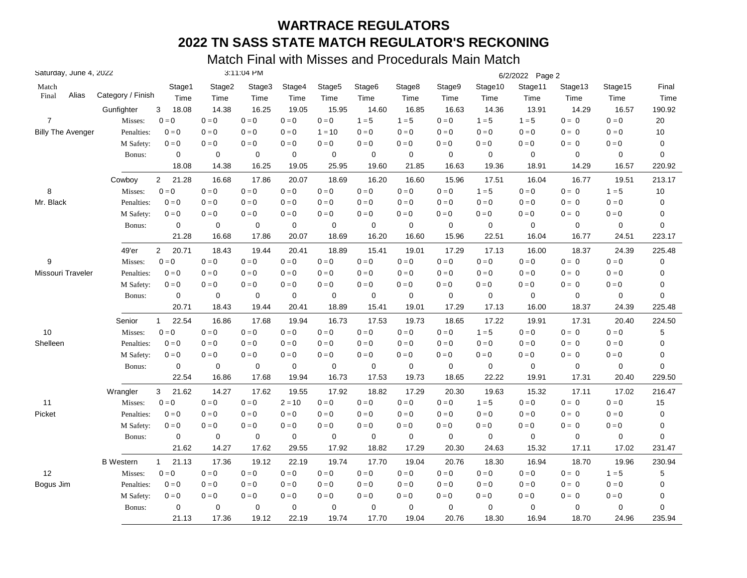| Saturday, June 4, 2022   |                   |                         |             | 3:11:04 PM  |                           |                         |                         |             |                         |                         | 6/2/2022 Page 2         |                           |                         |             |
|--------------------------|-------------------|-------------------------|-------------|-------------|---------------------------|-------------------------|-------------------------|-------------|-------------------------|-------------------------|-------------------------|---------------------------|-------------------------|-------------|
| Match                    |                   | Stage1                  | Stage2      | Stage3      | Stage4                    | Stage5                  | Stage6                  | Stage8      | Stage9                  | Stage10                 | Stage11                 | Stage13                   | Stage15                 | Final       |
| Alias<br>Final           | Category / Finish | Time                    | Time        | Time        | Time                      | Time                    | Time                    | Time        | Time                    | Time                    | Time                    | Time                      | Time                    | Time        |
|                          | Gunfighter        | 3<br>18.08              | 14.38       | 16.25       | 19.05                     | 15.95                   | 14.60                   | 16.85       | 16.63                   | 14.36                   | 13.91                   | 14.29                     | 16.57                   | 190.92      |
| $\overline{7}$           | Misses:           | $0 = 0$                 | $0=0$       | $0 = 0$     | $0 = 0$                   | $0 = 0$                 | $1 = 5$                 | $1 = 5$     | $0 = 0$                 | $1 = 5$                 | $1 = 5$                 | $0 = 0$                   | $0 = 0$                 | 20          |
| <b>Billy The Avenger</b> | Penalties:        | $0 = 0$                 | $0 = 0$     | $0 = 0$     | $0 = 0$                   | $1 = 10$                | $0 = 0$                 | $0=0$       | $0 = 0$                 | $0 = 0$                 | $0 = 0$                 | $0 = 0$                   | $0 = 0$                 | $10$        |
|                          | M Safety:         | $0 = 0$                 | $0 = 0$     | $0 = 0$     | $0 = 0$                   | $\mathbf{0}=\mathbf{0}$ | $\mathbf{0}=\mathbf{0}$ | $0 = 0$     | $0 = 0$                 | $\mathbf{0}=\mathbf{0}$ | $\mathbf{0}=\mathbf{0}$ | $0 = 0$                   | $\mathbf{0}=\mathbf{0}$ | $\pmb{0}$   |
|                          | Bonus:            | $\mathbf 0$             | 0           | $\mathbf 0$ | $\pmb{0}$                 | $\mathbf 0$             | $\mathbf 0$             | $\pmb{0}$   | $\mathbf 0$             | $\mathbf 0$             | $\mathbf 0$             | $\mathbf 0$               | 0                       | 0           |
|                          |                   | 18.08                   | 14.38       | 16.25       | 19.05                     | 25.95                   | 19.60                   | 21.85       | 16.63                   | 19.36                   | 18.91                   | 14.29                     | 16.57                   | 220.92      |
|                          | Cowboy            | $\overline{2}$<br>21.28 | 16.68       | 17.86       | 20.07                     | 18.69                   | 16.20                   | 16.60       | 15.96                   | 17.51                   | 16.04                   | 16.77                     | 19.51                   | 213.17      |
| 8                        | Misses:           | $0=0$                   | $0=0$       | $0 = 0$     | $0 = 0$                   | $0 = 0$                 | $0=0$                   | $0=0$       | $0 = 0$                 | $1 = 5$                 | $0 = 0$                 | $0 = 0$                   | $1 = 5$                 | $10$        |
| Mr. Black                | Penalties:        | $0 = 0$                 | $0 = 0$     | $0 = 0$     | $0 = 0$                   | $0 = 0$                 | $0 = 0$                 | $0 = 0$     | $0 = 0$                 | $0 = 0$                 | $0 = 0$                 | $0 = 0$                   | $0 = 0$                 | $\pmb{0}$   |
|                          | M Safety:         | $0 = 0$                 | $0=0$       | $0 = 0$     | $0 = 0$                   | $0 = 0$                 | $0 = 0$                 | $0 = 0$     | $0 = 0$                 | $0 = 0$                 | $0 = 0$                 | $0 = 0$                   | $0 = 0$                 | 0           |
|                          | Bonus:            | $\mathbf 0$             | $\mathbf 0$ | $\mathbf 0$ | $\pmb{0}$                 | $\mathbf 0$             | $\mathbf 0$             | $\pmb{0}$   | 0                       | 0                       | $\pmb{0}$               | $\pmb{0}$                 | 0                       | 0           |
|                          |                   | 21.28                   | 16.68       | 17.86       | 20.07                     | 18.69                   | 16.20                   | 16.60       | 15.96                   | 22.51                   | 16.04                   | 16.77                     | 24.51                   | 223.17      |
|                          | 49'er             | $\overline{2}$<br>20.71 | 18.43       | 19.44       | 20.41                     | 18.89                   | 15.41                   | 19.01       | 17.29                   | 17.13                   | 16.00                   | 18.37                     | 24.39                   | 225.48      |
| 9                        | Misses:           | $0 = 0$                 | $0 = 0$     | $0 = 0$     | $0 = 0$                   | $0 = 0$                 | $0=0$                   | $0 = 0$     | $0 = 0$                 | $0=0$                   | $0 = 0$                 | $0 = 0$                   | $0 = 0$                 | $\pmb{0}$   |
| Missouri Traveler        | Penalties:        | $0 = 0$                 | $0=0$       | $0 = 0$     | $0 = 0$                   | $0 = 0$                 | $0 = 0$                 | $0 = 0$     | $0=0$                   | $0 = 0$                 | $0 = 0$                 | $0 = 0$                   | $0 = 0$                 | 0           |
|                          | M Safety:         | $0 = 0$                 | $0 = 0$     | $0 = 0$     | $0 = 0$                   | $0 = 0$                 | $0 = 0$                 | $0 = 0$     | $0 = 0$                 | $0 = 0$                 | $0 = 0$                 | $0 = 0$                   | $0 = 0$                 | 0           |
|                          | Bonus:            | 0                       | $\mathbf 0$ | $\mathbf 0$ | $\mathbf 0$               | $\mathbf 0$             | 0                       | $\mathbf 0$ | 0                       | $\mathbf 0$             | $\mathbf 0$             | 0                         | 0                       | 0           |
|                          |                   | 20.71                   | 18.43       | 19.44       | 20.41                     | 18.89                   | 15.41                   | 19.01       | 17.29                   | 17.13                   | 16.00                   | 18.37                     | 24.39                   | 225.48      |
|                          | Senior            | 22.54<br>$\mathbf 1$    | 16.86       | 17.68       | 19.94                     | 16.73                   | 17.53                   | 19.73       | 18.65                   | 17.22                   | 19.91                   | 17.31                     | 20.40                   | 224.50      |
| 10                       | Misses:           | $0 = 0$                 | $0=0$       | $0 = 0$     | $0 = 0$                   | $0 = 0$                 | $0 = 0$                 | $0 = 0$     | $0 = 0$                 | $1 = 5$                 | $0 = 0$                 | $0 = 0$                   | $0 = 0$                 | 5           |
| Shelleen                 | Penalties:        | $0 = 0$                 | $0=0$       | $0 = 0$     | $0 = 0$                   | $\mathbf{0}=\mathbf{0}$ | $0=0$                   | $0 = 0$     | $0=0$                   | $0 = 0$                 | $0=0$                   | $0 = 0$                   | $0 = 0$                 | 0           |
|                          | M Safety:         | $0 = 0$                 | $0=0$       | $0 = 0$     | $\mathbf{0} = \mathbf{0}$ | $0 = 0$                 | $0=0$                   | $0=0$       | $0 = 0$                 | $0 = 0$                 | $0 = 0$                 | $0 = 0$                   | $\mathbf{0}=\mathbf{0}$ | 0           |
|                          | Bonus:            | $\mathbf 0$             | $\mathbf 0$ | $\mathbf 0$ | $\mathbf 0$               | $\mathbf 0$             | 0                       | $\mathbf 0$ | $\mathbf 0$             | $\mathbf 0$             | $\mathbf 0$             | $\mathbf 0$               | 0                       | 0           |
|                          |                   | 22.54                   | 16.86       | 17.68       | 19.94                     | 16.73                   | 17.53                   | 19.73       | 18.65                   | 22.22                   | 19.91                   | 17.31                     | 20.40                   | 229.50      |
|                          | Wrangler          | 21.62<br>3              | 14.27       | 17.62       | 19.55                     | 17.92                   | 18.82                   | 17.29       | 20.30                   | 19.63                   | 15.32                   | 17.11                     | 17.02                   | 216.47      |
| 11                       | Misses:           | $0 = 0$                 | $0=0$       | $0 = 0$     | $2 = 10$                  | $0 = 0$                 | $0=0$                   | $0 = 0$     | $\mathbf{0}=\mathbf{0}$ | $1 = 5$                 | $0=0$                   | $\mathbf{0} = \mathbf{0}$ | $0 = 0$                 | 15          |
| Picket                   | Penalties:        | $0 = 0$                 | $0 = 0$     | $0 = 0$     | $0 = 0$                   | $0 = 0$                 | $0 = 0$                 | $0 = 0$     | $0 = 0$                 | $0 = 0$                 | $0 = 0$                 | $0 = 0$                   | $0 = 0$                 | $\pmb{0}$   |
|                          | M Safety:         | $0=0$                   | $0 = 0$     | $0 = 0$     | $0 = 0$                   | $0 = 0$                 | $0 = 0$                 | $0 = 0$     | $0 = 0$                 | $0 = 0$                 | $0 = 0$                 | $0 = 0$                   | $0=0$                   | 0           |
|                          | Bonus:            | $\mathbf 0$             | $\mathbf 0$ | 0           | $\mathbf 0$               | 0                       | $\mathbf 0$             | $\mathbf 0$ | 0                       | $\mathbf 0$             | $\mathbf 0$             | $\mathbf 0$               | 0                       | $\mathbf 0$ |
|                          |                   | 21.62                   | 14.27       | 17.62       | 29.55                     | 17.92                   | 18.82                   | 17.29       | 20.30                   | 24.63                   | 15.32                   | 17.11                     | 17.02                   | 231.47      |
|                          | <b>B</b> Western  | 21.13<br>$\mathbf{1}$   | 17.36       | 19.12       | 22.19                     | 19.74                   | 17.70                   | 19.04       | 20.76                   | 18.30                   | 16.94                   | 18.70                     | 19.96                   | 230.94      |
| 12                       | Misses:           | $0=0$                   | $0=0$       | $0 = 0$     | $0 = 0$                   | $0 = 0$                 | $0=0$                   | $0 = 0$     | $0=0$                   | $0 = 0$                 | $0 = 0$                 | $0 = 0$                   | $1 = 5$                 | 5           |
| Bogus Jim                | Penalties:        | $0 = 0$                 | $0 = 0$     | $0 = 0$     | $0 = 0$                   | $0 = 0$                 | $0 = 0$                 | $0 = 0$     | $0 = 0$                 | $0 = 0$                 | $0 = 0$                 | $0 = 0$                   | $0 = 0$                 | 0           |
|                          | M Safety:         | $0 = 0$                 | $0 = 0$     | $0 = 0$     | $0 = 0$                   | $0 = 0$                 | $0 = 0$                 | $0 = 0$     | $0 = 0$                 | $0 = 0$                 | $0 = 0$                 | $0 = 0$                   | $0 = 0$                 | 0           |
|                          | Bonus:            | $\mathbf 0$             | $\mathbf 0$ | 0           | $\mathbf 0$               | 0                       | 0                       | $\mathbf 0$ | 0                       | 0                       | $\mathbf 0$             | 0                         | $\mathbf 0$             | 0           |
|                          |                   | 21.13                   | 17.36       | 19.12       | 22.19                     | 19.74                   | 17.70                   | 19.04       | 20.76                   | 18.30                   | 16.94                   | 18.70                     | 24.96                   | 235.94      |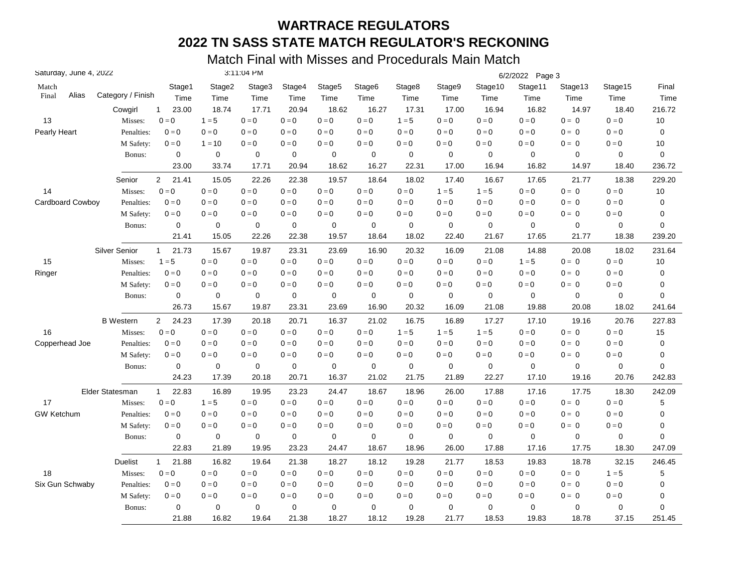| Saturday, June 4, 2022 |                      |                         |             | 3:11:04 PM  |             |                    |                         |             |             |                         | 6/2/2022 Page 3         |             |                         |             |
|------------------------|----------------------|-------------------------|-------------|-------------|-------------|--------------------|-------------------------|-------------|-------------|-------------------------|-------------------------|-------------|-------------------------|-------------|
| Match                  |                      | Stage1                  | Stage2      | Stage3      | Stage4      | Stage <sub>5</sub> | Stage6                  | Stage8      | Stage9      | Stage10                 | Stage11                 | Stage13     | Stage15                 | Final       |
| Alias<br>Final         | Category / Finish    | Time                    | Time        | Time        | Time        | Time               | Time                    | Time        | Time        | Time                    | Time                    | Time        | Time                    | Time        |
|                        | Cowgirl              | 23.00<br>1              | 18.74       | 17.71       | 20.94       | 18.62              | 16.27                   | 17.31       | 17.00       | 16.94                   | 16.82                   | 14.97       | 18.40                   | 216.72      |
| 13                     | Misses:              | $0 = 0$                 | $1 = 5$     | $0 = 0$     | $0 = 0$     | $0 = 0$            | $0 = 0$                 | $1 = 5$     | $0 = 0$     | $0 = 0$                 | $0 = 0$                 | $0 = 0$     | $0 = 0$                 | 10          |
| Pearly Heart           | Penalties:           | $0 = 0$                 | $0=0$       | $0 = 0$     | $0 = 0$     | $0 = 0$            | $0 = 0$                 | $0 = 0$     | $0 = 0$     | $0 = 0$                 | $0 = 0$                 | $0 = 0$     | $0 = 0$                 | $\mathbf 0$ |
|                        | M Safety:            | $0 = 0$                 | $1 = 10$    | $0 = 0$     | $0 = 0$     | $0 = 0$            | $0 = 0$                 | $0 = 0$     | $0 = 0$     | $0 = 0$                 | $0 = 0$                 | $0 = 0$     | $\mathbf{0}=\mathbf{0}$ | 10          |
|                        | Bonus:               | $\mathbf 0$             | $\mathbf 0$ | $\mathbf 0$ | $\mathbf 0$ | $\mathbf 0$        | $\mathbf 0$             | $\mathbf 0$ | $\mathbf 0$ | $\mathbf 0$             | $\mathbf 0$             | $\mathbf 0$ | $\mathbf 0$             | $\mathbf 0$ |
|                        |                      | 23.00                   | 33.74       | 17.71       | 20.94       | 18.62              | 16.27                   | 22.31       | 17.00       | 16.94                   | 16.82                   | 14.97       | 18.40                   | 236.72      |
|                        | Senior               | $\overline{2}$<br>21.41 | 15.05       | 22.26       | 22.38       | 19.57              | 18.64                   | 18.02       | 17.40       | 16.67                   | 17.65                   | 21.77       | 18.38                   | 229.20      |
| 14                     | Misses:              | $0 = 0$                 | $0=0$       | $0 = 0$     | $0 = 0$     | $0=0$              | $\mathbf{0}=\mathbf{0}$ | $0 = 0$     | $1 = 5$     | $1 = 5$                 | $0 = 0$                 | $0 = 0$     | $0 = 0$                 | $10$        |
| Cardboard Cowboy       | Penalties:           | $0 = 0$                 | $0 = 0$     | $0 = 0$     | $0 = 0$     | $0 = 0$            | $0 = 0$                 | $0 = 0$     | $0 = 0$     | $0 = 0$                 | $0 = 0$                 | $0 = 0$     | $0 = 0$                 | 0           |
|                        | M Safety:            | $0 = 0$                 | $0 = 0$     | $0 = 0$     | $0 = 0$     | $0 = 0$            | $0 = 0$                 | $0 = 0$     | $0 = 0$     | $0 = 0$                 | $0 = 0$                 | $0 = 0$     | $0 = 0$                 | 0           |
|                        | Bonus:               | 0                       | 0           | $\mathbf 0$ | $\mathbf 0$ | 0                  | $\mathbf 0$             | $\mathbf 0$ | $\mathbf 0$ | 0                       | $\mathbf 0$             | 0           | $\mathbf 0$             | 0           |
|                        |                      | 21.41                   | 15.05       | 22.26       | 22.38       | 19.57              | 18.64                   | 18.02       | 22.40       | 21.67                   | 17.65                   | 21.77       | 18.38                   | 239.20      |
|                        | <b>Silver Senior</b> | 21.73<br>$\mathbf{1}$   | 15.67       | 19.87       | 23.31       | 23.69              | 16.90                   | 20.32       | 16.09       | 21.08                   | 14.88                   | 20.08       | 18.02                   | 231.64      |
| 15                     | Misses:              | $1 = 5$                 | $0=0$       | $0 = 0$     | $0 = 0$     | $0 = 0$            | $0 = 0$                 | $0 = 0$     | $0 = 0$     | $0 = 0$                 | $1 = 5$                 | $0 = 0$     | $0 = 0$                 | 10          |
| Ringer                 | Penalties:           | $0 = 0$                 | $0=0$       | $0 = 0$     | $0 = 0$     | $0 = 0$            | $0 = 0$                 | $0 = 0$     | $0 = 0$     | $0 = 0$                 | $0 = 0$                 | $0 = 0$     | $0 = 0$                 | 0           |
|                        | M Safety:            | $0 = 0$                 | $0 = 0$     | $0 = 0$     | $0 = 0$     | $0 = 0$            | $0 = 0$                 | $0 = 0$     | $0 = 0$     | $0 = 0$                 | $0 = 0$                 | $0 = 0$     | $0 = 0$                 | 0           |
|                        | Bonus:               | 0                       | 0           | 0           | $\mathbf 0$ | 0                  | $\mathbf 0$             | $\mathbf 0$ | $\mathbf 0$ | $\mathbf 0$             | $\mathbf 0$             | 0           | $\mathbf 0$             | 0           |
|                        |                      | 26.73                   | 15.67       | 19.87       | 23.31       | 23.69              | 16.90                   | 20.32       | 16.09       | 21.08                   | 19.88                   | 20.08       | 18.02                   | 241.64      |
|                        | <b>B</b> Western     | 24.23<br>$\overline{2}$ | 17.39       | 20.18       | 20.71       | 16.37              | 21.02                   | 16.75       | 16.89       | 17.27                   | 17.10                   | 19.16       | 20.76                   | 227.83      |
| 16                     | Misses:              | $0 = 0$                 | $0 = 0$     | $0 = 0$     | $0 = 0$     | $0 = 0$            | $0 = 0$                 | $1 = 5$     | $1 = 5$     | $1 = 5$                 | $0 = 0$                 | $0 = 0$     | $0 = 0$                 | 15          |
| Copperhead Joe         | Penalties:           | $0 = 0$                 | $0 = 0$     | $0 = 0$     | $0 = 0$     | $0 = 0$            | $0 = 0$                 | $0 = 0$     | $0 = 0$     | $0 = 0$                 | $0 = 0$                 | $0 = 0$     | $0 = 0$                 | 0           |
|                        | M Safety:            | $0 = 0$                 | $0 = 0$     | $0 = 0$     | $0 = 0$     | $0 = 0$            | $0 = 0$                 | $0 = 0$     | $0 = 0$     | $0 = 0$                 | $0 = 0$                 | $0 = 0$     | $0 = 0$                 | 0           |
|                        | Bonus:               | 0                       | $\pmb{0}$   | $\mathbf 0$ | $\pmb{0}$   | $\pmb{0}$          | $\mathbf 0$             | $\mathbf 0$ | $\pmb{0}$   | $\mathbf 0$             | $\mathbf 0$             | $\mathbf 0$ | $\mathbf 0$             | $\mathbf 0$ |
|                        |                      | 24.23                   | 17.39       | 20.18       | 20.71       | 16.37              | 21.02                   | 21.75       | 21.89       | 22.27                   | 17.10                   | 19.16       | 20.76                   | 242.83      |
|                        | Elder Statesman      | 22.83<br>$\mathbf{1}$   | 16.89       | 19.95       | 23.23       | 24.47              | 18.67                   | 18.96       | 26.00       | 17.88                   | 17.16                   | 17.75       | 18.30                   | 242.09      |
| 17                     | Misses:              | $0 = 0$                 | $1 = 5$     | $0 = 0$     | $0 = 0$     | $0 = 0$            | $0 = 0$                 | $0 = 0$     | $0 = 0$     | $0 = 0$                 | $0 = 0$                 | $0 = 0$     | $0 = 0$                 | 5           |
| <b>GW Ketchum</b>      | Penalties:           | $0 = 0$                 | $0 = 0$     | $0 = 0$     | $0 = 0$     | $0 = 0$            | $0 = 0$                 | $0 = 0$     | $0 = 0$     | $0=0$                   | $0 = 0$                 | $0 = 0$     | $0 = 0$                 | 0           |
|                        | M Safety:            | $0 = 0$                 | $0 = 0$     | $0 = 0$     | $0 = 0$     | $0 = 0$            | $0 = 0$                 | $0 = 0$     | $0 = 0$     | $0 = 0$                 | $0 = 0$                 | $0 = 0$     | $0 = 0$                 | 0           |
|                        | Bonus:               | 0                       | 0           | $\mathbf 0$ | $\mathbf 0$ | 0                  | 0                       | $\mathbf 0$ | $\mathbf 0$ | 0                       | $\mathbf 0$             | $\mathbf 0$ | 0                       | 0           |
|                        |                      | 22.83                   | 21.89       | 19.95       | 23.23       | 24.47              | 18.67                   | 18.96       | 26.00       | 17.88                   | 17.16                   | 17.75       | 18.30                   | 247.09      |
|                        | <b>Duelist</b>       | 21.88<br>$\mathbf{1}$   | 16.82       | 19.64       | 21.38       | 18.27              | 18.12                   | 19.28       | 21.77       | 18.53                   | 19.83                   | 18.78       | 32.15                   | 246.45      |
| 18                     | Misses:              | $0 = 0$                 | $0=0$       | $0 = 0$     | $0 = 0$     | $0 = 0$            | $0 = 0$                 | $0 = 0$     | $0 = 0$     | $0 = 0$                 | $\mathbf{0}=\mathbf{0}$ | $0 = 0$     | $1 = 5$                 | $\mathbf 5$ |
| Six Gun Schwaby        | Penalties:           | $0 = 0$                 | $0 = 0$     | $0 = 0$     | $0 = 0$     | $0 = 0$            | $0 = 0$                 | $0 = 0$     | $0 = 0$     | $0 = 0$                 | $0 = 0$                 | $0 = 0$     | $0 = 0$                 | 0           |
|                        | M Safety:            | $0=0$                   | $0 = 0$     | $0 = 0$     | $0=0$       | $0 = 0$            | $0 = 0$                 | $0 = 0$     | $0 = 0$     | $\mathbf{0}=\mathbf{0}$ | $0 = 0$                 | $0 = 0$     | $0 = 0$                 | 0           |
|                        | Bonus:               | $\pmb{0}$               | $\mathbf 0$ | 0           | 0           | $\mathbf 0$        | $\mathbf 0$             | $\mathbf 0$ | $\mathbf 0$ | $\mathbf 0$             | $\mathbf 0$             | 0           | 0                       | 0           |
|                        |                      | 21.88                   | 16.82       | 19.64       | 21.38       | 18.27              | 18.12                   | 19.28       | 21.77       | 18.53                   | 19.83                   | 18.78       | 37.15                   | 251.45      |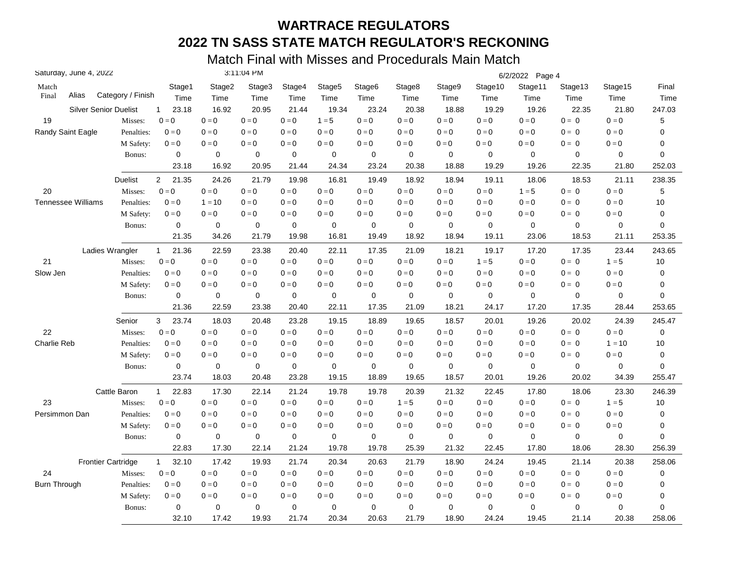| Saturday, June 4, 2022       |                   |                         |             | 3:11:04 PM  |             |                    |             |             |                         |                         | 6/2/2022 Page 4 |             |                         |             |
|------------------------------|-------------------|-------------------------|-------------|-------------|-------------|--------------------|-------------|-------------|-------------------------|-------------------------|-----------------|-------------|-------------------------|-------------|
| Match                        |                   | Stage1                  | Stage2      | Stage3      | Stage4      | Stage <sub>5</sub> | Stage6      | Stage8      | Stage9                  | Stage10                 | Stage11         | Stage13     | Stage15                 | Final       |
| Alias<br>Final               | Category / Finish | Time                    | Time        | Time        | Time        | Time               | Time        | Time        | Time                    | Time                    | Time            | Time        | Time                    | Time        |
| <b>Silver Senior Duelist</b> |                   | 23.18<br>$\mathbf{1}$   | 16.92       | 20.95       | 21.44       | 19.34              | 23.24       | 20.38       | 18.88                   | 19.29                   | 19.26           | 22.35       | 21.80                   | 247.03      |
| 19                           | Misses:           | $0 = 0$                 | $0 = 0$     | $0 = 0$     | $0 = 0$     | $1 = 5$            | $0 = 0$     | $0 = 0$     | $0 = 0$                 | $0 = 0$                 | $0 = 0$         | $0 = 0$     | $0 = 0$                 | 5           |
| Randy Saint Eagle            | Penalties:        | $0 = 0$                 | $0=0$       | $0 = 0$     | $0 = 0$     | $0 = 0$            | $0 = 0$     | $0 = 0$     | $0 = 0$                 | $0 = 0$                 | $0 = 0$         | $0 = 0$     | $0 = 0$                 | 0           |
|                              | M Safety:         | $0 = 0$                 | $0 = 0$     | $0 = 0$     | $0 = 0$     | $0 = 0$            | $0 = 0$     | $0 = 0$     | $0 = 0$                 | $0 = 0$                 | $0=0$           | $0 = 0$     | $\mathbf{0}=\mathbf{0}$ | 0           |
|                              | Bonus:            | $\mathbf 0$             | $\mathbf 0$ | $\mathbf 0$ | $\mathbf 0$ | $\mathbf 0$        | $\mathbf 0$ | $\mathbf 0$ | $\mathbf 0$             | $\mathbf 0$             | $\mathbf 0$     | $\mathbf 0$ | $\mathbf 0$             | $\mathbf 0$ |
|                              |                   | 23.18                   | 16.92       | 20.95       | 21.44       | 24.34              | 23.24       | 20.38       | 18.88                   | 19.29                   | 19.26           | 22.35       | 21.80                   | 252.03      |
|                              | <b>Duelist</b>    | $\overline{2}$<br>21.35 | 24.26       | 21.79       | 19.98       | 16.81              | 19.49       | 18.92       | 18.94                   | 19.11                   | 18.06           | 18.53       | 21.11                   | 238.35      |
| 20                           | Misses:           | $0 = 0$                 | $0=0$       | $0 = 0$     | $0 = 0$     | $0=0$              | $0 = 0$     | $0 = 0$     | $\mathbf{0}=\mathbf{0}$ | $\mathbf{0}=\mathbf{0}$ | $1 = 5$         | $0 = 0$     | $\mathbf{0}=\mathbf{0}$ | 5           |
| <b>Tennessee Williams</b>    | Penalties:        | $0 = 0$                 | $1 = 10$    | $0 = 0$     | $0 = 0$     | $0 = 0$            | $0 = 0$     | $0 = 0$     | $0 = 0$                 | $0 = 0$                 | $0 = 0$         | $0 = 0$     | $0 = 0$                 | 10          |
|                              | M Safety:         | $0 = 0$                 | $0 = 0$     | $0 = 0$     | $0 = 0$     | $0 = 0$            | $0 = 0$     | $0 = 0$     | $0 = 0$                 | $0 = 0$                 | $0 = 0$         | $0 = 0$     | $0 = 0$                 | 0           |
|                              | Bonus:            | 0                       | 0           | $\mathbf 0$ | 0           | 0                  | $\mathbf 0$ | $\mathbf 0$ | $\mathbf 0$             | 0                       | $\mathbf 0$     | 0           | $\mathbf 0$             | $\mathbf 0$ |
|                              |                   | 21.35                   | 34.26       | 21.79       | 19.98       | 16.81              | 19.49       | 18.92       | 18.94                   | 19.11                   | 23.06           | 18.53       | 21.11                   | 253.35      |
| Ladies Wrangler              |                   | 21.36<br>$\mathbf{1}$   | 22.59       | 23.38       | 20.40       | 22.11              | 17.35       | 21.09       | 18.21                   | 19.17                   | 17.20           | 17.35       | 23.44                   | 243.65      |
| 21                           | Misses:           | $0 = 0$                 | $0 = 0$     | $0 = 0$     | $0 = 0$     | $0 = 0$            | $0 = 0$     | $0 = 0$     | $0 = 0$                 | $1 = 5$                 | $0 = 0$         | $0 = 0$     | $1 = 5$                 | 10          |
| Slow Jen                     | Penalties:        | $0 = 0$                 | $0 = 0$     | $0 = 0$     | $0 = 0$     | $0 = 0$            | $0 = 0$     | $0 = 0$     | $0 = 0$                 | $0 = 0$                 | $0 = 0$         | $0 = 0$     | $0 = 0$                 | 0           |
|                              | M Safety:         | $0 = 0$                 | $0 = 0$     | $0 = 0$     | $0 = 0$     | $0 = 0$            | $0 = 0$     | $0 = 0$     | $0 = 0$                 | $0 = 0$                 | $0 = 0$         | $0 = 0$     | $0 = 0$                 | 0           |
|                              | Bonus:            | 0                       | 0           | 0           | $\mathbf 0$ | 0                  | $\mathbf 0$ | $\mathbf 0$ | $\mathbf 0$             | $\mathbf 0$             | $\mathbf 0$     | 0           | $\mathbf 0$             | $\mathbf 0$ |
|                              |                   | 21.36                   | 22.59       | 23.38       | 20.40       | 22.11              | 17.35       | 21.09       | 18.21                   | 24.17                   | 17.20           | 17.35       | 28.44                   | 253.65      |
|                              | Senior            | 23.74<br>3              | 18.03       | 20.48       | 23.28       | 19.15              | 18.89       | 19.65       | 18.57                   | 20.01                   | 19.26           | 20.02       | 24.39                   | 245.47      |
| 22                           | Misses:           | $0 = 0$                 | $0 = 0$     | $0 = 0$     | $0 = 0$     | $0 = 0$            | $0 = 0$     | $0 = 0$     | $0 = 0$                 | $0 = 0$                 | $0 = 0$         | $0 = 0$     | $0 = 0$                 | 0           |
| Charlie Reb                  | Penalties:        | $0 = 0$                 | $0 = 0$     | $0 = 0$     | $0 = 0$     | $0 = 0$            | $0 = 0$     | $0 = 0$     | $0 = 0$                 | $0 = 0$                 | $0 = 0$         | $0 = 0$     | $1 = 10$                | 10          |
|                              | M Safety:         | $0 = 0$                 | $0 = 0$     | $0 = 0$     | $0 = 0$     | $0 = 0$            | $0 = 0$     | $0 = 0$     | $0 = 0$                 | $0 = 0$                 | $0 = 0$         | $0 = 0$     | $0 = 0$                 | $\mathbf 0$ |
|                              | Bonus:            | $\mathbf 0$             | $\pmb{0}$   | $\mathbf 0$ | $\pmb{0}$   | $\pmb{0}$          | $\mathbf 0$ | $\mathbf 0$ | $\pmb{0}$               | $\pmb{0}$               | $\mathbf 0$     | $\mathbf 0$ | 0                       | $\mathbf 0$ |
|                              |                   | 23.74                   | 18.03       | 20.48       | 23.28       | 19.15              | 18.89       | 19.65       | 18.57                   | 20.01                   | 19.26           | 20.02       | 34.39                   | 255.47      |
|                              | Cattle Baron      | 22.83<br>$\mathbf{1}$   | 17.30       | 22.14       | 21.24       | 19.78              | 19.78       | 20.39       | 21.32                   | 22.45                   | 17.80           | 18.06       | 23.30                   | 246.39      |
| 23                           | Misses:           | $0 = 0$                 | $0 = 0$     | $0 = 0$     | $0 = 0$     | $0=0$              | $0 = 0$     | $1 = 5$     | $0 = 0$                 | $0 = 0$                 | $0 = 0$         | $0 = 0$     | $1 = 5$                 | 10          |
| Persimmon Dan                | Penalties:        | $0 = 0$                 | $0 = 0$     | $0 = 0$     | $0 = 0$     | $0 = 0$            | $0 = 0$     | $0 = 0$     | $0 = 0$                 | $0 = 0$                 | $0 = 0$         | $0 = 0$     | $0 = 0$                 | 0           |
|                              | M Safety:         | $0 = 0$                 | $0 = 0$     | $0 = 0$     | $0 = 0$     | $0 = 0$            | $0 = 0$     | $0 = 0$     | $0 = 0$                 | $0 = 0$                 | $0 = 0$         | $0 = 0$     | $0 = 0$                 | $\pmb{0}$   |
|                              | Bonus:            | 0                       | 0           | 0           | $\mathbf 0$ | 0                  | 0           | $\mathbf 0$ | $\mathbf 0$             | 0                       | $\mathbf 0$     | 0           | 0                       | $\mathbf 0$ |
|                              |                   | 22.83                   | 17.30       | 22.14       | 21.24       | 19.78              | 19.78       | 25.39       | 21.32                   | 22.45                   | 17.80           | 18.06       | 28.30                   | 256.39      |
| <b>Frontier Cartridge</b>    |                   | 32.10<br>$\mathbf{1}$   | 17.42       | 19.93       | 21.74       | 20.34              | 20.63       | 21.79       | 18.90                   | 24.24                   | 19.45           | 21.14       | 20.38                   | 258.06      |
| 24                           | Misses:           | $0 = 0$                 | $0 = 0$     | $0 = 0$     | $0 = 0$     | $0 = 0$            | $0 = 0$     | $0 = 0$     | $0 = 0$                 | $0=0$                   | $0 = 0$         | $0 = 0$     | $0 = 0$                 | $\pmb{0}$   |
| <b>Burn Through</b>          | Penalties:        | $0 = 0$                 | $0 = 0$     | $0 = 0$     | $0 = 0$     | $0 = 0$            | $0 = 0$     | $0 = 0$     | $0 = 0$                 | $0 = 0$                 | $0 = 0$         | $0 = 0$     | $0 = 0$                 | 0           |
|                              | M Safety:         | $0 = 0$                 | $0 = 0$     | $0 = 0$     | $0=0$       | $0 = 0$            | $0 = 0$     | $0 = 0$     | $0 = 0$                 | $0 = 0$                 | $0 = 0$         | $0 = 0$     | $0 = 0$                 | 0           |
|                              | Bonus:            | $\pmb{0}$               | $\mathbf 0$ | 0           | 0           | $\mathbf 0$        | $\mathbf 0$ | $\mathbf 0$ | $\mathbf 0$             | $\mathbf 0$             | $\mathbf 0$     | $\mathbf 0$ | $\mathbf 0$             | $\mathbf 0$ |
|                              |                   | 32.10                   | 17.42       | 19.93       | 21.74       | 20.34              | 20.63       | 21.79       | 18.90                   | 24.24                   | 19.45           | 21.14       | 20.38                   | 258.06      |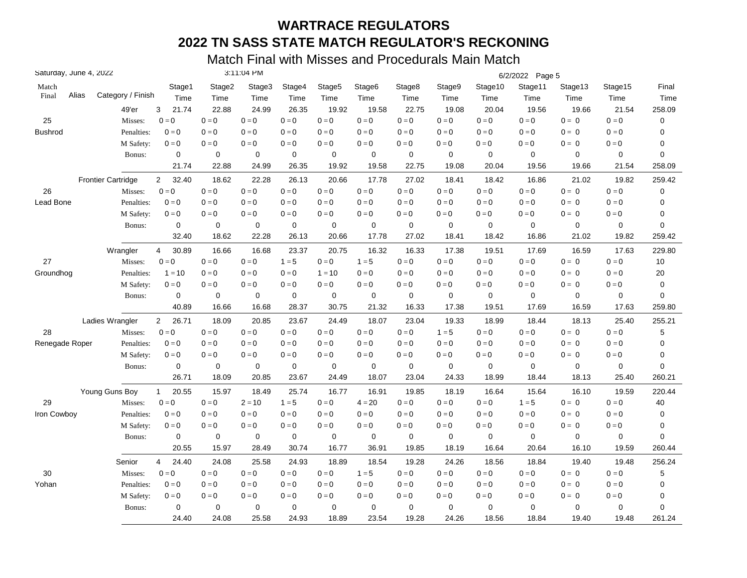| Saturday, June 4, 2022 |       |                           |                         |                         | 3:11:04 PM  |             |             |                    |             |             |             | 6/2/2022 Page 5 |         |                         |        |
|------------------------|-------|---------------------------|-------------------------|-------------------------|-------------|-------------|-------------|--------------------|-------------|-------------|-------------|-----------------|---------|-------------------------|--------|
| Match                  |       |                           | Stage1                  | Stage2                  | Stage3      | Stage4      | Stage5      | Stage <sub>6</sub> | Stage8      | Stage9      | Stage10     | Stage11         | Stage13 | Stage15                 | Final  |
| Final                  | Alias | Category / Finish         | Time                    | Time                    | Time        | Time        | Time        | Time               | Time        | Time        | Time        | Time            | Time    | Time                    | Time   |
|                        |       | 49'er                     | 3<br>21.74              | 22.88                   | 24.99       | 26.35       | 19.92       | 19.58              | 22.75       | 19.08       | 20.04       | 19.56           | 19.66   | 21.54                   | 258.09 |
| 25                     |       | Misses:                   | $0=0$                   | $0=0$                   | $0 = 0$     | $0=0$       | $0 = 0$     | $0 = 0$            | $0 = 0$     | $0 = 0$     | $0 = 0$     | $0=0$           | $0 = 0$ | $0 = 0$                 | 0      |
| <b>Bushrod</b>         |       | Penalties:                | $0 = 0$                 | $0=0$                   | $0 = 0$     | $0 = 0$     | $0 = 0$     | $0 = 0$            | $0 = 0$     | $0 = 0$     | $0 = 0$     | $0=0$           | $0 = 0$ | $0 = 0$                 | 0      |
|                        |       | M Safety:                 | $0 = 0$                 | $\mathbf{0}=\mathbf{0}$ | $0 = 0$     | $0 = 0$     | $0 = 0$     | $0 = 0$            | $0=0$       | $0 = 0$     | $0=0$       | $0 = 0$         | $0 = 0$ | $\mathbf{0}=\mathbf{0}$ | 0      |
|                        |       | Bonus:                    | $\mathbf 0$             | $\mathbf 0$             | $\mathbf 0$ | $\mathbf 0$ | $\mathbf 0$ | 0                  | $\mathbf 0$ | $\mathbf 0$ | $\mathbf 0$ | $\mathbf 0$     | 0       | $\mathbf 0$             | 0      |
|                        |       |                           | 21.74                   | 22.88                   | 24.99       | 26.35       | 19.92       | 19.58              | 22.75       | 19.08       | 20.04       | 19.56           | 19.66   | 21.54                   | 258.09 |
|                        |       | <b>Frontier Cartridge</b> | 32.40<br>$\overline{2}$ | 18.62                   | 22.28       | 26.13       | 20.66       | 17.78              | 27.02       | 18.41       | 18.42       | 16.86           | 21.02   | 19.82                   | 259.42 |
| 26                     |       | Misses:                   | $0 = 0$                 | $0=0$                   | $0 = 0$     | $0 = 0$     | $0 = 0$     | $0=0$              | $0 = 0$     | $0 = 0$     | $0 = 0$     | $0 = 0$         | $0 = 0$ | $0 = 0$                 | 0      |
| Lead Bone              |       | Penalties:                | $0 = 0$                 | $0 = 0$                 | $0 = 0$     | $0 = 0$     | $0 = 0$     | $0 = 0$            | $0 = 0$     | $0 = 0$     | $0 = 0$     | $0 = 0$         | $0 = 0$ | $0 = 0$                 | 0      |
|                        |       | M Safety:                 | $0 = 0$                 | $0 = 0$                 | $0 = 0$     | $0 = 0$     | $0 = 0$     | $0 = 0$            | $0 = 0$     | $0 = 0$     | $0 = 0$     | $0 = 0$         | $0 = 0$ | $0=0$                   | 0      |
|                        |       | Bonus:                    | 0                       | 0                       | $\mathbf 0$ | 0           | 0           | 0                  | $\mathbf 0$ | $\mathbf 0$ | $\mathbf 0$ | $\mathbf 0$     | 0       | 0                       | 0      |
|                        |       |                           | 32.40                   | 18.62                   | 22.28       | 26.13       | 20.66       | 17.78              | 27.02       | 18.41       | 18.42       | 16.86           | 21.02   | 19.82                   | 259.42 |
|                        |       | Wrangler                  | 30.89<br>4              | 16.66                   | 16.68       | 23.37       | 20.75       | 16.32              | 16.33       | 17.38       | 19.51       | 17.69           | 16.59   | 17.63                   | 229.80 |
| 27                     |       | Misses:                   | $0 = 0$                 | $0 = 0$                 | $0 = 0$     | $1 = 5$     | $0 = 0$     | $1 = 5$            | $0 = 0$     | $0 = 0$     | $0 = 0$     | $0 = 0$         | $0 = 0$ | $0 = 0$                 | 10     |
| Groundhog              |       | Penalties:                | $1 = 10$                | $0 = 0$                 | $0 = 0$     | $0 = 0$     | $1 = 10$    | $0 = 0$            | $0 = 0$     | $0 = 0$     | $0 = 0$     | $0 = 0$         | $0 = 0$ | $0 = 0$                 | 20     |
|                        |       | M Safety:                 | $0 = 0$                 | $0 = 0$                 | $0 = 0$     | $0 = 0$     | $0 = 0$     | $0 = 0$            | $0 = 0$     | $0 = 0$     | $0 = 0$     | $0 = 0$         | $0 = 0$ | $0 = 0$                 | 0      |
|                        |       | Bonus:                    | $\mathbf 0$             | 0                       | $\mathbf 0$ | $\mathbf 0$ | $\mathbf 0$ | $\mathbf 0$        | $\mathbf 0$ | $\mathbf 0$ | $\mathbf 0$ | $\mathbf 0$     | 0       | $\mathbf 0$             | 0      |
|                        |       |                           | 40.89                   | 16.66                   | 16.68       | 28.37       | 30.75       | 21.32              | 16.33       | 17.38       | 19.51       | 17.69           | 16.59   | 17.63                   | 259.80 |
|                        |       | Ladies Wrangler           | $\overline{2}$<br>26.71 | 18.09                   | 20.85       | 23.67       | 24.49       | 18.07              | 23.04       | 19.33       | 18.99       | 18.44           | 18.13   | 25.40                   | 255.21 |
| 28                     |       | Misses:                   | $0 = 0$                 | $0 = 0$                 | $0 = 0$     | $0 = 0$     | $0 = 0$     | $0 = 0$            | $0 = 0$     | $1 = 5$     | $0=0$       | $0 = 0$         | $0 = 0$ | $0 = 0$                 | 5      |
| Renegade Roper         |       | Penalties:                | $0 = 0$                 | $0 = 0$                 | $0 = 0$     | $0 = 0$     | $0 = 0$     | $0 = 0$            | $0 = 0$     | $0 = 0$     | $0 = 0$     | $0 = 0$         | $0 = 0$ | $0 = 0$                 | 0      |
|                        |       | M Safety:                 | $0=0$                   | $0 = 0$                 | $0 = 0$     | $0 = 0$     | $0 = 0$     | $0 = 0$            | $0=0$       | $0 = 0$     | $0 = 0$     | $0 = 0$         | $0 = 0$ | $0 = 0$                 | 0      |
|                        |       | Bonus:                    | $\pmb{0}$               | $\mathbf 0$             | $\mathbf 0$ | $\pmb{0}$   | $\pmb{0}$   | $\mathbf 0$        | $\mathbf 0$ | $\mathbf 0$ | $\mathbf 0$ | $\mathbf 0$     | 0       | 0                       | 0      |
|                        |       |                           | 26.71                   | 18.09                   | 20.85       | 23.67       | 24.49       | 18.07              | 23.04       | 24.33       | 18.99       | 18.44           | 18.13   | 25.40                   | 260.21 |
|                        |       | Young Guns Boy            | 20.55<br>$\mathbf{1}$   | 15.97                   | 18.49       | 25.74       | 16.77       | 16.91              | 19.85       | 18.19       | 16.64       | 15.64           | 16.10   | 19.59                   | 220.44 |
| 29                     |       | Misses:                   | $0 = 0$                 | $0 = 0$                 | $2 = 10$    | $1 = 5$     | $0 = 0$     | $4 = 20$           | $0 = 0$     | $0 = 0$     | $0 = 0$     | $1 = 5$         | $0 = 0$ | $0 = 0$                 | 40     |
| Iron Cowboy            |       | Penalties:                | $0 = 0$                 | $0 = 0$                 | $0 = 0$     | $0 = 0$     | $0 = 0$     | $0 = 0$            | $0 = 0$     | $0 = 0$     | $0 = 0$     | $0 = 0$         | $0 = 0$ | $0 = 0$                 | 0      |
|                        |       | M Safety:                 | $0 = 0$                 | $0 = 0$                 | $0=0$       | $0 = 0$     | $0 = 0$     | $0 = 0$            | $0=0$       | $0 = 0$     | $0 = 0$     | $0 = 0$         | $0 = 0$ | $0 = 0$                 | 0      |
|                        |       | Bonus:                    | 0                       | 0                       | 0           | $\mathbf 0$ | $\mathbf 0$ | 0                  | $\mathbf 0$ | $\mathbf 0$ | $\mathbf 0$ | $\mathbf 0$     | 0       | 0                       | 0      |
|                        |       |                           | 20.55                   | 15.97                   | 28.49       | 30.74       | 16.77       | 36.91              | 19.85       | 18.19       | 16.64       | 20.64           | 16.10   | 19.59                   | 260.44 |
|                        |       | Senior                    | 4<br>24.40              | 24.08                   | 25.58       | 24.93       | 18.89       | 18.54              | 19.28       | 24.26       | 18.56       | 18.84           | 19.40   | 19.48                   | 256.24 |
| 30                     |       | Misses:                   | $0 = 0$                 | $0=0$                   | $0 = 0$     | $0 = 0$     | $0 = 0$     | $1 = 5$            | $0 = 0$     | $0 = 0$     | $0=0$       | $0 = 0$         | $0 = 0$ | $0 = 0$                 | 5      |
| Yohan                  |       | Penalties:                | $0 = 0$                 | $0=0$                   | $0 = 0$     | $0 = 0$     | $0 = 0$     | $0=0$              | $0 = 0$     | $0 = 0$     | $0=0$       | $0 = 0$         | $0 = 0$ | $0 = 0$                 | 0      |
|                        |       | M Safety:                 | $0 = 0$                 | $0 = 0$                 | $0 = 0$     | $0 = 0$     | $0 = 0$     | $0=0$              | $0 = 0$     | $0 = 0$     | $0=0$       | $0 = 0$         | $0 = 0$ | $0=0$                   | 0      |
|                        |       | Bonus:                    | 0                       | $\mathbf 0$             | $\mathbf 0$ | $\mathbf 0$ | $\mathbf 0$ | 0                  | $\mathbf 0$ | $\mathbf 0$ | $\mathbf 0$ | $\mathbf 0$     | 0       | 0                       | 0      |
|                        |       |                           | 24.40                   | 24.08                   | 25.58       | 24.93       | 18.89       | 23.54              | 19.28       | 24.26       | 18.56       | 18.84           | 19.40   | 19.48                   | 261.24 |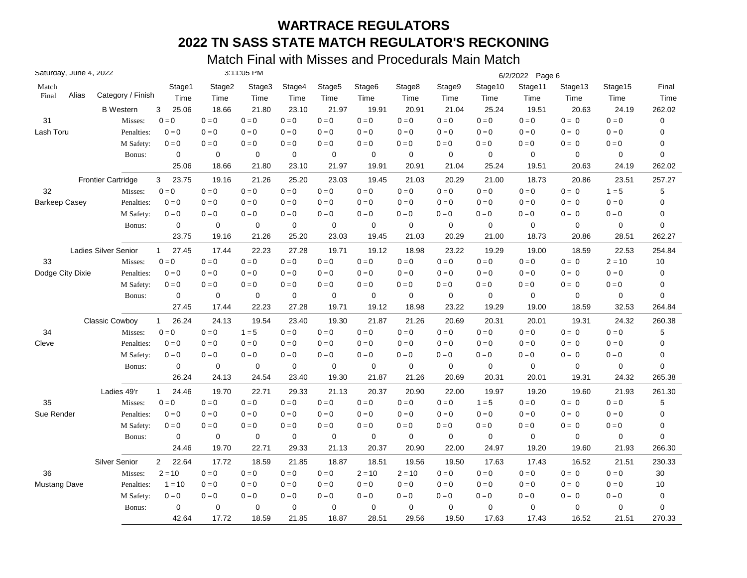| Saturday, June 4, 2022 |       |                             |                         |             | 3:11:05 PM  |             |                    |                    |                         |             |             | 6/2/2022 Page 6 |             |                         |           |
|------------------------|-------|-----------------------------|-------------------------|-------------|-------------|-------------|--------------------|--------------------|-------------------------|-------------|-------------|-----------------|-------------|-------------------------|-----------|
| Match                  |       |                             | Stage1                  | Stage2      | Stage3      | Stage4      | Stage <sub>5</sub> | Stage <sub>6</sub> | Stage8                  | Stage9      | Stage10     | Stage11         | Stage13     | Stage15                 | Final     |
| Final                  | Alias | Category / Finish           | Time                    | Time        | Time        | Time        | Time               | Time               | Time                    | Time        | Time        | Time            | Time        | Time                    | Time      |
|                        |       | <b>B</b> Western            | 25.06<br>3              | 18.66       | 21.80       | 23.10       | 21.97              | 19.91              | 20.91                   | 21.04       | 25.24       | 19.51           | 20.63       | 24.19                   | 262.02    |
| 31                     |       | Misses:                     | $0 = 0$                 | $0=0$       | $0 = 0$     | $0 = 0$     | $0 = 0$            | $0 = 0$            | $0 = 0$                 | $0 = 0$     | $0=0$       | $0 = 0$         | $0 = 0$     | $0 = 0$                 | $\pmb{0}$ |
| Lash Toru              |       | Penalties:                  | $0 = 0$                 | $0 = 0$     | $0 = 0$     | $0 = 0$     | $0 = 0$            | $0 = 0$            | $0 = 0$                 | $0 = 0$     | $0 = 0$     | $0 = 0$         | $0 = 0$     | $0 = 0$                 | 0         |
|                        |       | M Safety:                   | $0=0$                   | $0=0$       | $0 = 0$     | $0 = 0$     | $0=0$              | $0 = 0$            | $0 = 0$                 | $0 = 0$     | $0 = 0$     | $0 = 0$         | $0 = 0$     | $\mathbf{0}=\mathbf{0}$ | 0         |
|                        |       | Bonus:                      | 0                       | 0           | $\mathbf 0$ | $\mathbf 0$ | 0                  | 0                  | $\mathbf 0$             | $\mathbf 0$ | 0           | $\mathbf 0$     | 0           | 0                       | 0         |
|                        |       |                             | 25.06                   | 18.66       | 21.80       | 23.10       | 21.97              | 19.91              | 20.91                   | 21.04       | 25.24       | 19.51           | 20.63       | 24.19                   | 262.02    |
|                        |       | <b>Frontier Cartridge</b>   | 3<br>23.75              | 19.16       | 21.26       | 25.20       | 23.03              | 19.45              | 21.03                   | 20.29       | 21.00       | 18.73           | 20.86       | 23.51                   | 257.27    |
| 32                     |       | Misses:                     | $0 = 0$                 | $0=0$       | $0 = 0$     | $0 = 0$     | $0 = 0$            | $0 = 0$            | $0 = 0$                 | $0=0$       | $0=0$       | $0 = 0$         | $0 = 0$     | $1 = 5$                 | 5         |
| Barkeep Casey          |       | Penalties:                  | $0 = 0$                 | $0 = 0$     | $0 = 0$     | $0 = 0$     | $0 = 0$            | $0 = 0$            | $0 = 0$                 | $0 = 0$     | $0 = 0$     | $0 = 0$         | $0 = 0$     | $0 = 0$                 | 0         |
|                        |       | M Safety:                   | $0 = 0$                 | $0 = 0$     | $0 = 0$     | $0 = 0$     | $0 = 0$            | $0 = 0$            | $0 = 0$                 | $0 = 0$     | $0 = 0$     | $0 = 0$         | $0 = 0$     | $0 = 0$                 | 0         |
|                        |       | Bonus:                      | 0                       | $\mathbf 0$ | 0           | $\mathbf 0$ | 0                  | 0                  | $\mathbf 0$             | 0           | 0           | $\mathbf 0$     | $\mathbf 0$ | 0                       | 0         |
|                        |       |                             | 23.75                   | 19.16       | 21.26       | 25.20       | 23.03              | 19.45              | 21.03                   | 20.29       | 21.00       | 18.73           | 20.86       | 28.51                   | 262.27    |
|                        |       | <b>Ladies Silver Senior</b> | 27.45<br>$\mathbf{1}$   | 17.44       | 22.23       | 27.28       | 19.71              | 19.12              | 18.98                   | 23.22       | 19.29       | 19.00           | 18.59       | 22.53                   | 254.84    |
| 33                     |       | Misses:                     | $0 = 0$                 | $0=0$       | $0 = 0$     | $0 = 0$     | $0 = 0$            | $0 = 0$            | $0 = 0$                 | $0 = 0$     | $0 = 0$     | $0 = 0$         | $0 = 0$     | $2 = 10$                | 10        |
| Dodge City Dixie       |       | Penalties:                  | $0 = 0$                 | $0 = 0$     | $0 = 0$     | $0 = 0$     | $0 = 0$            | $0 = 0$            | $0 = 0$                 | $0 = 0$     | $0 = 0$     | $0 = 0$         | $0 = 0$     | $0 = 0$                 | 0         |
|                        |       | M Safety:                   | $0 = 0$                 | $0 = 0$     | $0 = 0$     | $0 = 0$     | $0 = 0$            | $0 = 0$            | $0 = 0$                 | $0 = 0$     | $0 = 0$     | $0 = 0$         | $0 = 0$     | $0 = 0$                 | 0         |
|                        |       | Bonus:                      | 0                       | 0           | 0           | $\mathbf 0$ | 0                  | 0                  | $\mathbf 0$             | 0           | 0           | $\mathbf 0$     | 0           | 0                       | 0         |
|                        |       |                             | 27.45                   | 17.44       | 22.23       | 27.28       | 19.71              | 19.12              | 18.98                   | 23.22       | 19.29       | 19.00           | 18.59       | 32.53                   | 264.84    |
|                        |       | Classic Cowboy              | 26.24<br>$\mathbf{1}$   | 24.13       | 19.54       | 23.40       | 19.30              | 21.87              | 21.26                   | 20.69       | 20.31       | 20.01           | 19.31       | 24.32                   | 260.38    |
| 34                     |       | Misses:                     | $0 = 0$                 | $0 = 0$     | $1 = 5$     | $0 = 0$     | $0 = 0$            | $0 = 0$            | $0 = 0$                 | $0 = 0$     | $0 = 0$     | $0 = 0$         | $0 = 0$     | $0 = 0$                 | 5         |
| Cleve                  |       | Penalties:                  | $0 = 0$                 | $0 = 0$     | $0 = 0$     | $0 = 0$     | $0 = 0$            | $0 = 0$            | $0 = 0$                 | $0=0$       | $0 = 0$     | $0 = 0$         | $0 = 0$     | $0 = 0$                 | 0         |
|                        |       | M Safety:                   | $0 = 0$                 | $0 = 0$     | $0 = 0$     | $0 = 0$     | $0 = 0$            | $0 = 0$            | $0 = 0$                 | $0 = 0$     | $0 = 0$     | $0 = 0$         | $0 = 0$     | $0=0$                   | 0         |
|                        |       | Bonus:                      | $\mathbf 0$             | $\mathbf 0$ | $\mathbf 0$ | $\mathbf 0$ | $\mathbf 0$        | $\mathbf 0$        | $\mathbf 0$             | $\mathbf 0$ | $\mathbf 0$ | $\mathbf 0$     | $\mathbf 0$ | 0                       | 0         |
|                        |       |                             | 26.24                   | 24.13       | 24.54       | 23.40       | 19.30              | 21.87              | 21.26                   | 20.69       | 20.31       | 20.01           | 19.31       | 24.32                   | 265.38    |
|                        |       | Ladies 49'r                 | $\mathbf{1}$<br>24.46   | 19.70       | 22.71       | 29.33       | 21.13              | 20.37              | 20.90                   | 22.00       | 19.97       | 19.20           | 19.60       | 21.93                   | 261.30    |
| 35                     |       | Misses:                     | $0 = 0$                 | $0=0$       | $0 = 0$     | $0 = 0$     | $0=0$              | $0 = 0$            | $\mathbf{0}=\mathbf{0}$ | $0 = 0$     | $1 = 5$     | $0 = 0$         | $0 = 0$     | $\mathbf{0}=\mathbf{0}$ | 5         |
| Sue Render             |       | Penalties:                  | $0 = 0$                 | $0 = 0$     | $0 = 0$     | $0 = 0$     | $0 = 0$            | $0 = 0$            | $0 = 0$                 | $0 = 0$     | $0 = 0$     | $0 = 0$         | $0 = 0$     | $0 = 0$                 | 0         |
|                        |       | M Safety:                   | $0 = 0$                 | $0 = 0$     | $0 = 0$     | $0 = 0$     | $0 = 0$            | $0 = 0$            | $0 = 0$                 | $0 = 0$     | $0 = 0$     | $0 = 0$         | $0 = 0$     | $0 = 0$                 | 0         |
|                        |       | Bonus:                      | 0                       | 0           | $\mathbf 0$ | $\mathbf 0$ | $\mathbf 0$        | 0                  | $\mathbf 0$             | $\mathbf 0$ | 0           | $\mathbf 0$     | $\mathbf 0$ | 0                       | 0         |
|                        |       |                             | 24.46                   | 19.70       | 22.71       | 29.33       | 21.13              | 20.37              | 20.90                   | 22.00       | 24.97       | 19.20           | 19.60       | 21.93                   | 266.30    |
|                        |       | <b>Silver Senior</b>        | $\overline{2}$<br>22.64 | 17.72       | 18.59       | 21.85       | 18.87              | 18.51              | 19.56                   | 19.50       | 17.63       | 17.43           | 16.52       | 21.51                   | 230.33    |
| 36                     |       | Misses:                     | $2 = 10$                | $0=0$       | $0 = 0$     | $0 = 0$     | $0 = 0$            | $2 = 10$           | $2 = 10$                | $0 = 0$     | $0 = 0$     | $0 = 0$         | $0 = 0$     | $0 = 0$                 | 30        |
| <b>Mustang Dave</b>    |       | Penalties:                  | $1 = 10$                | $0 = 0$     | $0 = 0$     | $0 = 0$     | $0 = 0$            | $0 = 0$            | $0 = 0$                 | $0 = 0$     | $0 = 0$     | $0 = 0$         | $0 = 0$     | $0 = 0$                 | 10        |
|                        |       | M Safety:                   | $0 = 0$                 | $0 = 0$     | $0 = 0$     | $0 = 0$     | $0 = 0$            | $0 = 0$            | $0 = 0$                 | $0 = 0$     | $0 = 0$     | $0 = 0$         | $0 = 0$     | $0 = 0$                 | 0         |
|                        |       | Bonus:                      | 0                       | $\mathbf 0$ | 0           | $\mathbf 0$ | 0                  | $\mathbf 0$        | $\mathbf 0$             | $\mathbf 0$ | 0           | $\mathbf 0$     | $\mathbf 0$ | 0                       | 0         |
|                        |       |                             | 42.64                   | 17.72       | 18.59       | 21.85       | 18.87              | 28.51              | 29.56                   | 19.50       | 17.63       | 17.43           | 16.52       | 21.51                   | 270.33    |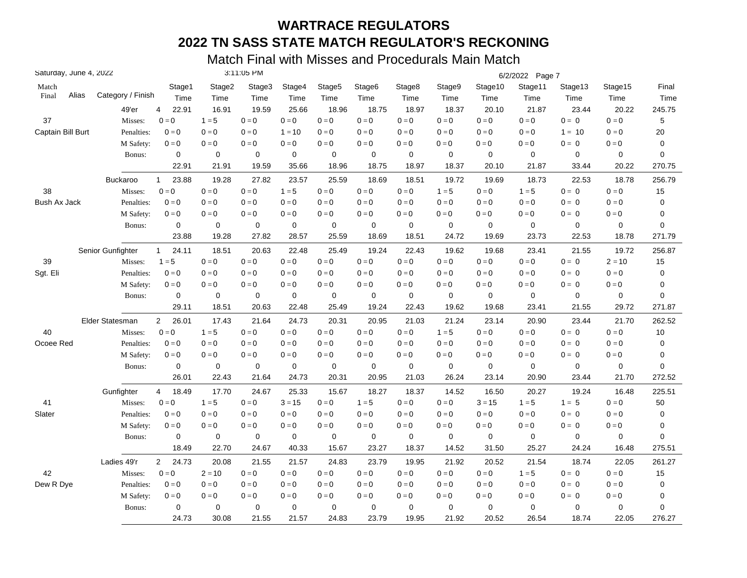| Saturday, June 4, 2022 |       |                   |                         |             | 3:11:05 PM  |             |                    |                    |             |             |                         | 6/2/2022 Page 7 |             |                         |             |
|------------------------|-------|-------------------|-------------------------|-------------|-------------|-------------|--------------------|--------------------|-------------|-------------|-------------------------|-----------------|-------------|-------------------------|-------------|
| Match                  |       |                   | Stage1                  | Stage2      | Stage3      | Stage4      | Stage <sub>5</sub> | Stage <sub>6</sub> | Stage8      | Stage9      | Stage10                 | Stage11         | Stage13     | Stage15                 | Final       |
| Final                  | Alias | Category / Finish | Time                    | Time        | Time        | Time        | Time               | Time               | Time        | Time        | Time                    | Time            | Time        | Time                    | Time        |
|                        |       | 49'er             | 4<br>22.91              | 16.91       | 19.59       | 25.66       | 18.96              | 18.75              | 18.97       | 18.37       | 20.10                   | 21.87           | 23.44       | 20.22                   | 245.75      |
| 37                     |       | Misses:           | $0 = 0$                 | $1 = 5$     | $0 = 0$     | $0 = 0$     | $0=0$              | $0 = 0$            | $0 = 0$     | $0 = 0$     | $0=0$                   | $0 = 0$         | $0 = 0$     | $0 = 0$                 | $\mathbf 5$ |
| Captain Bill Burt      |       | Penalties:        | $0 = 0$                 | $0 = 0$     | $0 = 0$     | $1 = 10$    | $0 = 0$            | $0 = 0$            | $0 = 0$     | $0 = 0$     | $0 = 0$                 | $0 = 0$         | $1 = 10$    | $0 = 0$                 | $20\,$      |
|                        |       | M Safety:         | $0=0$                   | $0=0$       | $0 = 0$     | $0 = 0$     | $0=0$              | $0 = 0$            | $0 = 0$     | $0 = 0$     | $0 = 0$                 | $0=0$           | $0 = 0$     | $0 = 0$                 | $\pmb{0}$   |
|                        |       | Bonus:            | 0                       | 0           | $\mathbf 0$ | $\pmb{0}$   | $\mathbf 0$        | 0                  | $\mathbf 0$ | $\mathbf 0$ | $\mathbf 0$             | $\mathbf 0$     | 0           | 0                       | 0           |
|                        |       |                   | 22.91                   | 21.91       | 19.59       | 35.66       | 18.96              | 18.75              | 18.97       | 18.37       | 20.10                   | 21.87           | 33.44       | 20.22                   | 270.75      |
|                        |       | <b>Buckaroo</b>   | 23.88<br>$\mathbf 1$    | 19.28       | 27.82       | 23.57       | 25.59              | 18.69              | 18.51       | 19.72       | 19.69                   | 18.73           | 22.53       | 18.78                   | 256.79      |
| 38                     |       | Misses:           | $0 = 0$                 | $0=0$       | $0 = 0$     | $1 = 5$     | $0 = 0$            | $0 = 0$            | $0=0$       | $1 = 5$     | $0=0$                   | $1 = 5$         | $0 = 0$     | $0 = 0$                 | 15          |
| Bush Ax Jack           |       | Penalties:        | $0 = 0$                 | $0 = 0$     | $0 = 0$     | $0 = 0$     | $0 = 0$            | $0 = 0$            | $0 = 0$     | $0 = 0$     | $0 = 0$                 | $0 = 0$         | $0 = 0$     | $0 = 0$                 | $\pmb{0}$   |
|                        |       | M Safety:         | $0 = 0$                 | $0 = 0$     | $0 = 0$     | $0 = 0$     | $0 = 0$            | $0 = 0$            | $0 = 0$     | $0 = 0$     | $0 = 0$                 | $0 = 0$         | $0 = 0$     | $0 = 0$                 | 0           |
|                        |       | Bonus:            | 0                       | $\mathbf 0$ | 0           | $\mathbf 0$ | 0                  | 0                  | $\mathbf 0$ | 0           | 0                       | $\mathbf 0$     | $\mathbf 0$ | 0                       | 0           |
|                        |       |                   | 23.88                   | 19.28       | 27.82       | 28.57       | 25.59              | 18.69              | 18.51       | 24.72       | 19.69                   | 23.73           | 22.53       | 18.78                   | 271.79      |
|                        |       | Senior Gunfighter | 24.11<br>$\mathbf{1}$   | 18.51       | 20.63       | 22.48       | 25.49              | 19.24              | 22.43       | 19.62       | 19.68                   | 23.41           | 21.55       | 19.72                   | 256.87      |
| 39                     |       | Misses:           | $1 = 5$                 | $0=0$       | $0 = 0$     | $0 = 0$     | $0 = 0$            | $0 = 0$            | $0 = 0$     | $0 = 0$     | $0 = 0$                 | $0 = 0$         | $0 = 0$     | $2 = 10$                | 15          |
| Sgt. Eli               |       | Penalties:        | $0 = 0$                 | $0 = 0$     | $0 = 0$     | $0 = 0$     | $0 = 0$            | $0 = 0$            | $0 = 0$     | $0 = 0$     | $0 = 0$                 | $0 = 0$         | $0 = 0$     | $0 = 0$                 | 0           |
|                        |       | M Safety:         | $0 = 0$                 | $0 = 0$     | $0 = 0$     | $0 = 0$     | $0 = 0$            | $0 = 0$            | $0 = 0$     | $0 = 0$     | $0 = 0$                 | $0 = 0$         | $0 = 0$     | $0 = 0$                 | 0           |
|                        |       | Bonus:            | 0                       | 0           | 0           | $\mathbf 0$ | 0                  | 0                  | $\mathbf 0$ | $\mathbf 0$ | 0                       | $\mathbf 0$     | 0           | 0                       | 0           |
|                        |       |                   | 29.11                   | 18.51       | 20.63       | 22.48       | 25.49              | 19.24              | 22.43       | 19.62       | 19.68                   | 23.41           | 21.55       | 29.72                   | 271.87      |
|                        |       | Elder Statesman   | $\overline{2}$<br>26.01 | 17.43       | 21.64       | 24.73       | 20.31              | 20.95              | 21.03       | 21.24       | 23.14                   | 20.90           | 23.44       | 21.70                   | 262.52      |
| 40                     |       | Misses:           | $0 = 0$                 | $1 = 5$     | $0 = 0$     | $0 = 0$     | $0 = 0$            | $0 = 0$            | $0 = 0$     | $1 = 5$     | $\mathbf{0}=\mathbf{0}$ | $0 = 0$         | $0 = 0$     | $0 = 0$                 | 10          |
| Ocoee Red              |       | Penalties:        | $0 = 0$                 | $0 = 0$     | $0 = 0$     | $0 = 0$     | $0 = 0$            | $0 = 0$            | $0 = 0$     | $0=0$       | $0 = 0$                 | $0 = 0$         | $0 = 0$     | $0 = 0$                 | 0           |
|                        |       | M Safety:         | $0 = 0$                 | $0 = 0$     | $0 = 0$     | $0=0$       | $0 = 0$            | $0 = 0$            | $0 = 0$     | $0 = 0$     | $0 = 0$                 | $0 = 0$         | $0 = 0$     | $0=0$                   | 0           |
|                        |       | Bonus:            | $\mathbf 0$             | $\mathbf 0$ | $\mathbf 0$ | $\pmb{0}$   | $\mathbf 0$        | $\mathbf 0$        | $\mathbf 0$ | $\mathbf 0$ | $\mathbf 0$             | $\mathbf 0$     | $\mathbf 0$ | 0                       | 0           |
|                        |       |                   | 26.01                   | 22.43       | 21.64       | 24.73       | 20.31              | 20.95              | 21.03       | 26.24       | 23.14                   | 20.90           | 23.44       | 21.70                   | 272.52      |
|                        |       | Gunfighter        | $\overline{4}$<br>18.49 | 17.70       | 24.67       | 25.33       | 15.67              | 18.27              | 18.37       | 14.52       | 16.50                   | 20.27           | 19.24       | 16.48                   | 225.51      |
| 41                     |       | Misses:           | $0 = 0$                 | $1 = 5$     | $0 = 0$     | $3 = 15$    | $0 = 0$            | $1 = 5$            | $0 = 0$     | $0 = 0$     | $3 = 15$                | $1 = 5$         | $1 = 5$     | $\mathbf{0}=\mathbf{0}$ | 50          |
| Slater                 |       | Penalties:        | $0 = 0$                 | $0 = 0$     | $0 = 0$     | $0 = 0$     | $0 = 0$            | $0 = 0$            | $0 = 0$     | $0 = 0$     | $0 = 0$                 | $0 = 0$         | $0 = 0$     | $0 = 0$                 | 0           |
|                        |       | M Safety:         | $0 = 0$                 | $0 = 0$     | $0 = 0$     | $0 = 0$     | $0=0$              | $0 = 0$            | $0 = 0$     | $0 = 0$     | $0 = 0$                 | $0 = 0$         | $0 = 0$     | $0 = 0$                 | 0           |
|                        |       | Bonus:            | 0                       | 0           | 0           | 0           | $\mathbf 0$        | 0                  | 0           | 0           | $\mathbf 0$             | $\mathbf 0$     | $\mathbf 0$ | 0                       | 0           |
|                        |       |                   | 18.49                   | 22.70       | 24.67       | 40.33       | 15.67              | 23.27              | 18.37       | 14.52       | 31.50                   | 25.27           | 24.24       | 16.48                   | 275.51      |
|                        |       | Ladies 49'r       | $\overline{2}$<br>24.73 | 20.08       | 21.55       | 21.57       | 24.83              | 23.79              | 19.95       | 21.92       | 20.52                   | 21.54           | 18.74       | 22.05                   | 261.27      |
| 42                     |       | Misses:           | $0 = 0$                 | $2 = 10$    | $0 = 0$     | $0 = 0$     | $0 = 0$            | $0 = 0$            | $0 = 0$     | $0=0$       | $0=0$                   | $1 = 5$         | $0 = 0$     | $0 = 0$                 | 15          |
| Dew R Dye              |       | Penalties:        | $0 = 0$                 | $0 = 0$     | $0 = 0$     | $0 = 0$     | $0 = 0$            | $0 = 0$            | $0 = 0$     | $0 = 0$     | $0 = 0$                 | $0 = 0$         | $0 = 0$     | $0 = 0$                 | 0           |
|                        |       | M Safety:         | $0 = 0$                 | $0 = 0$     | $0 = 0$     | $0 = 0$     | $0 = 0$            | $0 = 0$            | $0 = 0$     | $0 = 0$     | $0 = 0$                 | $0 = 0$         | $0 = 0$     | $0 = 0$                 | 0           |
|                        |       | Bonus:            | $\mathbf 0$             | $\mathbf 0$ | 0           | $\mathbf 0$ | $\mathbf 0$        | $\mathbf 0$        | $\mathbf 0$ | $\mathbf 0$ | 0                       | $\mathbf 0$     | 0           | 0                       | 0           |
|                        |       |                   | 24.73                   | 30.08       | 21.55       | 21.57       | 24.83              | 23.79              | 19.95       | 21.92       | 20.52                   | 26.54           | 18.74       | 22.05                   | 276.27      |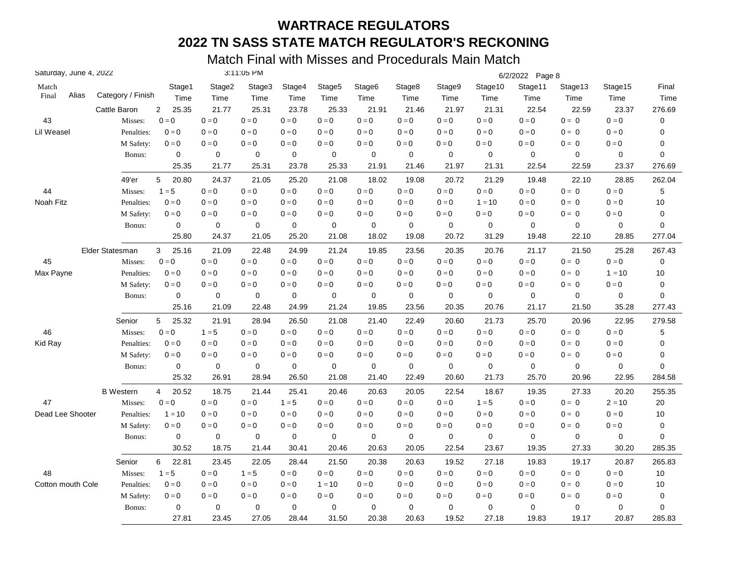| Saturday, June 4, 2022 |                   |                         |             | 3:11:05 PM  |             |                    |                    |                         |             |             | 6/2/2022 Page 8 |                           |                         |           |
|------------------------|-------------------|-------------------------|-------------|-------------|-------------|--------------------|--------------------|-------------------------|-------------|-------------|-----------------|---------------------------|-------------------------|-----------|
| Match                  |                   | Stage1                  | Stage2      | Stage3      | Stage4      | Stage <sub>5</sub> | Stage <sub>6</sub> | Stage8                  | Stage9      | Stage10     | Stage11         | Stage13                   | Stage15                 | Final     |
| Alias<br>Final         | Category / Finish | Time                    | Time        | Time        | Time        | Time               | Time               | Time                    | Time        | Time        | Time            | Time                      | Time                    | Time      |
|                        | Cattle Baron      | 25.35<br>$\overline{2}$ | 21.77       | 25.31       | 23.78       | 25.33              | 21.91              | 21.46                   | 21.97       | 21.31       | 22.54           | 22.59                     | 23.37                   | 276.69    |
| 43                     | Misses:           | $0 = 0$                 | $0=0$       | $0 = 0$     | $0 = 0$     | $0=0$              | $0 = 0$            | $0 = 0$                 | $0 = 0$     | $0=0$       | $0 = 0$         | $0 = 0$                   | $0 = 0$                 | $\pmb{0}$ |
| Lil Weasel             | Penalties:        | $0 = 0$                 | $0 = 0$     | $0 = 0$     | $0 = 0$     | $0 = 0$            | $0 = 0$            | $0 = 0$                 | $0 = 0$     | $0 = 0$     | $0 = 0$         | $0 = 0$                   | $0 = 0$                 | 0         |
|                        | M Safety:         | $0=0$                   | $0=0$       | $0 = 0$     | $0 = 0$     | $0=0$              | $0 = 0$            | $0 = 0$                 | $0 = 0$     | $0 = 0$     | $0=0$           | $0 = 0$                   | $\mathbf{0}=\mathbf{0}$ | 0         |
|                        | Bonus:            | 0                       | 0           | $\mathbf 0$ | $\mathbf 0$ | 0                  | 0                  | $\mathbf 0$             | $\mathbf 0$ | $\mathbf 0$ | $\mathbf 0$     | 0                         | 0                       | 0         |
|                        |                   | 25.35                   | 21.77       | 25.31       | 23.78       | 25.33              | 21.91              | 21.46                   | 21.97       | 21.31       | 22.54           | 22.59                     | 23.37                   | 276.69    |
|                        | 49'er             | 5<br>20.80              | 24.37       | 21.05       | 25.20       | 21.08              | 18.02              | 19.08                   | 20.72       | 21.29       | 19.48           | 22.10                     | 28.85                   | 262.04    |
| 44                     | Misses:           | $1 = 5$                 | $0 = 0$     | $0 = 0$     | $0 = 0$     | $0 = 0$            | $0 = 0$            | $0 = 0$                 | $0=0$       | $0 = 0$     | $0 = 0$         | $0 = 0$                   | $0 = 0$                 | 5         |
| Noah Fitz              | Penalties:        | $0 = 0$                 | $0 = 0$     | $0 = 0$     | $0 = 0$     | $0 = 0$            | $0 = 0$            | $0 = 0$                 | $0 = 0$     | $1 = 10$    | $0 = 0$         | $0 = 0$                   | $0 = 0$                 | 10        |
|                        | M Safety:         | $0 = 0$                 | $0 = 0$     | $0 = 0$     | $0 = 0$     | $0 = 0$            | $0 = 0$            | $0 = 0$                 | $0 = 0$     | $0 = 0$     | $0 = 0$         | $0 = 0$                   | $0 = 0$                 | 0         |
|                        | Bonus:            | 0                       | $\mathbf 0$ | 0           | $\mathbf 0$ | 0                  | $\mathbf 0$        | 0                       | 0           | 0           | $\mathbf 0$     | $\mathbf 0$               | 0                       | 0         |
|                        |                   | 25.80                   | 24.37       | 21.05       | 25.20       | 21.08              | 18.02              | 19.08                   | 20.72       | 31.29       | 19.48           | 22.10                     | 28.85                   | 277.04    |
|                        | Elder Statesman   | 25.16<br>3              | 21.09       | 22.48       | 24.99       | 21.24              | 19.85              | 23.56                   | 20.35       | 20.76       | 21.17           | 21.50                     | 25.28                   | 267.43    |
| 45                     | Misses:           | $0 = 0$                 | $0 = 0$     | $0 = 0$     | $0 = 0$     | $0 = 0$            | $0 = 0$            | $0 = 0$                 | $0 = 0$     | $0 = 0$     | $0 = 0$         | $0 = 0$                   | $0 = 0$                 | $\pmb{0}$ |
| Max Payne              | Penalties:        | $0 = 0$                 | $0 = 0$     | $0 = 0$     | $0 = 0$     | $0 = 0$            | $0 = 0$            | $0 = 0$                 | $0 = 0$     | $0 = 0$     | $0 = 0$         | $0 = 0$                   | $1 = 10$                | 10        |
|                        | M Safety:         | $0 = 0$                 | $0 = 0$     | $0 = 0$     | $0 = 0$     | $0 = 0$            | $0 = 0$            | $0 = 0$                 | $0 = 0$     | $0 = 0$     | $0 = 0$         | $0 = 0$                   | $0 = 0$                 | 0         |
|                        | Bonus:            | 0                       | 0           | 0           | $\mathbf 0$ | 0                  | 0                  | $\mathbf 0$             | 0           | 0           | $\mathbf 0$     | 0                         | 0                       | 0         |
|                        |                   | 25.16                   | 21.09       | 22.48       | 24.99       | 21.24              | 19.85              | 23.56                   | 20.35       | 20.76       | 21.17           | 21.50                     | 35.28                   | 277.43    |
|                        | Senior            | 5<br>25.32              | 21.91       | 28.94       | 26.50       | 21.08              | 21.40              | 22.49                   | 20.60       | 21.73       | 25.70           | 20.96                     | 22.95                   | 279.58    |
| 46                     | Misses:           | $0 = 0$                 | $1 = 5$     | $0 = 0$     | $0 = 0$     | $0 = 0$            | $0 = 0$            | $0 = 0$                 | $0 = 0$     | $0 = 0$     | $0 = 0$         | $0 = 0$                   | $0 = 0$                 | 5         |
| Kid Ray                | Penalties:        | $0 = 0$                 | $0 = 0$     | $0 = 0$     | $0 = 0$     | $0 = 0$            | $0 = 0$            | $0 = 0$                 | $0=0$       | $0=0$       | $0 = 0$         | $0 = 0$                   | $0 = 0$                 | 0         |
|                        | M Safety:         | $0 = 0$                 | $0 = 0$     | $0 = 0$     | $0 = 0$     | $0 = 0$            | $0 = 0$            | $0 = 0$                 | $0 = 0$     | $0 = 0$     | $0 = 0$         | $0 = 0$                   | $0=0$                   | 0         |
|                        | Bonus:            | $\mathbf 0$             | $\mathbf 0$ | $\mathbf 0$ | $\mathbf 0$ | $\mathbf 0$        | $\mathbf 0$        | $\mathbf 0$             | $\mathbf 0$ | $\mathbf 0$ | $\mathbf 0$     | $\mathbf 0$               | 0                       | 0         |
|                        |                   | 25.32                   | 26.91       | 28.94       | 26.50       | 21.08              | 21.40              | 22.49                   | 20.60       | 21.73       | 25.70           | 20.96                     | 22.95                   | 284.58    |
|                        | <b>B</b> Western  | 20.52<br>4              | 18.75       | 21.44       | 25.41       | 20.46              | 20.63              | 20.05                   | 22.54       | 18.67       | 19.35           | 27.33                     | 20.20                   | 255.35    |
| 47                     | Misses:           | $0 = 0$                 | $0=0$       | $0 = 0$     | $1 = 5$     | $0=0$              | $0 = 0$            | $\mathbf{0}=\mathbf{0}$ | $0 = 0$     | $1 = 5$     | $0 = 0$         | $\mathbf{0} = \mathbf{0}$ | $2 = 10$                | 20        |
| Dead Lee Shooter       | Penalties:        | $1 = 10$                | $0 = 0$     | $0 = 0$     | $0 = 0$     | $0 = 0$            | $0 = 0$            | $0 = 0$                 | $0 = 0$     | $0 = 0$     | $0 = 0$         | $0 = 0$                   | $0 = 0$                 | 10        |
|                        | M Safety:         | $0 = 0$                 | $0 = 0$     | $0 = 0$     | $0 = 0$     | $0=0$              | $0 = 0$            | $0 = 0$                 | $0 = 0$     | $0 = 0$     | $0 = 0$         | $0 = 0$                   | $0 = 0$                 | $\pmb{0}$ |
|                        | Bonus:            | 0                       | 0           | 0           | 0           | 0                  | 0                  | $\mathbf 0$             | $\mathbf 0$ | $\mathbf 0$ | $\mathbf 0$     | $\mathbf 0$               | 0                       | 0         |
|                        |                   | 30.52                   | 18.75       | 21.44       | 30.41       | 20.46              | 20.63              | 20.05                   | 22.54       | 23.67       | 19.35           | 27.33                     | 30.20                   | 285.35    |
|                        | Senior            | 6<br>22.81              | 23.45       | 22.05       | 28.44       | 21.50              | 20.38              | 20.63                   | 19.52       | 27.18       | 19.83           | 19.17                     | 20.87                   | 265.83    |
| 48                     | Misses:           | $1 = 5$                 | $0 = 0$     | $1 = 5$     | $0 = 0$     | $0 = 0$            | $0 = 0$            | $0 = 0$                 | $0=0$       | $0=0$       | $0 = 0$         | $0 = 0$                   | $0 = 0$                 | 10        |
| Cotton mouth Cole      | Penalties:        | $0 = 0$                 | $0 = 0$     | $0 = 0$     | $0 = 0$     | $1 = 10$           | $0 = 0$            | $0 = 0$                 | $0 = 0$     | $0 = 0$     | $0 = 0$         | $0 = 0$                   | $0 = 0$                 | 10        |
|                        | M Safety:         | $0 = 0$                 | $0 = 0$     | $0 = 0$     | $0 = 0$     | $0 = 0$            | $0 = 0$            | $0 = 0$                 | $0 = 0$     | $0 = 0$     | $0 = 0$         | $0 = 0$                   | $0 = 0$                 | 0         |
|                        | Bonus:            | $\mathbf 0$             | $\mathbf 0$ | 0           | $\mathbf 0$ | 0                  | $\mathbf 0$        | $\mathbf 0$             | $\mathbf 0$ | 0           | $\mathbf 0$     | 0                         | 0                       | 0         |
|                        |                   | 27.81                   | 23.45       | 27.05       | 28.44       | 31.50              | 20.38              | 20.63                   | 19.52       | 27.18       | 19.83           | 19.17                     | 20.87                   | 285.83    |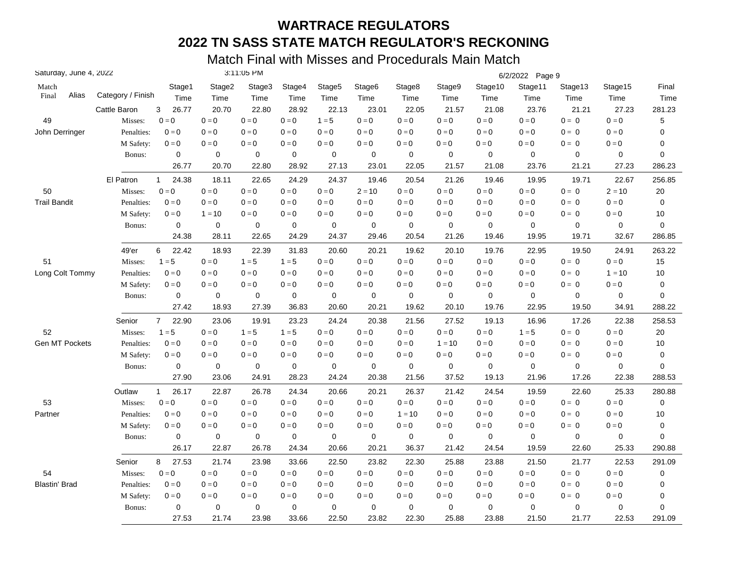| Saturday, June 4, 2022 |                   |                       |             | 3:11:05 PM  |             |             |                    |             |             |             | 6/2/2022 Page 9 |             |                         |        |
|------------------------|-------------------|-----------------------|-------------|-------------|-------------|-------------|--------------------|-------------|-------------|-------------|-----------------|-------------|-------------------------|--------|
| Match                  |                   | Stage1                | Stage2      | Stage3      | Stage4      | Stage5      | Stage <sub>6</sub> | Stage8      | Stage9      | Stage10     | Stage11         | Stage13     | Stage15                 | Final  |
| Alias<br>Final         | Category / Finish | Time                  | Time        | Time        | Time        | Time        | Time               | Time        | Time        | Time        | Time            | Time        | Time                    | Time   |
|                        | Cattle Baron      | 26.77<br>3            | 20.70       | 22.80       | 28.92       | 22.13       | 23.01              | 22.05       | 21.57       | 21.08       | 23.76           | 21.21       | 27.23                   | 281.23 |
| 49                     | Misses:           | $0 = 0$               | $0 = 0$     | $0 = 0$     | $0 = 0$     | $1 = 5$     | $0 = 0$            | $0 = 0$     | $0 = 0$     | $0 = 0$     | $0 = 0$         | $0 = 0$     | $0 = 0$                 | 5      |
| John Derringer         | Penalties:        | $0 = 0$               | $0=0$       | $0 = 0$     | $0 = 0$     | $0 = 0$     | $0 = 0$            | $0 = 0$     | $0 = 0$     | $0 = 0$     | $0 = 0$         | $0 = 0$     | $0 = 0$                 | 0      |
|                        | M Safety:         | $0 = 0$               | $0=0$       | $0 = 0$     | $0 = 0$     | $0 = 0$     | $0 = 0$            | $0 = 0$     | $0 = 0$     | $0=0$       | $0 = 0$         | $0 = 0$     | $0 = 0$                 | 0      |
|                        | Bonus:            | 0                     | $\mathbf 0$ | $\mathbf 0$ | $\mathbf 0$ | $\mathbf 0$ | 0                  | $\mathbf 0$ | $\mathbf 0$ | $\mathbf 0$ | $\mathbf 0$     | 0           | $\mathbf 0$             | 0      |
|                        |                   | 26.77                 | 20.70       | 22.80       | 28.92       | 27.13       | 23.01              | 22.05       | 21.57       | 21.08       | 23.76           | 21.21       | 27.23                   | 286.23 |
|                        | El Patron         | 24.38<br>$\mathbf{1}$ | 18.11       | 22.65       | 24.29       | 24.37       | 19.46              | 20.54       | 21.26       | 19.46       | 19.95           | 19.71       | 22.67                   | 256.85 |
| 50                     | Misses:           | $0 = 0$               | $0=0$       | $0 = 0$     | $0 = 0$     | $0 = 0$     | $2 = 10$           | $0 = 0$     | $0 = 0$     | $0 = 0$     | $0 = 0$         | $0 = 0$     | $2 = 10$                | 20     |
| <b>Trail Bandit</b>    | Penalties:        | $0 = 0$               | $0 = 0$     | $0 = 0$     | $0 = 0$     | $0 = 0$     | $0 = 0$            | $0 = 0$     | $0 = 0$     | $0 = 0$     | $0 = 0$         | $0 = 0$     | $0 = 0$                 | 0      |
|                        | M Safety:         | $0 = 0$               | $1 = 10$    | $0 = 0$     | $0 = 0$     | $0 = 0$     | $0 = 0$            | $0 = 0$     | $0 = 0$     | $0 = 0$     | $0 = 0$         | $0 = 0$     | $0 = 0$                 | $10$   |
|                        | Bonus:            | $\pmb{0}$             | $\pmb{0}$   | 0           | $\pmb{0}$   | $\mathbf 0$ | 0                  | $\mathbf 0$ | $\mathbf 0$ | $\mathbf 0$ | $\mathbf 0$     | 0           | 0                       | 0      |
|                        |                   | 24.38                 | 28.11       | 22.65       | 24.29       | 24.37       | 29.46              | 20.54       | 21.26       | 19.46       | 19.95           | 19.71       | 32.67                   | 286.85 |
|                        | 49'er             | 6<br>22.42            | 18.93       | 22.39       | 31.83       | 20.60       | 20.21              | 19.62       | 20.10       | 19.76       | 22.95           | 19.50       | 24.91                   | 263.22 |
| 51                     | Misses:           | $1 = 5$               | $0 = 0$     | $1 = 5$     | $1 = 5$     | $0 = 0$     | $0 = 0$            | $0 = 0$     | $0 = 0$     | $0 = 0$     | $0 = 0$         | $0 = 0$     | $0 = 0$                 | 15     |
| Long Colt Tommy        | Penalties:        | $0 = 0$               | $0=0$       | $0 = 0$     | $0 = 0$     | $0 = 0$     | $0 = 0$            | $0 = 0$     | $0 = 0$     | $0=0$       | $0 = 0$         | $0 = 0$     | $1 = 10$                | 10     |
|                        | M Safety:         | $0 = 0$               | $0 = 0$     | $0 = 0$     | $0 = 0$     | $0 = 0$     | $0 = 0$            | $0 = 0$     | $0 = 0$     | $0 = 0$     | $0 = 0$         | $0 = 0$     | $0 = 0$                 | 0      |
|                        | Bonus:            | 0                     | 0           | 0           | $\mathbf 0$ | $\mathbf 0$ | 0                  | 0           | $\mathbf 0$ | $\mathbf 0$ | $\mathbf 0$     | 0           | 0                       | 0      |
|                        |                   | 27.42                 | 18.93       | 27.39       | 36.83       | 20.60       | 20.21              | 19.62       | 20.10       | 19.76       | 22.95           | 19.50       | 34.91                   | 288.22 |
|                        | Senior            | $7^{\circ}$<br>22.90  | 23.06       | 19.91       | 23.23       | 24.24       | 20.38              | 21.56       | 27.52       | 19.13       | 16.96           | 17.26       | 22.38                   | 258.53 |
| 52                     | Misses:           | $1 = 5$               | $0 = 0$     | $1 = 5$     | $1 = 5$     | $0 = 0$     | $0=0$              | $0 = 0$     | $0 = 0$     | $0 = 0$     | $1 = 5$         | $0 = 0$     | $0 = 0$                 | 20     |
| Gen MT Pockets         | Penalties:        | $0 = 0$               | $0=0$       | $0 = 0$     | $0 = 0$     | $0 = 0$     | $0=0$              | $0 = 0$     | $1 = 10$    | $0 = 0$     | $0 = 0$         | $0 = 0$     | $0 = 0$                 | 10     |
|                        | M Safety:         | $0 = 0$               | $0 = 0$     | $0 = 0$     | $0 = 0$     | $0 = 0$     | $0 = 0$            | $0 = 0$     | $0 = 0$     | $0 = 0$     | $0 = 0$         | $0 = 0$     | $0 = 0$                 | 0      |
|                        | Bonus:            | $\mathbf 0$           | $\mathbf 0$ | 0           | $\mathbf 0$ | 0           | $\mathbf 0$        | $\mathbf 0$ | $\mathbf 0$ | $\mathbf 0$ | $\mathbf 0$     | $\mathbf 0$ | $\mathbf 0$             | 0      |
|                        |                   | 27.90                 | 23.06       | 24.91       | 28.23       | 24.24       | 20.38              | 21.56       | 37.52       | 19.13       | 21.96           | 17.26       | 22.38                   | 288.53 |
|                        | Outlaw            | 26.17<br>$\mathbf{1}$ | 22.87       | 26.78       | 24.34       | 20.66       | 20.21              | 26.37       | 21.42       | 24.54       | 19.59           | 22.60       | 25.33                   | 280.88 |
| 53                     | Misses:           | $0 = 0$               | $0 = 0$     | $0 = 0$     | $0 = 0$     | $0 = 0$     | $0 = 0$            | $0 = 0$     | $0 = 0$     | $0 = 0$     | $0 = 0$         | $0 = 0$     | $0 = 0$                 | 0      |
| Partner                | Penalties:        | $0 = 0$               | $0=0$       | $0 = 0$     | $0 = 0$     | $0 = 0$     | $0 = 0$            | $1 = 10$    | $0 = 0$     | $0 = 0$     | $0 = 0$         | $0 = 0$     | $0 = 0$                 | 10     |
|                        | M Safety:         | $0 = 0$               | $0=0$       | $0 = 0$     | $0 = 0$     | $0 = 0$     | $0 = 0$            | $0 = 0$     | $0=0$       | $0 = 0$     | $0 = 0$         | $0 = 0$     | $0 = 0$                 | 0      |
|                        | Bonus:            | $\pmb{0}$             | 0           | 0           | $\mathbf 0$ | $\mathbf 0$ | 0                  | $\mathbf 0$ | $\pmb{0}$   | $\mathbf 0$ | $\mathbf 0$     | 0           | 0                       | 0      |
|                        |                   | 26.17                 | 22.87       | 26.78       | 24.34       | 20.66       | 20.21              | 36.37       | 21.42       | 24.54       | 19.59           | 22.60       | 25.33                   | 290.88 |
|                        | Senior            | 8<br>27.53            | 21.74       | 23.98       | 33.66       | 22.50       | 23.82              | 22.30       | 25.88       | 23.88       | 21.50           | 21.77       | 22.53                   | 291.09 |
| 54                     | Misses:           | $0 = 0$               | $0 = 0$     | $0 = 0$     | $0 = 0$     | $0 = 0$     | $0 = 0$            | $0 = 0$     | $0 = 0$     | $0 = 0$     | $0 = 0$         | $0 = 0$     | $0 = 0$                 | 0      |
| <b>Blastin' Brad</b>   | Penalties:        | $0 = 0$               | $0=0$       | $0 = 0$     | $0 = 0$     | $0 = 0$     | $0=0$              | $0 = 0$     | $0 = 0$     | $0 = 0$     | $0 = 0$         | $0 = 0$     | $0 = 0$                 | 0      |
|                        | M Safety:         | $0 = 0$               | $0 = 0$     | $0 = 0$     | $0 = 0$     | $0 = 0$     | $0 = 0$            | $0 = 0$     | $0 = 0$     | $0 = 0$     | $0 = 0$         | $0 = 0$     | $\mathbf{0}=\mathbf{0}$ | 0      |
|                        | Bonus:            | 0                     | $\mathbf 0$ | 0           | $\mathbf 0$ | $\mathbf 0$ | 0                  | $\mathbf 0$ | $\mathbf 0$ | $\mathbf 0$ | $\mathbf 0$     | 0           | 0                       | 0      |
|                        |                   | 27.53                 | 21.74       | 23.98       | 33.66       | 22.50       | 23.82              | 22.30       | 25.88       | 23.88       | 21.50           | 21.77       | 22.53                   | 291.09 |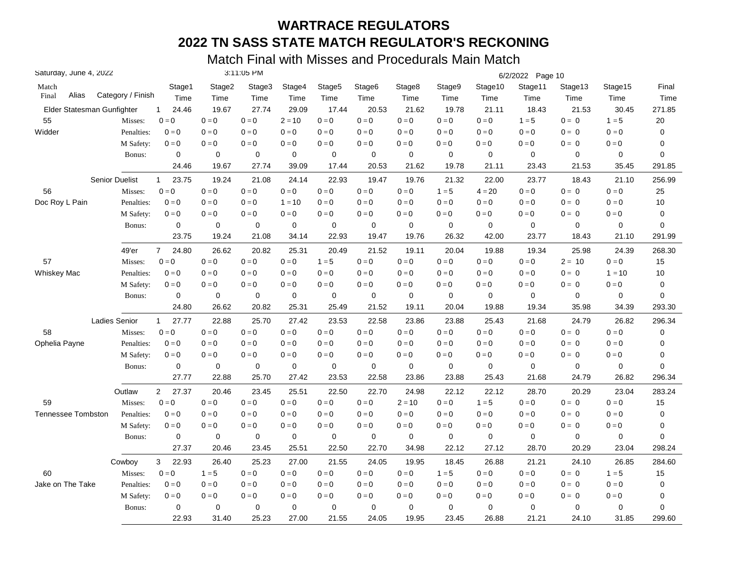| Saturday, June 4, 2022     |                       |                         |             | 3:11:05 PM |             |         |         |             |         |             | 6/2/2022 Page 10 |             |          |        |
|----------------------------|-----------------------|-------------------------|-------------|------------|-------------|---------|---------|-------------|---------|-------------|------------------|-------------|----------|--------|
| Match                      |                       | Stage1                  | Stage2      | Stage3     | Stage4      | Stage5  | Stage6  | Stage8      | Stage9  | Stage10     | Stage11          | Stage13     | Stage15  | Final  |
| Alias<br>Final             | Category / Finish     | Time                    | Time        | Time       | Time        | Time    | Time    | Time        | Time    | Time        | Time             | Time        | Time     | Time   |
| Elder Statesman Gunfighter |                       | 24.46<br>$\mathbf{1}$   | 19.67       | 27.74      | 29.09       | 17.44   | 20.53   | 21.62       | 19.78   | 21.11       | 18.43            | 21.53       | 30.45    | 271.85 |
| 55                         | Misses:               | $0 = 0$                 | $0=0$       | $0 = 0$    | $2 = 10$    | $0 = 0$ | $0=0$   | $0 = 0$     | $0 = 0$ | $0 = 0$     | $1 = 5$          | $0 = 0$     | $1 = 5$  | $20\,$ |
| Widder                     | Penalties:            | $0 = 0$                 | $0=0$       | $0 = 0$    | $0 = 0$     | $0 = 0$ | $0=0$   | $0 = 0$     | $0 = 0$ | $0 = 0$     | $0 = 0$          | $0 = 0$     | $0 = 0$  | 0      |
|                            | M Safety:             | $0=0$                   | $0 = 0$     | $0 = 0$    | $0=0$       | $0 = 0$ | $0 = 0$ | $0 = 0$     | $0 = 0$ | $0 = 0$     | $0 = 0$          | $0 = 0$     | $0=0$    | 0      |
|                            | Bonus:                | $\mathbf 0$             | 0           | 0          | $\mathbf 0$ | 0       | 0       | 0           | 0       | $\mathbf 0$ | $\mathbf 0$      | 0           | 0        | 0      |
|                            |                       | 24.46                   | 19.67       | 27.74      | 39.09       | 17.44   | 20.53   | 21.62       | 19.78   | 21.11       | 23.43            | 21.53       | 35.45    | 291.85 |
|                            | <b>Senior Duelist</b> | 23.75<br>1              | 19.24       | 21.08      | 24.14       | 22.93   | 19.47   | 19.76       | 21.32   | 22.00       | 23.77            | 18.43       | 21.10    | 256.99 |
| 56                         | Misses:               | $0=0$                   | $0=0$       | $0 = 0$    | $0 = 0$     | $0 = 0$ | $0=0$   | $0=0$       | $1 = 5$ | $4 = 20$    | $0 = 0$          | $0 = 0$     | $0 = 0$  | 25     |
| Doc Roy L Pain             | Penalties:            | $0 = 0$                 | $0 = 0$     | $0 = 0$    | $1 = 10$    | $0 = 0$ | $0 = 0$ | $0 = 0$     | $0 = 0$ | $0 = 0$     | $0 = 0$          | $0 = 0$     | $0 = 0$  | 10     |
|                            | M Safety:             | $0 = 0$                 | $0 = 0$     | $0 = 0$    | $0 = 0$     | $0 = 0$ | $0 = 0$ | $0 = 0$     | $0 = 0$ | $0 = 0$     | $0 = 0$          | $0 = 0$     | $0 = 0$  | 0      |
|                            | Bonus:                | 0                       | 0           | 0          | $\mathbf 0$ | 0       | 0       | 0           | 0       | 0           | $\mathbf 0$      | 0           | 0        | 0      |
|                            |                       | 23.75                   | 19.24       | 21.08      | 34.14       | 22.93   | 19.47   | 19.76       | 26.32   | 42.00       | 23.77            | 18.43       | 21.10    | 291.99 |
|                            | 49'er                 | $\overline{7}$<br>24.80 | 26.62       | 20.82      | 25.31       | 20.49   | 21.52   | 19.11       | 20.04   | 19.88       | 19.34            | 25.98       | 24.39    | 268.30 |
| 57                         | Misses:               | $0 = 0$                 | $0 = 0$     | $0 = 0$    | $0 = 0$     | $1 = 5$ | $0 = 0$ | $0 = 0$     | $0 = 0$ | $0 = 0$     | $0 = 0$          | $2 = 10$    | $0 = 0$  | 15     |
| Whiskey Mac                | Penalties:            | $0 = 0$                 | $0 = 0$     | $0 = 0$    | $0 = 0$     | $0 = 0$ | $0 = 0$ | $0 = 0$     | $0 = 0$ | $0 = 0$     | $0 = 0$          | $0 = 0$     | $1 = 10$ | 10     |
|                            | M Safety:             | $0 = 0$                 | $0 = 0$     | $0 = 0$    | $0 = 0$     | $0 = 0$ | $0 = 0$ | $0 = 0$     | $0 = 0$ | $0 = 0$     | $0 = 0$          | $0 = 0$     | $0 = 0$  | 0      |
|                            | Bonus:                | $\mathbf 0$             | $\mathbf 0$ | 0          | $\mathbf 0$ | 0       | 0       | $\mathbf 0$ | 0       | 0           | $\mathbf 0$      | 0           | 0        | 0      |
|                            |                       | 24.80                   | 26.62       | 20.82      | 25.31       | 25.49   | 21.52   | 19.11       | 20.04   | 19.88       | 19.34            | 35.98       | 34.39    | 293.30 |
|                            | Ladies Senior         | 27.77<br>$\mathbf{1}$   | 22.88       | 25.70      | 27.42       | 23.53   | 22.58   | 23.86       | 23.88   | 25.43       | 21.68            | 24.79       | 26.82    | 296.34 |
| 58                         | Misses:               | $0 = 0$                 | $0 = 0$     | $0 = 0$    | $0 = 0$     | $0 = 0$ | $0 = 0$ | $0 = 0$     | $0 = 0$ | $0 = 0$     | $0 = 0$          | $0 = 0$     | $0 = 0$  | 0      |
| Ophelia Payne              | Penalties:            | $0 = 0$                 | $0=0$       | $0 = 0$    | $0 = 0$     | $0 = 0$ | $0 = 0$ | $0 = 0$     | $0 = 0$ | $0 = 0$     | $0 = 0$          | $0 = 0$     | $0 = 0$  | 0      |
|                            | M Safety:             | $0 = 0$                 | $0 = 0$     | $0 = 0$    | $0 = 0$     | $0 = 0$ | $0 = 0$ | $0 = 0$     | $0 = 0$ | $0 = 0$     | $0 = 0$          | $0 = 0$     | $0=0$    | 0      |
|                            | Bonus:                | $\mathbf 0$             | $\mathbf 0$ | 0          | $\mathbf 0$ | 0       | 0       | $\mathbf 0$ | 0       | $\mathbf 0$ | $\mathbf 0$      | $\mathbf 0$ | 0        | 0      |
|                            |                       | 27.77                   | 22.88       | 25.70      | 27.42       | 23.53   | 22.58   | 23.86       | 23.88   | 25.43       | 21.68            | 24.79       | 26.82    | 296.34 |
|                            | Outlaw                | $\overline{2}$<br>27.37 | 20.46       | 23.45      | 25.51       | 22.50   | 22.70   | 24.98       | 22.12   | 22.12       | 28.70            | 20.29       | 23.04    | 283.24 |
| 59                         | Misses:               | $0 = 0$                 | $0 = 0$     | $0 = 0$    | $0 = 0$     | $0 = 0$ | $0 = 0$ | $2 = 10$    | $0 = 0$ | $1 = 5$     | $0 = 0$          | $0 = 0$     | $0 = 0$  | 15     |
| <b>Tennessee Tombston</b>  | Penalties:            | $0 = 0$                 | $0 = 0$     | $0 = 0$    | $0 = 0$     | $0 = 0$ | $0 = 0$ | $0 = 0$     | $0 = 0$ | $0 = 0$     | $0 = 0$          | $0 = 0$     | $0 = 0$  | 0      |
|                            | M Safety:             | $0 = 0$                 | $0 = 0$     | $0 = 0$    | $0 = 0$     | $0 = 0$ | $0 = 0$ | $0 = 0$     | $0 = 0$ | $0 = 0$     | $0 = 0$          | $0 = 0$     | $0 = 0$  | 0      |
|                            | Bonus:                | 0                       | 0           | 0          | $\mathbf 0$ | 0       | 0       | 0           | 0       | 0           | $\mathbf 0$      | 0           | 0        | 0      |
|                            |                       | 27.37                   | 20.46       | 23.45      | 25.51       | 22.50   | 22.70   | 34.98       | 22.12   | 27.12       | 28.70            | 20.29       | 23.04    | 298.24 |
|                            | Cowboy                | 3<br>22.93              | 26.40       | 25.23      | 27.00       | 21.55   | 24.05   | 19.95       | 18.45   | 26.88       | 21.21            | 24.10       | 26.85    | 284.60 |
| 60                         | Misses:               | $0 = 0$                 | $1 = 5$     | $0 = 0$    | $0 = 0$     | $0 = 0$ | $0 = 0$ | $0=0$       | $1 = 5$ | $0 = 0$     | $0 = 0$          | $0 = 0$     | $1 = 5$  | 15     |
| Jake on The Take           | Penalties:            | $0 = 0$                 | $0 = 0$     | $0 = 0$    | $0 = 0$     | $0 = 0$ | $0 = 0$ | $0 = 0$     | $0 = 0$ | $0 = 0$     | $0 = 0$          | $0 = 0$     | $0 = 0$  | 0      |
|                            | M Safety:             | $0 = 0$                 | $0 = 0$     | $0 = 0$    | $0 = 0$     | $0 = 0$ | $0 = 0$ | $0 = 0$     | $0 = 0$ | $0 = 0$     | $0 = 0$          | $0 = 0$     | $0 = 0$  | 0      |
|                            | Bonus:                | $\mathbf 0$             | $\mathbf 0$ | 0          | $\mathbf 0$ | 0       | 0       | 0           | 0       | 0           | $\mathbf 0$      | 0           | 0        | 0      |
|                            |                       | 22.93                   | 31.40       | 25.23      | 27.00       | 21.55   | 24.05   | 19.95       | 23.45   | 26.88       | 21.21            | 24.10       | 31.85    | 299.60 |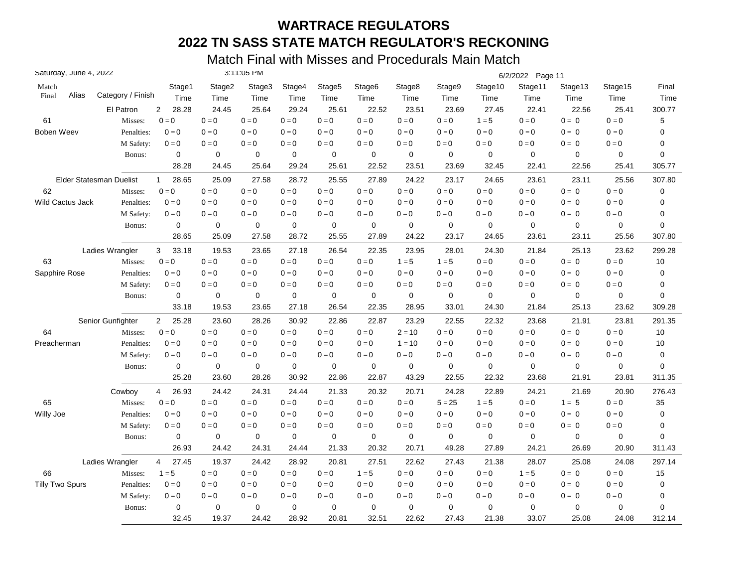| Saturday, June 4, 2022 |                         |                         |             | 3:11:05 PM  |             |                    |                         |             |             |             | 6/2/2022 Page 11          |             |                         |           |
|------------------------|-------------------------|-------------------------|-------------|-------------|-------------|--------------------|-------------------------|-------------|-------------|-------------|---------------------------|-------------|-------------------------|-----------|
| Match                  |                         | Stage1                  | Stage2      | Stage3      | Stage4      | Stage <sub>5</sub> | Stage <sub>6</sub>      | Stage8      | Stage9      | Stage10     | Stage11                   | Stage13     | Stage15                 | Final     |
| Alias<br>Final         | Category / Finish       | Time                    | Time        | Time        | Time        | Time               | Time                    | Time        | Time        | Time        | Time                      | Time        | Time                    | Time      |
|                        | El Patron               | $\overline{2}$<br>28.28 | 24.45       | 25.64       | 29.24       | 25.61              | 22.52                   | 23.51       | 23.69       | 27.45       | 22.41                     | 22.56       | 25.41                   | 300.77    |
| 61                     | Misses:                 | $0 = 0$                 | $0=0$       | $0 = 0$     | $0 = 0$     | $0 = 0$            | $\mathbf{0}=\mathbf{0}$ | $0 = 0$     | $0 = 0$     | $1 = 5$     | $0=0$                     | $0 = 0$     | $0 = 0$                 | 5         |
| <b>Boben Weev</b>      | Penalties:              | $0 = 0$                 | $0 = 0$     | $0 = 0$     | $0 = 0$     | $0 = 0$            | $0 = 0$                 | $0 = 0$     | $0 = 0$     | $0 = 0$     | $0 = 0$                   | $0 = 0$     | $0 = 0$                 | 0         |
|                        | M Safety:               | $0=0$                   | $0 = 0$     | $0 = 0$     | $0 = 0$     | $0=0$              | $0=0$                   | $0 = 0$     | $0 = 0$     | $0 = 0$     | $0 = 0$                   | $0 = 0$     | $0 = 0$                 | 0         |
|                        | Bonus:                  | 0                       | 0           | 0           | $\mathbf 0$ | 0                  | 0                       | $\mathbf 0$ | 0           | 0           | $\mathbf 0$               | 0           | 0                       | 0         |
|                        |                         | 28.28                   | 24.45       | 25.64       | 29.24       | 25.61              | 22.52                   | 23.51       | 23.69       | 32.45       | 22.41                     | 22.56       | 25.41                   | 305.77    |
|                        | Elder Statesman Duelist | 28.65<br>$\mathbf{1}$   | 25.09       | 27.58       | 28.72       | 25.55              | 27.89                   | 24.22       | 23.17       | 24.65       | 23.61                     | 23.11       | 25.56                   | 307.80    |
| 62                     | Misses:                 | $0=0$                   | $0 = 0$     | $0 = 0$     | $0 = 0$     | $0 = 0$            | $0 = 0$                 | $0 = 0$     | $0=0$       | $0 = 0$     | $0=0$                     | $0 = 0$     | $0 = 0$                 | 0         |
| Wild Cactus Jack       | Penalties:              | $0 = 0$                 | $0 = 0$     | $0 = 0$     | $0 = 0$     | $0 = 0$            | $0 = 0$                 | $0 = 0$     | $0 = 0$     | $0 = 0$     | $0 = 0$                   | $0 = 0$     | $0 = 0$                 | 0         |
|                        | M Safety:               | $0 = 0$                 | $0 = 0$     | $0 = 0$     | $0 = 0$     | $0 = 0$            | $0 = 0$                 | $0 = 0$     | $0 = 0$     | $0 = 0$     | $0 = 0$                   | $0 = 0$     | $0 = 0$                 | 0         |
|                        | Bonus:                  | $\mathbf 0$             | $\mathbf 0$ | 0           | $\mathbf 0$ | 0                  | 0                       | $\mathbf 0$ | 0           | $\mathbf 0$ | $\mathbf 0$               | 0           | 0                       | 0         |
|                        |                         | 28.65                   | 25.09       | 27.58       | 28.72       | 25.55              | 27.89                   | 24.22       | 23.17       | 24.65       | 23.61                     | 23.11       | 25.56                   | 307.80    |
|                        | Ladies Wrangler         | 33.18<br>3              | 19.53       | 23.65       | 27.18       | 26.54              | 22.35                   | 23.95       | 28.01       | 24.30       | 21.84                     | 25.13       | 23.62                   | 299.28    |
| 63                     | Misses:                 | $0 = 0$                 | $0 = 0$     | $0 = 0$     | $0 = 0$     | $0 = 0$            | $0 = 0$                 | $1 = 5$     | $1 = 5$     | $0 = 0$     | $0 = 0$                   | $0 = 0$     | $0 = 0$                 | 10        |
| Sapphire Rose          | Penalties:              | $0 = 0$                 | $0 = 0$     | $0 = 0$     | $0 = 0$     | $0=0$              | $0 = 0$                 | $0 = 0$     | $0=0$       | $0 = 0$     | $0 = 0$                   | $0 = 0$     | $0 = 0$                 | 0         |
|                        | M Safety:               | $0 = 0$                 | $0 = 0$     | $0 = 0$     | $0 = 0$     | $0 = 0$            | $0 = 0$                 | $0 = 0$     | $0 = 0$     | $0 = 0$     | $0 = 0$                   | $0 = 0$     | $0 = 0$                 | 0         |
|                        | Bonus:                  | 0                       | 0           | 0           | 0           | 0                  | 0                       | $\mathbf 0$ | 0           | 0           | 0                         | $\mathbf 0$ | 0                       | 0         |
|                        |                         | 33.18                   | 19.53       | 23.65       | 27.18       | 26.54              | 22.35                   | 28.95       | 33.01       | 24.30       | 21.84                     | 25.13       | 23.62                   | 309.28    |
|                        | Senior Gunfighter       | 25.28<br>$\overline{2}$ | 23.60       | 28.26       | 30.92       | 22.86              | 22.87                   | 23.29       | 22.55       | 22.32       | 23.68                     | 21.91       | 23.81                   | 291.35    |
| 64                     | Misses:                 | $0 = 0$                 | $0 = 0$     | $0 = 0$     | $0 = 0$     | $0 = 0$            | $0 = 0$                 | $2 = 10$    | $0 = 0$     | $0 = 0$     | $0 = 0$                   | $0 = 0$     | $0 = 0$                 | 10        |
| Preacherman            | Penalties:              | $0 = 0$                 | $0 = 0$     | $0 = 0$     | $0 = 0$     | $0 = 0$            | $0 = 0$                 | $1 = 10$    | $0 = 0$     | $0 = 0$     | $0 = 0$                   | $0 = 0$     | $0 = 0$                 | 10        |
|                        | M Safety:               | $0 = 0$                 | $0 = 0$     | $0 = 0$     | $0 = 0$     | $0=0$              | $0 = 0$                 | $0 = 0$     | $0 = 0$     | $0 = 0$     | $0 = 0$                   | $0 = 0$     | $0 = 0$                 | 0         |
|                        | Bonus:                  | $\mathbf 0$             | $\mathbf 0$ | $\mathbf 0$ | 0           | $\mathbf 0$        | 0                       | $\mathbf 0$ | $\mathbf 0$ | $\mathbf 0$ | $\mathbf 0$               | $\mathbf 0$ | 0                       | 0         |
|                        |                         | 25.28                   | 23.60       | 28.26       | 30.92       | 22.86              | 22.87                   | 43.29       | 22.55       | 22.32       | 23.68                     | 21.91       | 23.81                   | 311.35    |
|                        | Cowboy                  | 26.93<br>4              | 24.42       | 24.31       | 24.44       | 21.33              | 20.32                   | 20.71       | 24.28       | 22.89       | 24.21                     | 21.69       | 20.90                   | 276.43    |
| 65                     | Misses:                 | $0 = 0$                 | $0 = 0$     | $0 = 0$     | $0 = 0$     | $0 = 0$            | $0 = 0$                 | $0 = 0$     | $5 = 25$    | $1 = 5$     | $\mathbf{0} = \mathbf{0}$ | $1 = 5$     | $\mathbf{0}=\mathbf{0}$ | 35        |
| Willy Joe              | Penalties:              | $0 = 0$                 | $0 = 0$     | $0 = 0$     | $0 = 0$     | $0 = 0$            | $0 = 0$                 | $0 = 0$     | $0 = 0$     | $0 = 0$     | $0 = 0$                   | $0 = 0$     | $0 = 0$                 | $\pmb{0}$ |
|                        | M Safety:               | $0 = 0$                 | $0 = 0$     | $0 = 0$     | $0 = 0$     | $0 = 0$            | $0 = 0$                 | $0 = 0$     | $0 = 0$     | $0 = 0$     | $0 = 0$                   | $0 = 0$     | $0 = 0$                 | 0         |
|                        | Bonus:                  | 0                       | 0           | 0           | 0           | 0                  | 0                       | $\mathbf 0$ | 0           | $\mathbf 0$ | $\mathbf 0$               | 0           | 0                       | 0         |
|                        |                         | 26.93                   | 24.42       | 24.31       | 24.44       | 21.33              | 20.32                   | 20.71       | 49.28       | 27.89       | 24.21                     | 26.69       | 20.90                   | 311.43    |
|                        | Ladies Wrangler         | $\overline{4}$<br>27.45 | 19.37       | 24.42       | 28.92       | 20.81              | 27.51                   | 22.62       | 27.43       | 21.38       | 28.07                     | 25.08       | 24.08                   | 297.14    |
| 66                     | Misses:                 | $1 = 5$                 | $0 = 0$     | $0 = 0$     | $0 = 0$     | $0=0$              | $1 = 5$                 | $0 = 0$     | $0 = 0$     | $0 = 0$     | $1 = 5$                   | $0 = 0$     | $0 = 0$                 | 15        |
| <b>Tilly Two Spurs</b> | Penalties:              | $0 = 0$                 | $0 = 0$     | $0 = 0$     | $0 = 0$     | $0 = 0$            | $0 = 0$                 | $0 = 0$     | $0 = 0$     | $0 = 0$     | $0 = 0$                   | $0 = 0$     | $0 = 0$                 | 0         |
|                        | M Safety:               | $0=0$                   | $0 = 0$     | $0 = 0$     | $0 = 0$     | $0 = 0$            | $0 = 0$                 | $0 = 0$     | $0 = 0$     | $0 = 0$     | $0 = 0$                   | $0 = 0$     | $0 = 0$                 | 0         |
|                        | Bonus:                  | 0                       | $\mathbf 0$ | 0           | $\mathbf 0$ | 0                  | $\mathbf 0$             | $\mathbf 0$ | $\mathbf 0$ | $\mathbf 0$ | $\mathbf 0$               | 0           | 0                       | 0         |
|                        |                         | 32.45                   | 19.37       | 24.42       | 28.92       | 20.81              | 32.51                   | 22.62       | 27.43       | 21.38       | 33.07                     | 25.08       | 24.08                   | 312.14    |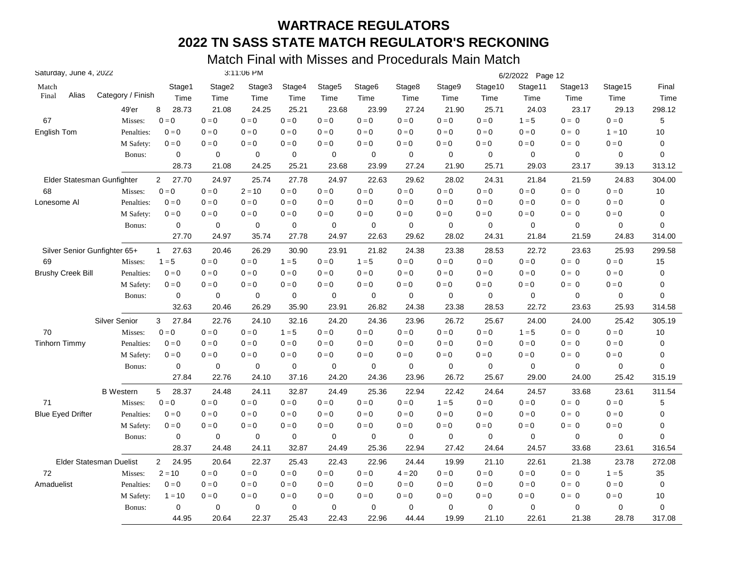| Saturday, June 4, 2022   |                                |                         |             | 3:11:06 PM  |                           |                    |             |             |                         |             | 6/2/2022 Page 12 |             |                         |                |
|--------------------------|--------------------------------|-------------------------|-------------|-------------|---------------------------|--------------------|-------------|-------------|-------------------------|-------------|------------------|-------------|-------------------------|----------------|
| Match                    |                                | Stage1                  | Stage2      | Stage3      | Stage4                    | Stage <sub>5</sub> | Stage6      | Stage8      | Stage9                  | Stage10     | Stage11          | Stage13     | Stage15                 | Final          |
| Alias<br>Final           | Category / Finish              | Time                    | Time        | Time        | Time                      | Time               | Time        | Time        | Time                    | Time        | Time             | Time        | Time                    | Time           |
|                          | 49'er                          | 8<br>28.73              | 21.08       | 24.25       | 25.21                     | 23.68              | 23.99       | 27.24       | 21.90                   | 25.71       | 24.03            | 23.17       | 29.13                   | 298.12         |
| 67                       | Misses:                        | $\mathbf{0}=\mathbf{0}$ | $0 = 0$     | $0 = 0$     | $0 = 0$                   | $0=0$              | $0 = 0$     | $0 = 0$     | $0 = 0$                 | $0 = 0$     | $1 = 5$          | $0 = 0$     | $0 = 0$                 | 5              |
| English Tom              | Penalties:                     | $0 = 0$                 | $0 = 0$     | $0 = 0$     | $0 = 0$                   | $0 = 0$            | $0 = 0$     | $0 = 0$     | $0 = 0$                 | $0 = 0$     | $0 = 0$          | $0 = 0$     | $1 = 10$                | 10             |
|                          | M Safety:                      | $0=0$                   | $0=0$       | $0 = 0$     | $0 = 0$                   | $0 = 0$            | $0 = 0$     | $0 = 0$     | $0 = 0$                 | $0=0$       | $0 = 0$          | $0 = 0$     | $0=0$                   | 0              |
|                          | Bonus:                         | $\mathbf 0$             | $\mathbf 0$ | $\mathbf 0$ | $\mathbf 0$               | $\mathbf 0$        | $\mathbf 0$ | $\mathbf 0$ | $\mathbf 0$             | $\mathbf 0$ | $\mathbf 0$      | 0           | $\Omega$                | $\overline{0}$ |
|                          |                                | 28.73                   | 21.08       | 24.25       | 25.21                     | 23.68              | 23.99       | 27.24       | 21.90                   | 25.71       | 29.03            | 23.17       | 39.13                   | 313.12         |
|                          | Elder Statesman Gunfighter     | 27.70<br>$\mathbf{2}$   | 24.97       | 25.74       | 27.78                     | 24.97              | 22.63       | 29.62       | 28.02                   | 24.31       | 21.84            | 21.59       | 24.83                   | 304.00         |
| 68                       | Misses:                        | $0 = 0$                 | $0=0$       | $2 = 10$    | $0 = 0$                   | $0=0$              | $0 = 0$     | $0 = 0$     | $0 = 0$                 | $0 = 0$     | $0 = 0$          | $0 = 0$     | $0 = 0$                 | 10             |
| Lonesome Al              | Penalties:                     | $0 = 0$                 | $0 = 0$     | $0 = 0$     | $0 = 0$                   | $0 = 0$            | $0 = 0$     | $0 = 0$     | $0 = 0$                 | $0 = 0$     | $0 = 0$          | $0 = 0$     | $0 = 0$                 | 0              |
|                          | M Safety:                      | $0 = 0$                 | $0 = 0$     | $0 = 0$     | $0 = 0$                   | $0 = 0$            | $0 = 0$     | $0 = 0$     | $0 = 0$                 | $0 = 0$     | $0 = 0$          | $0 = 0$     | $0 = 0$                 | $\pmb{0}$      |
|                          | Bonus:                         | 0                       | $\mathbf 0$ | $\mathbf 0$ | $\mathbf 0$               | $\mathbf 0$        | 0           | $\mathbf 0$ | $\mathbf 0$             | $\mathbf 0$ | $\mathbf 0$      | 0           | 0                       | $\mathbf 0$    |
|                          |                                | 27.70                   | 24.97       | 35.74       | 27.78                     | 24.97              | 22.63       | 29.62       | 28.02                   | 24.31       | 21.84            | 21.59       | 24.83                   | 314.00         |
|                          | Silver Senior Gunfighter 65+   | 27.63<br>$\mathbf{1}$   | 20.46       | 26.29       | 30.90                     | 23.91              | 21.82       | 24.38       | 23.38                   | 28.53       | 22.72            | 23.63       | 25.93                   | 299.58         |
| 69                       | Misses:                        | $1 = 5$                 | $0=0$       | $0 = 0$     | $1 = 5$                   | $0=0$              | $1 = 5$     | $0 = 0$     | $0 = 0$                 | $0=0$       | $0 = 0$          | $0 = 0$     | $0 = 0$                 | 15             |
| <b>Brushy Creek Bill</b> | Penalties:                     | $0 = 0$                 | $0 = 0$     | $0 = 0$     | $0 = 0$                   | $0 = 0$            | $0 = 0$     | $0 = 0$     | $0 = 0$                 | $0=0$       | $0 = 0$          | $0 = 0$     | $0 = 0$                 | 0              |
|                          | M Safety:                      | $0 = 0$                 | $0 = 0$     | $0 = 0$     | $0 = 0$                   | $0 = 0$            | $0 = 0$     | $0 = 0$     | $0 = 0$                 | $0 = 0$     | $0 = 0$          | $0 = 0$     | $0 = 0$                 | 0              |
|                          | Bonus:                         | 0                       | 0           | 0           | 0                         | 0                  | 0           | $\mathbf 0$ | 0                       | 0           | 0                | $\mathbf 0$ | 0                       | $\mathbf 0$    |
|                          |                                | 32.63                   | 20.46       | 26.29       | 35.90                     | 23.91              | 26.82       | 24.38       | 23.38                   | 28.53       | 22.72            | 23.63       | 25.93                   | 314.58         |
|                          | <b>Silver Senior</b>           | 27.84<br>3              | 22.76       | 24.10       | 32.16                     | 24.20              | 24.36       | 23.96       | 26.72                   | 25.67       | 24.00            | 24.00       | 25.42                   | 305.19         |
| 70                       | Misses:                        | $0 = 0$                 | $0 = 0$     | $0 = 0$     | $1 = 5$                   | $0 = 0$            | $0 = 0$     | $0 = 0$     | $0 = 0$                 | $0 = 0$     | $1 = 5$          | $0 = 0$     | $0 = 0$                 | 10             |
| <b>Tinhorn Timmy</b>     | Penalties:                     | $0 = 0$                 | $0 = 0$     | $0 = 0$     | $0 = 0$                   | $0=0$              | $0 = 0$     | $0 = 0$     | $\mathbf{0}=\mathbf{0}$ | $0 = 0$     | $0=0$            | $0 = 0$     | $0 = 0$                 | 0              |
|                          | M Safety:                      | $0 = 0$                 | $0 = 0$     | $0 = 0$     | $\mathbf{0} = \mathbf{0}$ | $0=0$              | $0 = 0$     | $0 = 0$     | $0 = 0$                 | $0 = 0$     | $0 = 0$          | $0 = 0$     | $0 = 0$                 | 0              |
|                          | Bonus:                         | $\mathbf 0$             | $\mathbf 0$ | $\mathbf 0$ | $\mathbf 0$               | $\mathbf 0$        | 0           | $\mathbf 0$ | $\mathbf 0$             | $\mathbf 0$ | $\mathbf 0$      | $\mathbf 0$ | 0                       | $\mathbf 0$    |
|                          |                                | 27.84                   | 22.76       | 24.10       | 37.16                     | 24.20              | 24.36       | 23.96       | 26.72                   | 25.67       | 29.00            | 24.00       | 25.42                   | 315.19         |
|                          | <b>B</b> Western               | 28.37<br>5              | 24.48       | 24.11       | 32.87                     | 24.49              | 25.36       | 22.94       | 22.42                   | 24.64       | 24.57            | 33.68       | 23.61                   | 311.54         |
| 71                       | Misses:                        | $0 = 0$                 | $0=0$       | $0 = 0$     | $0 = 0$                   | $0 = 0$            | $0 = 0$     | $0 = 0$     | $1 = 5$                 | $0 = 0$     | $0=0$            | $0 = 0$     | $\mathbf{0}=\mathbf{0}$ | 5              |
| <b>Blue Eyed Drifter</b> | Penalties:                     | $0 = 0$                 | $0=0$       | $0 = 0$     | $0 = 0$                   | $0 = 0$            | $0 = 0$     | $0 = 0$     | $0 = 0$                 | $0 = 0$     | $0 = 0$          | $0 = 0$     | $0 = 0$                 | 0              |
|                          | M Safety:                      | $0 = 0$                 | $0 = 0$     | $0 = 0$     | $0 = 0$                   | $0 = 0$            | $0 = 0$     | $0 = 0$     | $0 = 0$                 | $0 = 0$     | $0 = 0$          | $0 = 0$     | $0 = 0$                 | $\mathbf 0$    |
|                          | Bonus:                         | $\pmb{0}$               | $\mathbf 0$ | 0           | 0                         | 0                  | 0           | $\pmb{0}$   | 0                       | $\mathbf 0$ | $\mathbf 0$      | 0           | 0                       | 0              |
|                          |                                | 28.37                   | 24.48       | 24.11       | 32.87                     | 24.49              | 25.36       | 22.94       | 27.42                   | 24.64       | 24.57            | 33.68       | 23.61                   | 316.54         |
|                          | <b>Elder Statesman Duelist</b> | $\overline{2}$<br>24.95 | 20.64       | 22.37       | 25.43                     | 22.43              | 22.96       | 24.44       | 19.99                   | 21.10       | 22.61            | 21.38       | 23.78                   | 272.08         |
| 72                       | Misses:                        | $2 = 10$                | $0 = 0$     | $0 = 0$     | $0 = 0$                   | $0 = 0$            | $0 = 0$     | $4 = 20$    | $0=0$                   | $0=0$       | $0 = 0$          | $0 = 0$     | $1 = 5$                 | 35             |
| Amaduelist               | Penalties:                     | $0=0$                   | $0 = 0$     | $0 = 0$     | $0 = 0$                   | $0=0$              | $0=0$       | $0 = 0$     | $0 = 0$                 | $0 = 0$     | $0=0$            | $0 = 0$     | $0 = 0$                 | $\mathbf 0$    |
|                          | M Safety:                      | $1 = 10$                | $0 = 0$     | $0 = 0$     | $0 = 0$                   | $0=0$              | $0 = 0$     | $0 = 0$     | $0 = 0$                 | $0 = 0$     | $0 = 0$          | $0 = 0$     | $0 = 0$                 | 10             |
|                          | Bonus:                         | 0                       | $\mathbf 0$ | $\mathbf 0$ | $\mathbf 0$               | $\mathbf 0$        | 0           | $\mathbf 0$ | $\mathbf 0$             | $\mathbf 0$ | $\mathbf 0$      | 0           | 0                       | 0              |
|                          |                                | 44.95                   | 20.64       | 22.37       | 25.43                     | 22.43              | 22.96       | 44.44       | 19.99                   | 21.10       | 22.61            | 21.38       | 28.78                   | 317.08         |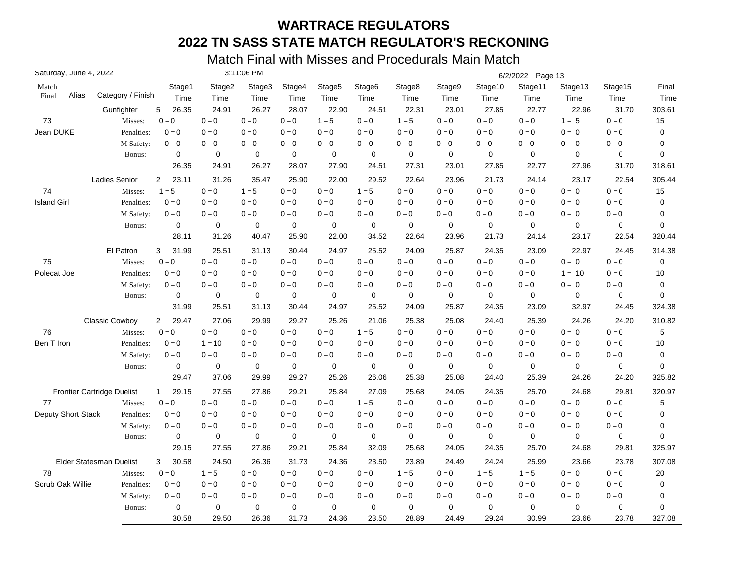| Saturday, June 4, 2022 |                                   |                         |             | 3:11:06 PM |         |                    |                    |             |         |             | 6/2/2022 Page 13 |             |                         |             |
|------------------------|-----------------------------------|-------------------------|-------------|------------|---------|--------------------|--------------------|-------------|---------|-------------|------------------|-------------|-------------------------|-------------|
| Match                  |                                   | Stage1                  | Stage2      | Stage3     | Stage4  | Stage <sub>5</sub> | Stage <sub>6</sub> | Stage8      | Stage9  | Stage10     | Stage11          | Stage13     | Stage15                 | Final       |
| Alias<br>Final         | Category / Finish                 | Time                    | Time        | Time       | Time    | Time               | Time               | Time        | Time    | Time        | Time             | Time        | Time                    | Time        |
|                        | Gunfighter                        | 5<br>26.35              | 24.91       | 26.27      | 28.07   | 22.90              | 24.51              | 22.31       | 23.01   | 27.85       | 22.77            | 22.96       | 31.70                   | 303.61      |
| 73                     | Misses:                           | $0 = 0$                 | $0=0$       | $0 = 0$    | $0 = 0$ | $1 = 5$            | $0 = 0$            | $1 = 5$     | $0 = 0$ | $0=0$       | $0=0$            | $1 = 5$     | $0 = 0$                 | 15          |
| Jean DUKE              | Penalties:                        | $0 = 0$                 | $0 = 0$     | $0 = 0$    | $0 = 0$ | $0 = 0$            | $0 = 0$            | $0 = 0$     | $0 = 0$ | $0 = 0$     | $0 = 0$          | $0 = 0$     | $0 = 0$                 | 0           |
|                        | M Safety:                         | $0 = 0$                 | $0=0$       | $0 = 0$    | $0 = 0$ | $0 = 0$            | $0 = 0$            | $0 = 0$     | $0 = 0$ | $0 = 0$     | $0=0$            | $0 = 0$     | $0 = 0$                 | 0           |
|                        | Bonus:                            | 0                       | 0           | 0          | 0       | 0                  | 0                  | $\mathbf 0$ | 0       | 0           | $\mathbf 0$      | 0           | 0                       | 0           |
|                        |                                   | 26.35                   | 24.91       | 26.27      | 28.07   | 27.90              | 24.51              | 27.31       | 23.01   | 27.85       | 22.77            | 27.96       | 31.70                   | 318.61      |
|                        | Ladies Senior                     | $\overline{2}$<br>23.11 | 31.26       | 35.47      | 25.90   | 22.00              | 29.52              | 22.64       | 23.96   | 21.73       | 24.14            | 23.17       | 22.54                   | 305.44      |
| 74                     | Misses:                           | $1 = 5$                 | $0=0$       | $1 = 5$    | $0=0$   | $0 = 0$            | $1 = 5$            | $0 = 0$     | $0=0$   | $0 = 0$     | $0=0$            | $0 = 0$     | $0 = 0$                 | 15          |
| <b>Island Girl</b>     | Penalties:                        | $0 = 0$                 | $0 = 0$     | $0 = 0$    | $0 = 0$ | $0 = 0$            | $0 = 0$            | $0 = 0$     | $0 = 0$ | $0 = 0$     | $0 = 0$          | $0 = 0$     | $0 = 0$                 | 0           |
|                        | M Safety:                         | $0 = 0$                 | $0 = 0$     | $0 = 0$    | $0 = 0$ | $0 = 0$            | $0 = 0$            | $0 = 0$     | $0 = 0$ | $0 = 0$     | $0 = 0$          | $0 = 0$     | $0 = 0$                 | 0           |
|                        | Bonus:                            | 0                       | $\mathbf 0$ | 0          | 0       | 0                  | $\mathbf 0$        | $\mathbf 0$ | 0       | $\mathbf 0$ | $\mathbf 0$      | $\mathbf 0$ | 0                       | 0           |
|                        |                                   | 28.11                   | 31.26       | 40.47      | 25.90   | 22.00              | 34.52              | 22.64       | 23.96   | 21.73       | 24.14            | 23.17       | 22.54                   | 320.44      |
|                        | El Patron                         | 31.99<br>3              | 25.51       | 31.13      | 30.44   | 24.97              | 25.52              | 24.09       | 25.87   | 24.35       | 23.09            | 22.97       | 24.45                   | 314.38      |
| 75                     | Misses:                           | $0 = 0$                 | $0 = 0$     | $0 = 0$    | $0 = 0$ | $0 = 0$            | $0 = 0$            | $0 = 0$     | $0 = 0$ | $0 = 0$     | $0 = 0$          | $0 = 0$     | $0 = 0$                 | $\mathbf 0$ |
| Polecat Joe            | Penalties:                        | $0 = 0$                 | $0=0$       | $0 = 0$    | $0 = 0$ | $0 = 0$            | $0 = 0$            | $0 = 0$     | $0 = 0$ | $0 = 0$     | $0 = 0$          | $1 = 10$    | $0 = 0$                 | 10          |
|                        | M Safety:                         | $0 = 0$                 | $0 = 0$     | $0 = 0$    | $0 = 0$ | $0 = 0$            | $0 = 0$            | $0 = 0$     | $0 = 0$ | $0 = 0$     | $0 = 0$          | $0 = 0$     | $0 = 0$                 | 0           |
|                        | Bonus:                            | $\mathbf 0$             | 0           | 0          | 0       | 0                  | 0                  | 0           | 0       | 0           | 0                | 0           | 0                       | 0           |
|                        |                                   | 31.99                   | 25.51       | 31.13      | 30.44   | 24.97              | 25.52              | 24.09       | 25.87   | 24.35       | 23.09            | 32.97       | 24.45                   | 324.38      |
|                        | Classic Cowboy                    | 29.47<br>$\overline{2}$ | 27.06       | 29.99      | 29.27   | 25.26              | 21.06              | 25.38       | 25.08   | 24.40       | 25.39            | 24.26       | 24.20                   | 310.82      |
| 76                     | Misses:                           | $0 = 0$                 | $0 = 0$     | $0 = 0$    | $0 = 0$ | $0 = 0$            | $1 = 5$            | $0 = 0$     | $0 = 0$ | $0 = 0$     | $0 = 0$          | $0 = 0$     | $0 = 0$                 | 5           |
| Ben T Iron             | Penalties:                        | $0 = 0$                 | $1 = 10$    | $0 = 0$    | $0 = 0$ | $0 = 0$            | $0 = 0$            | $0 = 0$     | $0 = 0$ | $0 = 0$     | $0 = 0$          | $0 = 0$     | $0 = 0$                 | 10          |
|                        | M Safety:                         | $0 = 0$                 | $0 = 0$     | $0 = 0$    | $0=0$   | $0=0$              | $0 = 0$            | $0 = 0$     | $0 = 0$ | $0 = 0$     | $0 = 0$          | $0 = 0$     | $0 = 0$                 | 0           |
|                        | Bonus:                            | $\mathbf 0$             | $\mathbf 0$ | 0          | 0       | $\mathbf 0$        | $\mathbf 0$        | $\mathbf 0$ | 0       | $\mathbf 0$ | $\mathbf 0$      | $\mathbf 0$ | 0                       | 0           |
|                        |                                   | 29.47                   | 37.06       | 29.99      | 29.27   | 25.26              | 26.06              | 25.38       | 25.08   | 24.40       | 25.39            | 24.26       | 24.20                   | 325.82      |
|                        | <b>Frontier Cartridge Duelist</b> | 29.15<br>$\mathbf{1}$   | 27.55       | 27.86      | 29.21   | 25.84              | 27.09              | 25.68       | 24.05   | 24.35       | 25.70            | 24.68       | 29.81                   | 320.97      |
| 77                     | Misses:                           | $0 = 0$                 | $0 = 0$     | $0 = 0$    | $0 = 0$ | $0 = 0$            | $1 = 5$            | $0 = 0$     | $0 = 0$ | $0 = 0$     | $0 = 0$          | $0 = 0$     | $\mathbf{0}=\mathbf{0}$ | 5           |
| Deputy Short Stack     | Penalties:                        | $0 = 0$                 | $0 = 0$     | $0 = 0$    | $0 = 0$ | $0 = 0$            | $0 = 0$            | $0 = 0$     | $0 = 0$ | $0 = 0$     | $0 = 0$          | $0 = 0$     | $0 = 0$                 | 0           |
|                        | M Safety:                         | $0 = 0$                 | $0 = 0$     | $0 = 0$    | $0 = 0$ | $0 = 0$            | $0 = 0$            | $0 = 0$     | $0 = 0$ | $0 = 0$     | $0 = 0$          | $0 = 0$     | $0 = 0$                 | 0           |
|                        | Bonus:                            | 0                       | $\mathbf 0$ | 0          | 0       | 0                  | $\mathbf 0$        | $\mathbf 0$ | 0       | $\mathbf 0$ | $\mathbf 0$      | 0           | 0                       | 0           |
|                        |                                   | 29.15                   | 27.55       | 27.86      | 29.21   | 25.84              | 32.09              | 25.68       | 24.05   | 24.35       | 25.70            | 24.68       | 29.81                   | 325.97      |
|                        | Elder Statesman Duelist           | 30.58<br>3              | 24.50       | 26.36      | 31.73   | 24.36              | 23.50              | 23.89       | 24.49   | 24.24       | 25.99            | 23.66       | 23.78                   | 307.08      |
| 78                     | Misses:                           | $0 = 0$                 | $1 = 5$     | $0 = 0$    | $0 = 0$ | $0=0$              | $0 = 0$            | $1 = 5$     | $0 = 0$ | $1 = 5$     | $1 = 5$          | $0 = 0$     | $0 = 0$                 | 20          |
| Scrub Oak Willie       | Penalties:                        | $0 = 0$                 | $0 = 0$     | $0 = 0$    | $0 = 0$ | $0 = 0$            | $0 = 0$            | $0 = 0$     | $0 = 0$ | $0 = 0$     | $0 = 0$          | $0 = 0$     | $0 = 0$                 | 0           |
|                        | M Safety:                         | $0 = 0$                 | $0=0$       | $0 = 0$    | $0 = 0$ | $0 = 0$            | $0 = 0$            | $0 = 0$     | $0 = 0$ | $0 = 0$     | $0 = 0$          | $0 = 0$     | $0 = 0$                 | 0           |
|                        | Bonus:                            | 0                       | 0           | 0          | 0       | 0                  | $\mathbf 0$        | $\mathbf 0$ | 0       | 0           | 0                | $\mathbf 0$ | 0                       | 0           |
|                        |                                   | 30.58                   | 29.50       | 26.36      | 31.73   | 24.36              | 23.50              | 28.89       | 24.49   | 29.24       | 30.99            | 23.66       | 23.78                   | 327.08      |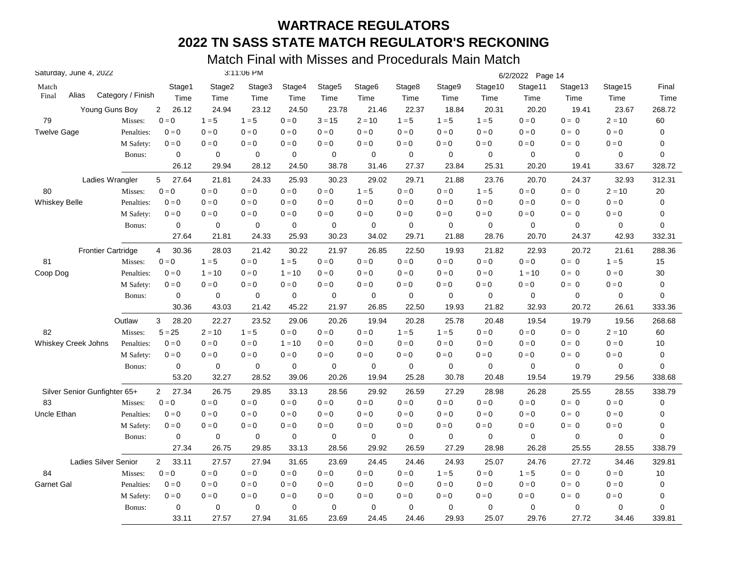| Saturday, June 4, 2022       |                           |                   |                         |             | 3:11:06 PM  |             |                    |                    |             |             |             | 6/2/2022 Page 14 |             |                         |             |
|------------------------------|---------------------------|-------------------|-------------------------|-------------|-------------|-------------|--------------------|--------------------|-------------|-------------|-------------|------------------|-------------|-------------------------|-------------|
| Match                        |                           |                   | Stage1                  | Stage2      | Stage3      | Stage4      | Stage <sub>5</sub> | Stage <sub>6</sub> | Stage8      | Stage9      | Stage10     | Stage11          | Stage13     | Stage15                 | Final       |
| Alias<br>Final               |                           | Category / Finish | Time                    | Time        | Time        | Time        | Time               | Time               | Time        | Time        | Time        | Time             | Time        | Time                    | Time        |
|                              | Young Guns Boy            |                   | 26.12<br>$\overline{2}$ | 24.94       | 23.12       | 24.50       | 23.78              | 21.46              | 22.37       | 18.84       | 20.31       | 20.20            | 19.41       | 23.67                   | 268.72      |
| 79                           |                           | Misses:           | $0 = 0$                 | $1 = 5$     | $1 = 5$     | $0 = 0$     | $3 = 15$           | $2 = 10$           | $1 = 5$     | $1 = 5$     | $1 = 5$     | $0 = 0$          | $0 = 0$     | $2 = 10$                | 60          |
| <b>Twelve Gage</b>           |                           | Penalties:        | $0 = 0$                 | $0 = 0$     | $0 = 0$     | $0 = 0$     | $0 = 0$            | $0 = 0$            | $0 = 0$     | $0 = 0$     | $0 = 0$     | $0 = 0$          | $0 = 0$     | $0 = 0$                 | 0           |
|                              |                           | M Safety:         | $0=0$                   | $0=0$       | $0 = 0$     | $0 = 0$     | $0=0$              | $0 = 0$            | $0 = 0$     | $0 = 0$     | $0 = 0$     | $0 = 0$          | $0 = 0$     | $0 = 0$                 | 0           |
|                              |                           | Bonus:            | $\mathbf 0$             | $\mathbf 0$ | $\mathbf 0$ | $\mathbf 0$ | $\mathbf 0$        | $\mathbf 0$        | $\mathbf 0$ | $\mathbf 0$ | $\mathbf 0$ | $\mathbf 0$      | $\mathbf 0$ | 0                       | 0           |
|                              |                           |                   | 26.12                   | 29.94       | 28.12       | 24.50       | 38.78              | 31.46              | 27.37       | 23.84       | 25.31       | 20.20            | 19.41       | 33.67                   | 328.72      |
|                              | Ladies Wrangler           |                   | 5<br>27.64              | 21.81       | 24.33       | 25.93       | 30.23              | 29.02              | 29.71       | 21.88       | 23.76       | 20.70            | 24.37       | 32.93                   | 312.31      |
| 80                           |                           | Misses:           | $0 = 0$                 | $0 = 0$     | $0 = 0$     | $0 = 0$     | $0 = 0$            | $1 = 5$            | $0 = 0$     | $0=0$       | $1 = 5$     | $0 = 0$          | $0 = 0$     | $2 = 10$                | 20          |
| <b>Whiskey Belle</b>         |                           | Penalties:        | $0 = 0$                 | $0 = 0$     | $0 = 0$     | $0 = 0$     | $0 = 0$            | $0 = 0$            | $0 = 0$     | $0 = 0$     | $0 = 0$     | $0 = 0$          | $0 = 0$     | $0 = 0$                 | 0           |
|                              |                           | M Safety:         | $0 = 0$                 | $0 = 0$     | $0 = 0$     | $0 = 0$     | $0 = 0$            | $0 = 0$            | $0 = 0$     | $0 = 0$     | $0 = 0$     | $0 = 0$          | $0 = 0$     | $0 = 0$                 | 0           |
|                              |                           | Bonus:            | $\mathbf 0$             | $\mathbf 0$ | $\mathbf 0$ | $\pmb{0}$   | $\pmb{0}$          | $\mathbf 0$        | $\mathbf 0$ | $\mathbf 0$ | $\mathbf 0$ | $\mathbf 0$      | $\mathbf 0$ | 0                       | 0           |
|                              |                           |                   | 27.64                   | 21.81       | 24.33       | 25.93       | 30.23              | 34.02              | 29.71       | 21.88       | 28.76       | 20.70            | 24.37       | 42.93                   | 332.31      |
|                              | <b>Frontier Cartridge</b> |                   | 30.36<br>$\overline{4}$ | 28.03       | 21.42       | 30.22       | 21.97              | 26.85              | 22.50       | 19.93       | 21.82       | 22.93            | 20.72       | 21.61                   | 288.36      |
| 81                           |                           | Misses:           | $0 = 0$                 | $1 = 5$     | $0 = 0$     | $1 = 5$     | $0 = 0$            | $0 = 0$            | $0 = 0$     | $0 = 0$     | $0=0$       | $0 = 0$          | $0 = 0$     | $1 = 5$                 | 15          |
| Coop Dog                     |                           | Penalties:        | $0 = 0$                 | $1 = 10$    | $0 = 0$     | $1 = 10$    | $0 = 0$            | $0 = 0$            | $0 = 0$     | $0 = 0$     | $0 = 0$     | $1 = 10$         | $0 = 0$     | $0 = 0$                 | $30\,$      |
|                              |                           | M Safety:         | $0 = 0$                 | $0 = 0$     | $0 = 0$     | $0 = 0$     | $0 = 0$            | $0 = 0$            | $0 = 0$     | $0 = 0$     | $0 = 0$     | $0 = 0$          | $0 = 0$     | $0 = 0$                 | $\pmb{0}$   |
|                              |                           | Bonus:            | 0                       | 0           | 0           | $\mathbf 0$ | 0                  | 0                  | $\mathbf 0$ | $\mathbf 0$ | 0           | $\mathbf 0$      | 0           | 0                       | 0           |
|                              |                           |                   | 30.36                   | 43.03       | 21.42       | 45.22       | 21.97              | 26.85              | 22.50       | 19.93       | 21.82       | 32.93            | 20.72       | 26.61                   | 333.36      |
|                              |                           | Outlaw            | 3<br>28.20              | 22.27       | 23.52       | 29.06       | 20.26              | 19.94              | 20.28       | 25.78       | 20.48       | 19.54            | 19.79       | 19.56                   | 268.68      |
| 82                           |                           | Misses:           | $5 = 25$                | $2 = 10$    | $1 = 5$     | $0 = 0$     | $0 = 0$            | $0 = 0$            | $1 = 5$     | $1 = 5$     | $0 = 0$     | $0 = 0$          | $0 = 0$     | $2 = 10$                | 60          |
| <b>Whiskey Creek Johns</b>   |                           | Penalties:        | $0 = 0$                 | $0 = 0$     | $0 = 0$     | $1 = 10$    | $0=0$              | $0 = 0$            | $0 = 0$     | $0=0$       | $0 = 0$     | $0 = 0$          | $0 = 0$     | $0 = 0$                 | 10          |
|                              |                           | M Safety:         | $0 = 0$                 | $0 = 0$     | $0 = 0$     | $0 = 0$     | $0=0$              | $0 = 0$            | $0 = 0$     | $0 = 0$     | $0 = 0$     | $0 = 0$          | $0 = 0$     | $\mathbf{0}=\mathbf{0}$ | 0           |
|                              |                           | Bonus:            | 0                       | $\mathbf 0$ | $\mathbf 0$ | $\mathbf 0$ | $\mathbf 0$        | $\mathbf 0$        | $\mathbf 0$ | $\mathbf 0$ | $\mathbf 0$ | $\mathbf 0$      | $\mathbf 0$ | 0                       | $\mathbf 0$ |
|                              |                           |                   | 53.20                   | 32.27       | 28.52       | 39.06       | 20.26              | 19.94              | 25.28       | 30.78       | 20.48       | 19.54            | 19.79       | 29.56                   | 338.68      |
| Silver Senior Gunfighter 65+ |                           |                   | 27.34<br>$\overline{2}$ | 26.75       | 29.85       | 33.13       | 28.56              | 29.92              | 26.59       | 27.29       | 28.98       | 26.28            | 25.55       | 28.55                   | 338.79      |
| 83                           |                           | Misses:           | $0 = 0$                 | $0=0$       | $0 = 0$     | $0 = 0$     | $0 = 0$            | $0 = 0$            | $0 = 0$     | $0=0$       | $0 = 0$     | $0 = 0$          | $0 = 0$     | $\mathbf{0}=\mathbf{0}$ | $\pmb{0}$   |
| Uncle Ethan                  |                           | Penalties:        | $0 = 0$                 | $0 = 0$     | $0 = 0$     | $0 = 0$     | $0 = 0$            | $0 = 0$            | $0 = 0$     | $0 = 0$     | $0 = 0$     | $0 = 0$          | $0 = 0$     | $0 = 0$                 | 0           |
|                              |                           | M Safety:         | $0 = 0$                 | $0 = 0$     | $0 = 0$     | $0 = 0$     | $0 = 0$            | $0 = 0$            | $0 = 0$     | $0 = 0$     | $0 = 0$     | $0 = 0$          | $0 = 0$     | $0 = 0$                 | 0           |
|                              |                           | Bonus:            | 0                       | $\mathbf 0$ | 0           | $\pmb{0}$   | 0                  | 0                  | $\mathbf 0$ | 0           | $\mathbf 0$ | $\mathbf 0$      | $\mathbf 0$ | 0                       | 0           |
|                              |                           |                   | 27.34                   | 26.75       | 29.85       | 33.13       | 28.56              | 29.92              | 26.59       | 27.29       | 28.98       | 26.28            | 25.55       | 28.55                   | 338.79      |
|                              | Ladies Silver Senior      |                   | $\overline{2}$<br>33.11 | 27.57       | 27.94       | 31.65       | 23.69              | 24.45              | 24.46       | 24.93       | 25.07       | 24.76            | 27.72       | 34.46                   | 329.81      |
| 84                           |                           | Misses:           | $0 = 0$                 | $0=0$       | $0 = 0$     | $0 = 0$     | $0=0$              | $0 = 0$            | $0 = 0$     | $1 = 5$     | $0 = 0$     | $1 = 5$          | $0 = 0$     | $0 = 0$                 | 10          |
| <b>Garnet Gal</b>            |                           | Penalties:        | $0 = 0$                 | $0 = 0$     | $0 = 0$     | $0 = 0$     | $0 = 0$            | $0 = 0$            | $0 = 0$     | $0=0$       | $0 = 0$     | $0 = 0$          | $0 = 0$     | $0 = 0$                 | $\pmb{0}$   |
|                              |                           | M Safety:         | $0 = 0$                 | $0 = 0$     | $0 = 0$     | $0 = 0$     | $0 = 0$            | $0 = 0$            | $0 = 0$     | $0 = 0$     | $0 = 0$     | $0 = 0$          | $0 = 0$     | $0 = 0$                 | 0           |
|                              |                           | Bonus:            | $\mathbf 0$             | 0           | 0           | $\mathbf 0$ | $\mathbf 0$        | 0                  | $\mathbf 0$ | $\mathbf 0$ | $\mathbf 0$ | $\mathbf 0$      | 0           | 0                       | 0           |
|                              |                           |                   | 33.11                   | 27.57       | 27.94       | 31.65       | 23.69              | 24.45              | 24.46       | 29.93       | 25.07       | 29.76            | 27.72       | 34.46                   | 339.81      |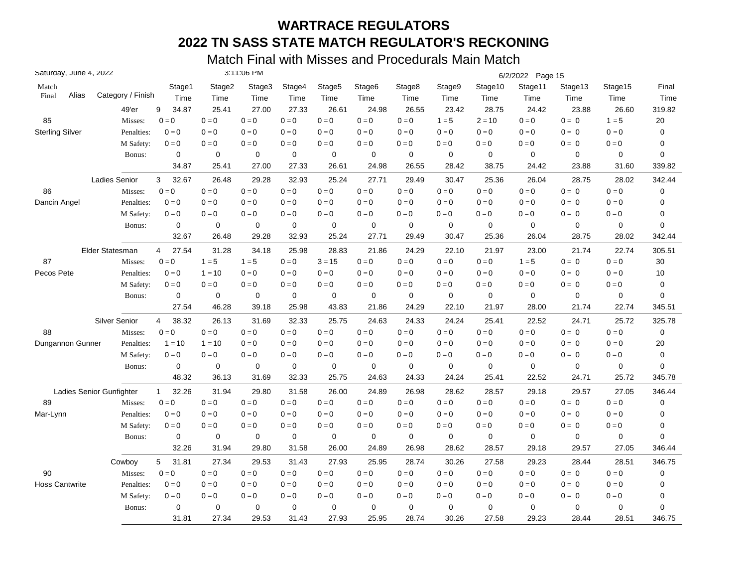| Saturday, June 4, 2022 |                          |                         |             | 3:11:06 PM  |             |                    |                    |                         |             |             | 6/2/2022 Page 15 |             |                         |             |
|------------------------|--------------------------|-------------------------|-------------|-------------|-------------|--------------------|--------------------|-------------------------|-------------|-------------|------------------|-------------|-------------------------|-------------|
| Match                  |                          | Stage1                  | Stage2      | Stage3      | Stage4      | Stage <sub>5</sub> | Stage <sub>6</sub> | Stage8                  | Stage9      | Stage10     | Stage11          | Stage13     | Stage15                 | Final       |
| Alias<br>Final         | Category / Finish        | Time                    | Time        | Time        | Time        | Time               | Time               | Time                    | Time        | Time        | Time             | Time        | Time                    | Time        |
|                        | 49'er                    | 9<br>34.87              | 25.41       | 27.00       | 27.33       | 26.61              | 24.98              | 26.55                   | 23.42       | 28.75       | 24.42            | 23.88       | 26.60                   | 319.82      |
| 85                     | Misses:                  | $0 = 0$                 | $0=0$       | $0 = 0$     | $0 = 0$     | $0 = 0$            | $0 = 0$            | $0 = 0$                 | $1 = 5$     | $2 = 10$    | $0 = 0$          | $0 = 0$     | $1 = 5$                 | 20          |
| <b>Sterling Silver</b> | Penalties:               | $0 = 0$                 | $0 = 0$     | $0 = 0$     | $0 = 0$     | $0 = 0$            | $0 = 0$            | $0 = 0$                 | $0 = 0$     | $0 = 0$     | $0 = 0$          | $0 = 0$     | $0 = 0$                 | 0           |
|                        | M Safety:                | $0=0$                   | $0=0$       | $0 = 0$     | $0 = 0$     | $0=0$              | $0 = 0$            | $0 = 0$                 | $0 = 0$     | $0 = 0$     | $0 = 0$          | $0 = 0$     | $0=0$                   | 0           |
|                        | Bonus:                   | 0                       | 0           | $\mathbf 0$ | $\mathbf 0$ | 0                  | 0                  | $\mathbf 0$             | $\mathbf 0$ | 0           | $\mathbf 0$      | 0           | 0                       | 0           |
|                        |                          | 34.87                   | 25.41       | 27.00       | 27.33       | 26.61              | 24.98              | 26.55                   | 28.42       | 38.75       | 24.42            | 23.88       | 31.60                   | 339.82      |
|                        | <b>Ladies Senior</b>     | 3<br>32.67              | 26.48       | 29.28       | 32.93       | 25.24              | 27.71              | 29.49                   | 30.47       | 25.36       | 26.04            | 28.75       | 28.02                   | 342.44      |
| 86                     | Misses:                  | $0 = 0$                 | $0 = 0$     | $0 = 0$     | $0 = 0$     | $0 = 0$            | $0 = 0$            | $0 = 0$                 | $0=0$       | $0=0$       | $0 = 0$          | $0 = 0$     | $0 = 0$                 | $\pmb{0}$   |
| Dancin Angel           | Penalties:               | $0 = 0$                 | $0=0$       | $0 = 0$     | $0 = 0$     | $0 = 0$            | $0 = 0$            | $0 = 0$                 | $0 = 0$     | $0 = 0$     | $0 = 0$          | $0 = 0$     | $0 = 0$                 | 0           |
|                        | M Safety:                | $0 = 0$                 | $0 = 0$     | $0 = 0$     | $0 = 0$     | $0 = 0$            | $0 = 0$            | $0 = 0$                 | $0 = 0$     | $0 = 0$     | $0 = 0$          | $0 = 0$     | $0 = 0$                 | 0           |
|                        | Bonus:                   | 0                       | $\mathbf 0$ | 0           | $\mathbf 0$ | 0                  | 0                  | $\mathbf 0$             | 0           | 0           | $\mathbf 0$      | $\mathbf 0$ | 0                       | 0           |
|                        |                          | 32.67                   | 26.48       | 29.28       | 32.93       | 25.24              | 27.71              | 29.49                   | 30.47       | 25.36       | 26.04            | 28.75       | 28.02                   | 342.44      |
|                        | Elder Statesman          | 27.54<br>4              | 31.28       | 34.18       | 25.98       | 28.83              | 21.86              | 24.29                   | 22.10       | 21.97       | 23.00            | 21.74       | 22.74                   | 305.51      |
| 87                     | Misses:                  | $0 = 0$                 | $1 = 5$     | $1 = 5$     | $0 = 0$     | $3 = 15$           | $0 = 0$            | $0 = 0$                 | $0 = 0$     | $0 = 0$     | $1 = 5$          | $0 = 0$     | $0 = 0$                 | 30          |
| Pecos Pete             | Penalties:               | $0 = 0$                 | $1 = 10$    | $0 = 0$     | $0 = 0$     | $0 = 0$            | $0 = 0$            | $0 = 0$                 | $0 = 0$     | $0 = 0$     | $0 = 0$          | $0 = 0$     | $0 = 0$                 | 10          |
|                        | M Safety:                | $0 = 0$                 | $0 = 0$     | $0 = 0$     | $0 = 0$     | $0 = 0$            | $0 = 0$            | $0 = 0$                 | $0 = 0$     | $0 = 0$     | $0 = 0$          | $0 = 0$     | $0 = 0$                 | 0           |
|                        | Bonus:                   | 0                       | 0           | 0           | $\mathbf 0$ | 0                  | 0                  | $\mathbf 0$             | $\mathbf 0$ | 0           | $\mathbf 0$      | 0           | 0                       | 0           |
|                        |                          | 27.54                   | 46.28       | 39.18       | 25.98       | 43.83              | 21.86              | 24.29                   | 22.10       | 21.97       | 28.00            | 21.74       | 22.74                   | 345.51      |
|                        | Silver Senior            | 38.32<br>$\overline{4}$ | 26.13       | 31.69       | 32.33       | 25.75              | 24.63              | 24.33                   | 24.24       | 25.41       | 22.52            | 24.71       | 25.72                   | 325.78      |
| 88                     | Misses:                  | $0 = 0$                 | $0 = 0$     | $0 = 0$     | $0 = 0$     | $0 = 0$            | $0 = 0$            | $0 = 0$                 | $0 = 0$     | $0 = 0$     | $0 = 0$          | $0 = 0$     | $0 = 0$                 | 0           |
| Dungannon Gunner       | Penalties:               | $1 = 10$                | $1 = 10$    | $0 = 0$     | $0 = 0$     | $0 = 0$            | $0 = 0$            | $0 = 0$                 | $0 = 0$     | $0 = 0$     | $0 = 0$          | $0 = 0$     | $0 = 0$                 | 20          |
|                        | M Safety:                | $0 = 0$                 | $0 = 0$     | $0=0$       | $0=0$       | $0 = 0$            | $0 = 0$            | $0 = 0$                 | $0 = 0$     | $0 = 0$     | $0 = 0$          | $0 = 0$     | $0=0$                   | 0           |
|                        | Bonus:                   | 0                       | $\mathbf 0$ | 0           | $\mathbf 0$ | $\mathbf 0$        | $\mathbf 0$        | $\mathbf 0$             | $\mathbf 0$ | $\mathbf 0$ | $\mathbf 0$      | $\mathbf 0$ | 0                       | $\mathbf 0$ |
|                        |                          | 48.32                   | 36.13       | 31.69       | 32.33       | 25.75              | 24.63              | 24.33                   | 24.24       | 25.41       | 22.52            | 24.71       | 25.72                   | 345.78      |
|                        | Ladies Senior Gunfighter | 32.26<br>$\mathbf{1}$   | 31.94       | 29.80       | 31.58       | 26.00              | 24.89              | 26.98                   | 28.62       | 28.57       | 29.18            | 29.57       | 27.05                   | 346.44      |
| 89                     | Misses:                  | $0 = 0$                 | $0 = 0$     | $0 = 0$     | $0 = 0$     | $0=0$              | $0 = 0$            | $\mathbf{0}=\mathbf{0}$ | $0 = 0$     | $0 = 0$     | $0 = 0$          | $0 = 0$     | $\mathbf{0}=\mathbf{0}$ | $\pmb{0}$   |
| Mar-Lynn               | Penalties:               | $0 = 0$                 | $0 = 0$     | $0 = 0$     | $0 = 0$     | $0 = 0$            | $0 = 0$            | $0 = 0$                 | $0 = 0$     | $0 = 0$     | $0 = 0$          | $0 = 0$     | $0 = 0$                 | 0           |
|                        | M Safety:                | $0 = 0$                 | $0 = 0$     | $0 = 0$     | $0 = 0$     | $0 = 0$            | $0 = 0$            | $0 = 0$                 | $0 = 0$     | $0 = 0$     | $0 = 0$          | $0 = 0$     | $0 = 0$                 | 0           |
|                        | Bonus:                   | 0                       | 0           | 0           | $\mathbf 0$ | 0                  | 0                  | $\mathbf 0$             | $\mathbf 0$ | 0           | $\mathbf 0$      | $\mathbf 0$ | 0                       | 0           |
|                        |                          | 32.26                   | 31.94       | 29.80       | 31.58       | 26.00              | 24.89              | 26.98                   | 28.62       | 28.57       | 29.18            | 29.57       | 27.05                   | 346.44      |
|                        | Cowboy                   | 5<br>31.81              | 27.34       | 29.53       | 31.43       | 27.93              | 25.95              | 28.74                   | 30.26       | 27.58       | 29.23            | 28.44       | 28.51                   | 346.75      |
| 90                     | Misses:                  | $0 = 0$                 | $0 = 0$     | $0 = 0$     | $0 = 0$     | $0 = 0$            | $0 = 0$            | $0 = 0$                 | $0 = 0$     | $0 = 0$     | $0 = 0$          | $0 = 0$     | $0 = 0$                 | 0           |
| <b>Hoss Cantwrite</b>  | Penalties:               | $0 = 0$                 | $0 = 0$     | $0 = 0$     | $0 = 0$     | $0 = 0$            | $0 = 0$            | $0 = 0$                 | $0 = 0$     | $0 = 0$     | $0 = 0$          | $0 = 0$     | $0 = 0$                 | 0           |
|                        | M Safety:                | $0 = 0$                 | $0 = 0$     | $0 = 0$     | $0 = 0$     | $0 = 0$            | $0 = 0$            | $0 = 0$                 | $0 = 0$     | $0 = 0$     | $0 = 0$          | $0 = 0$     | $0 = 0$                 | 0           |
|                        | Bonus:                   | $\mathbf 0$             | $\mathbf 0$ | 0           | $\mathbf 0$ | 0                  | $\mathbf 0$        | $\mathbf 0$             | $\mathbf 0$ | 0           | $\mathbf 0$      | $\mathbf 0$ | 0                       | 0           |
|                        |                          | 31.81                   | 27.34       | 29.53       | 31.43       | 27.93              | 25.95              | 28.74                   | 30.26       | 27.58       | 29.23            | 28.44       | 28.51                   | 346.75      |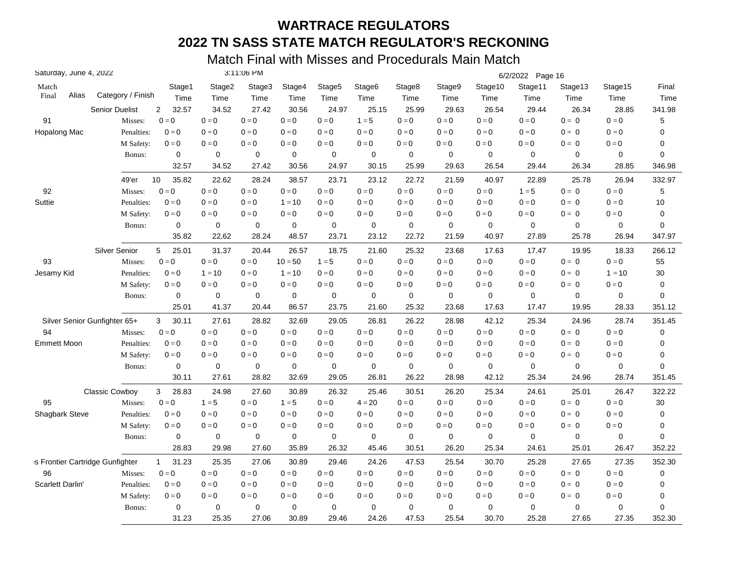| Saturday, June 4, 2022           |                       |                           |             | 3:11:06 PM                |             |                         |                         |         |                         |                         | 6/2/2022 Page 16 |             |             |             |
|----------------------------------|-----------------------|---------------------------|-------------|---------------------------|-------------|-------------------------|-------------------------|---------|-------------------------|-------------------------|------------------|-------------|-------------|-------------|
| Match                            |                       | Stage1                    | Stage2      | Stage3                    | Stage4      | Stage5                  | Stage6                  | Stage8  | Stage9                  | Stage10                 | Stage11          | Stage13     | Stage15     | Final       |
| Alias<br>Final                   | Category / Finish     | Time                      | Time        | Time                      | Time        | Time                    | Time                    | Time    | Time                    | Time                    | Time             | Time        | Time        | Time        |
|                                  | <b>Senior Duelist</b> | 32.57<br>$\overline{2}$   | 34.52       | 27.42                     | 30.56       | 24.97                   | 25.15                   | 25.99   | 29.63                   | 26.54                   | 29.44            | 26.34       | 28.85       | 341.98      |
| 91                               | Misses:               | $0 = 0$                   | $0=0$       | $0 = 0$                   | $0 = 0$     | $\mathbf{0}=\mathbf{0}$ | $1 = 5$                 | $0 = 0$ | $0 = 0$                 | $0 = 0$                 | $0=0$            | $0 = 0$     | $0 = 0$     | 5           |
| Hopalong Mac                     | Penalties:            | $0 = 0$                   | $0 = 0$     | $0 = 0$                   | $0 = 0$     | $0 = 0$                 | $0 = 0$                 | $0 = 0$ | $0 = 0$                 | $0=0$                   | $0 = 0$          | $0 = 0$     | $0 = 0$     | $\mathbf 0$ |
|                                  | M Safety:             | $0 = 0$                   | $0=0$       | $0 = 0$                   | $0=0$       | $0 = 0$                 | $0=0$                   | $0=0$   | $0=0$                   | $0 = 0$                 | $0 = 0$          | $0 = 0$     | $0 = 0$     | 0           |
|                                  | Bonus:                | $\mathbf 0$               | 0           | 0                         | $\mathbf 0$ | 0                       | $\mathbf 0$             | 0       | $\mathbf 0$             | 0                       | 0                | $\mathbf 0$ | $\mathbf 0$ | $\mathbf 0$ |
|                                  |                       | 32.57                     | 34.52       | 27.42                     | 30.56       | 24.97                   | 30.15                   | 25.99   | 29.63                   | 26.54                   | 29.44            | 26.34       | 28.85       | 346.98      |
|                                  | 49'er                 | 10<br>35.82               | 22.62       | 28.24                     | 38.57       | 23.71                   | 23.12                   | 22.72   | 21.59                   | 40.97                   | 22.89            | 25.78       | 26.94       | 332.97      |
| 92                               | Misses:               | $0 = 0$                   | $0=0$       | $0 = 0$                   | $0 = 0$     | $0 = 0$                 | $0=0$                   | $0=0$   | $0 = 0$                 | $0 = 0$                 | $1 = 5$          | $0 = 0$     | $0 = 0$     | $\,$ 5 $\,$ |
| Suttie                           | Penalties:            | $0 = 0$                   | $0 = 0$     | $0 = 0$                   | $1 = 10$    | $\mathbf{0}=\mathbf{0}$ | $0 = 0$                 | $0 = 0$ | $0 = 0$                 | $0 = 0$                 | $0 = 0$          | $0 = 0$     | $0 = 0$     | $10$        |
|                                  | M Safety:             | $0 = 0$                   | $0 = 0$     | $0 = 0$                   | $0 = 0$     | $0 = 0$                 | $0 = 0$                 | $0 = 0$ | $0 = 0$                 | $0 = 0$                 | $0 = 0$          | $0 = 0$     | $0 = 0$     | $\pmb{0}$   |
|                                  | Bonus:                | 0                         | 0           | 0                         | 0           | 0                       | 0                       | 0       | 0                       | 0                       | 0                | 0           | 0           | 0           |
|                                  |                       | 35.82                     | 22.62       | 28.24                     | 48.57       | 23.71                   | 23.12                   | 22.72   | 21.59                   | 40.97                   | 27.89            | 25.78       | 26.94       | 347.97      |
|                                  | <b>Silver Senior</b>  | 25.01<br>5                | 31.37       | 20.44                     | 26.57       | 18.75                   | 21.60                   | 25.32   | 23.68                   | 17.63                   | 17.47            | 19.95       | 18.33       | 266.12      |
| 93                               | Misses:               | $0=0$                     | $0=0$       | $0=0$                     | $10 = 50$   | $1 = 5$                 | $0 = 0$                 | $0 = 0$ | $0 = 0$                 | $0 = 0$                 | $0 = 0$          | $0 = 0$     | $0 = 0$     | 55          |
| Jesamy Kid                       | Penalties:            | $0 = 0$                   | $1 = 10$    | $0=0$                     | $1 = 10$    | $0 = 0$                 | $0 = 0$                 | $0 = 0$ | $0 = 0$                 | $0 = 0$                 | $0 = 0$          | $0 = 0$     | $1 = 10$    | 30          |
|                                  | M Safety:             | $0 = 0$                   | $0 = 0$     | $\mathbf{0} = \mathbf{0}$ | $0 = 0$     | $0 = 0$                 | $0 = 0$                 | $0 = 0$ | $0 = 0$                 | $0 = 0$                 | $0=0$            | $0 = 0$     | $0 = 0$     | $\mathbf 0$ |
|                                  | Bonus:                | 0                         | $\mathbf 0$ | 0                         | 0           | $\mathbf 0$             | $\mathbf 0$             | 0       | 0                       | 0                       | $\mathbf 0$      | $\mathbf 0$ | 0           | 0           |
|                                  |                       | 25.01                     | 41.37       | 20.44                     | 86.57       | 23.75                   | 21.60                   | 25.32   | 23.68                   | 17.63                   | 17.47            | 19.95       | 28.33       | 351.12      |
| Silver Senior Gunfighter 65+     |                       | 3<br>30.11                | 27.61       | 28.82                     | 32.69       | 29.05                   | 26.81                   | 26.22   | 28.98                   | 42.12                   | 25.34            | 24.96       | 28.74       | 351.45      |
| 94                               | Misses:               | $0 = 0$                   | $0=0$       | $0 = 0$                   | $0=0$       | $0 = 0$                 | $\mathbf{0}=\mathbf{0}$ | $0 = 0$ | $\mathbf{0}=\mathbf{0}$ | $0 = 0$                 | $0 = 0$          | $0 = 0$     | $0 = 0$     | 0           |
| <b>Emmett Moon</b>               | Penalties:            | $0 = 0$                   | $0 = 0$     | $0 = 0$                   | $0=0$       | $0 = 0$                 | $0 = 0$                 | $0 = 0$ | $0 = 0$                 | $\mathbf{0}=\mathbf{0}$ | $0 = 0$          | $0 = 0$     | $0 = 0$     | 0           |
|                                  | M Safety:             | $0 = 0$                   | $0 = 0$     | $0=0$                     | $0 = 0$     | $0 = 0$                 | $0 = 0$                 | $0 = 0$ | $0 = 0$                 | $0=0$                   | $0 = 0$          | $0 = 0$     | $0 = 0$     | 0           |
|                                  | Bonus:                | $\mathbf 0$               | $\pmb{0}$   | $\mathbf 0$               | $\mathbf 0$ | $\mathbf 0$             | $\mathbf 0$             | 0       | $\mathbf 0$             | $\mathbf 0$             | 0                | $\mathbf 0$ | 0           | $\mathbf 0$ |
|                                  |                       | 30.11                     | 27.61       | 28.82                     | 32.69       | 29.05                   | 26.81                   | 26.22   | 28.98                   | 42.12                   | 25.34            | 24.96       | 28.74       | 351.45      |
|                                  | <b>Classic Cowboy</b> | 3<br>28.83                | 24.98       | 27.60                     | 30.89       | 26.32                   | 25.46                   | 30.51   | 26.20                   | 25.34                   | 24.61            | 25.01       | 26.47       | 322.22      |
| 95                               | Misses:               | $\mathbf{0} = \mathbf{0}$ | $1 = 5$     | $0=0$                     | $1 = 5$     | $0 = 0$                 | $4 = 20$                | $0 = 0$ | $0 = 0$                 | $\mathbf{0}=\mathbf{0}$ | $0 = 0$          | $0 = 0$     | $0 = 0$     | 30          |
| <b>Shagbark Steve</b>            | Penalties:            | $0 = 0$                   | $0 = 0$     | $0=0$                     | $0=0$       | $0 = 0$                 | $0 = 0$                 | $0 = 0$ | $0 = 0$                 | $0 = 0$                 | $0 = 0$          | $0 = 0$     | $0 = 0$     | 0           |
|                                  | M Safety:             | $0 = 0$                   | $0 = 0$     | $0=0$                     | $0=0$       | $0 = 0$                 | $0=0$                   | $0 = 0$ | $0 = 0$                 | $0 = 0$                 | $0 = 0$          | $0 = 0$     | $0 = 0$     | $\pmb{0}$   |
|                                  | Bonus:                | 0                         | 0           | 0                         | $\mathbf 0$ | 0                       | $\mathbf 0$             | 0       | $\mathbf 0$             | 0                       | 0                | $\mathbf 0$ | 0           | 0           |
|                                  |                       | 28.83                     | 29.98       | 27.60                     | 35.89       | 26.32                   | 45.46                   | 30.51   | 26.20                   | 25.34                   | 24.61            | 25.01       | 26.47       | 352.22      |
| :s Frontier Cartridge Gunfighter |                       | $\mathbf{1}$<br>31.23     | 25.35       | 27.06                     | 30.89       | 29.46                   | 24.26                   | 47.53   | 25.54                   | 30.70                   | 25.28            | 27.65       | 27.35       | 352.30      |
| 96                               | Misses:               | $\mathbf{0}=\mathbf{0}$   | $0=0$       | $0=0$                     | $0=0$       | $0 = 0$                 | $0 = 0$                 | $0=0$   | $0=0$                   | $0 = 0$                 | $0 = 0$          | $0 = 0$     | $0 = 0$     | 0           |
| Scarlett Darlin'                 | Penalties:            | $0 = 0$                   | $0 = 0$     | $0 = 0$                   | $0 = 0$     | $0 = 0$                 | $0 = 0$                 | $0 = 0$ | $0 = 0$                 | $0=0$                   | $0 = 0$          | $0 = 0$     | $0 = 0$     | 0           |
|                                  | M Safety:             | $0 = 0$                   | $0 = 0$     | $0=0$                     | $0 = 0$     | $0 = 0$                 | $0 = 0$                 | $0 = 0$ | $0 = 0$                 | $0 = 0$                 | $0 = 0$          | $0 = 0$     | $0 = 0$     | 0           |
|                                  | Bonus:                | 0                         | $\mathbf 0$ | 0                         | 0           | $\mathbf 0$             | $\mathbf 0$             | 0       | $\mathbf 0$             | 0                       | $\mathbf 0$      | $\mathbf 0$ | 0           | $\mathbf 0$ |
|                                  |                       | 31.23                     | 25.35       | 27.06                     | 30.89       | 29.46                   | 24.26                   | 47.53   | 25.54                   | 30.70                   | 25.28            | 27.65       | 27.35       | 352.30      |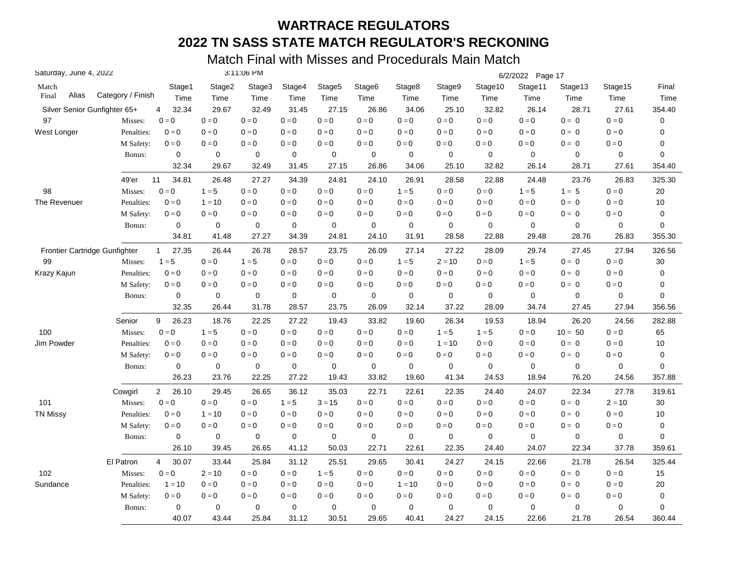| Saturday, June 4, 2022        |                   |                         |                         | 3:11:06 PM  |             |                    |                    |             |             |             | 6/2/2022 Page 17 |           |                         |        |
|-------------------------------|-------------------|-------------------------|-------------------------|-------------|-------------|--------------------|--------------------|-------------|-------------|-------------|------------------|-----------|-------------------------|--------|
| Match                         |                   | Stage1                  | Stage2                  | Stage3      | Stage4      | Stage <sub>5</sub> | Stage <sub>6</sub> | Stage8      | Stage9      | Stage10     | Stage11          | Stage13   | Stage15                 | Final  |
| Alias<br>Final                | Category / Finish | Time                    | Time                    | Time        | Time        | Time               | Time               | Time        | Time        | Time        | Time             | Time      | Time                    | Time   |
| Silver Senior Gunfighter 65+  |                   | 32.34<br>4              | 29.67                   | 32.49       | 31.45       | 27.15              | 26.86              | 34.06       | 25.10       | 32.82       | 26.14            | 28.71     | 27.61                   | 354.40 |
| 97                            | Misses:           | $0 = 0$                 | $0=0$                   | $0 = 0$     | $0 = 0$     | $0 = 0$            | $0 = 0$            | $0 = 0$     | $0 = 0$     | $0 = 0$     | $0=0$            | $0 = 0$   | $0 = 0$                 | 0      |
| West Longer                   | Penalties:        | $0 = 0$                 | $0=0$                   | $0 = 0$     | $0 = 0$     | $0 = 0$            | $0 = 0$            | $0 = 0$     | $0 = 0$     | $0 = 0$     | $0 = 0$          | $0 = 0$   | $0 = 0$                 | 0      |
|                               | M Safety:         | $\mathbf{0}=\mathbf{0}$ | $\mathbf{0}=\mathbf{0}$ | $0 = 0$     | $0 = 0$     | $0 = 0$            | $0 = 0$            | $0=0$       | $0 = 0$     | $0=0$       | $0 = 0$          | $0 = 0$   | $\mathbf{0}=\mathbf{0}$ | 0      |
|                               | Bonus:            | $\mathbf 0$             | $\mathbf 0$             | $\mathbf 0$ | 0           | $\mathbf 0$        | $\mathbf 0$        | $\mathbf 0$ | $\mathbf 0$ | $\mathbf 0$ | $\mathbf 0$      | 0         | $\mathbf 0$             | 0      |
|                               |                   | 32.34                   | 29.67                   | 32.49       | 31.45       | 27.15              | 26.86              | 34.06       | 25.10       | 32.82       | 26.14            | 28.71     | 27.61                   | 354.40 |
|                               | 49'er             | 34.81<br>11             | 26.48                   | 27.27       | 34.39       | 24.81              | 24.10              | 26.91       | 28.58       | 22.88       | 24.48            | 23.76     | 26.83                   | 325.30 |
| 98                            | Misses:           | $0 = 0$                 | $1 = 5$                 | $0 = 0$     | $0 = 0$     | $0 = 0$            | $0 = 0$            | $1 = 5$     | $0 = 0$     | $0 = 0$     | $1 = 5$          | $1 = 5$   | $0 = 0$                 | 20     |
| The Revenuer                  | Penalties:        | $0 = 0$                 | $1 = 10$                | $0 = 0$     | $0 = 0$     | $0 = 0$            | $0 = 0$            | $0 = 0$     | $0 = 0$     | $0 = 0$     | $0 = 0$          | $0 = 0$   | $0 = 0$                 | 10     |
|                               | M Safety:         | $0 = 0$                 | $0=0$                   | $0 = 0$     | $0 = 0$     | $0 = 0$            | $0 = 0$            | $0 = 0$     | $0 = 0$     | $0 = 0$     | $0 = 0$          | $0 = 0$   | $0 = 0$                 | 0      |
|                               | Bonus:            | $\mathbf 0$             | 0                       | $\mathbf 0$ | 0           | $\mathbf 0$        | $\mathbf 0$        | 0           | 0           | $\mathbf 0$ | $\mathbf 0$      | 0         | 0                       | 0      |
|                               |                   | 34.81                   | 41.48                   | 27.27       | 34.39       | 24.81              | 24.10              | 31.91       | 28.58       | 22.88       | 29.48            | 28.76     | 26.83                   | 355.30 |
| Frontier Cartridge Gunfighter |                   | 27.35<br>$\mathbf{1}$   | 26.44                   | 26.78       | 28.57       | 23.75              | 26.09              | 27.14       | 27.22       | 28.09       | 29.74            | 27.45     | 27.94                   | 326.56 |
| 99                            | Misses:           | $1 = 5$                 | $0=0$                   | $1 = 5$     | $0 = 0$     | $0 = 0$            | $0 = 0$            | $1 = 5$     | $2 = 10$    | $0 = 0$     | $1 = 5$          | $0 = 0$   | $0 = 0$                 | 30     |
| Krazy Kajun                   | Penalties:        | $0 = 0$                 | $0 = 0$                 | $0 = 0$     | $0 = 0$     | $0 = 0$            | $0 = 0$            | $0 = 0$     | $0 = 0$     | $0 = 0$     | $0 = 0$          | $0 = 0$   | $0 = 0$                 | 0      |
|                               | M Safety:         | $0=0$                   | $0 = 0$                 | $0 = 0$     | $0 = 0$     | $0 = 0$            | $0 = 0$            | $0 = 0$     | $0 = 0$     | $0 = 0$     | $0 = 0$          | $0 = 0$   | $0 = 0$                 | 0      |
|                               | Bonus:            | $\mathbf 0$             | 0                       | 0           | $\mathbf 0$ | 0                  | $\mathbf 0$        | $\mathbf 0$ | 0           | $\mathbf 0$ | $\mathbf 0$      | 0         | $\mathbf 0$             | 0      |
|                               |                   | 32.35                   | 26.44                   | 31.78       | 28.57       | 23.75              | 26.09              | 32.14       | 37.22       | 28.09       | 34.74            | 27.45     | 27.94                   | 356.56 |
|                               | Senior            | 9<br>26.23              | 18.76                   | 22.25       | 27.22       | 19.43              | 33.82              | 19.60       | 26.34       | 19.53       | 18.94            | 26.20     | 24.56                   | 282.88 |
| 100                           | Misses:           | $0 = 0$                 | $1 = 5$                 | $0 = 0$     | $0 = 0$     | $0 = 0$            | $0 = 0$            | $0 = 0$     | $1 = 5$     | $1 = 5$     | $0 = 0$          | $10 = 50$ | $0 = 0$                 | 65     |
| Jim Powder                    | Penalties:        | $0 = 0$                 | $0 = 0$                 | $0 = 0$     | $0 = 0$     | $0 = 0$            | $0 = 0$            | $0 = 0$     | $1 = 10$    | $0 = 0$     | $0 = 0$          | $0 = 0$   | $0 = 0$                 | 10     |
|                               | M Safety:         | $0 = 0$                 | $0 = 0$                 | $0 = 0$     | $0 = 0$     | $0 = 0$            | $0 = 0$            | $0 = 0$     | $0 = 0$     | $0 = 0$     | $0 = 0$          | $0 = 0$   | $0 = 0$                 | 0      |
|                               | Bonus:            | $\mathbf 0$             | $\mathbf 0$             | 0           | $\pmb{0}$   | $\pmb{0}$          | $\mathbf 0$        | $\mathbf 0$ | $\mathbf 0$ | $\mathbf 0$ | $\mathbf 0$      | 0         | 0                       | 0      |
|                               |                   | 26.23                   | 23.76                   | 22.25       | 27.22       | 19.43              | 33.82              | 19.60       | 41.34       | 24.53       | 18.94            | 76.20     | 24.56                   | 357.88 |
|                               | Cowgirl           | $\overline{2}$<br>26.10 | 29.45                   | 26.65       | 36.12       | 35.03              | 22.71              | 22.61       | 22.35       | 24.40       | 24.07            | 22.34     | 27.78                   | 319.61 |
| 101                           | Misses:           | $0 = 0$                 | $0 = 0$                 | $0 = 0$     | $1 = 5$     | $3 = 15$           | $0 = 0$            | $0 = 0$     | $0 = 0$     | $0 = 0$     | $0 = 0$          | $0 = 0$   | $2 = 10$                | 30     |
| <b>TN Missy</b>               | Penalties:        | $0 = 0$                 | $1 = 10$                | $0 = 0$     | $0 = 0$     | $0 = 0$            | $0 = 0$            | $0 = 0$     | $0 = 0$     | $0 = 0$     | $0 = 0$          | $0 = 0$   | $0 = 0$                 | $10$   |
|                               | M Safety:         | $0 = 0$                 | $0 = 0$                 | $0 = 0$     | $0 = 0$     | $0 = 0$            | $0 = 0$            | $0=0$       | $0=0$       | $0 = 0$     | $0 = 0$          | $0 = 0$   | $0 = 0$                 | 0      |
|                               | Bonus:            | 0                       | 0                       | 0           | 0           | $\mathbf 0$        | 0                  | 0           | 0           | 0           | $\mathbf 0$      | 0         | 0                       | 0      |
|                               |                   | 26.10                   | 39.45                   | 26.65       | 41.12       | 50.03              | 22.71              | 22.61       | 22.35       | 24.40       | 24.07            | 22.34     | 37.78                   | 359.61 |
|                               | El Patron         | 30.07<br>4              | 33.44                   | 25.84       | 31.12       | 25.51              | 29.65              | 30.41       | 24.27       | 24.15       | 22.66            | 21.78     | 26.54                   | 325.44 |
| 102                           | Misses:           | $0 = 0$                 | $2 = 10$                | $0 = 0$     | $0 = 0$     | $1 = 5$            | $0 = 0$            | $0 = 0$     | $0 = 0$     | $0=0$       | $0 = 0$          | $0 = 0$   | $0 = 0$                 | 15     |
| Sundance                      | Penalties:        | $1 = 10$                | $0 = 0$                 | $0 = 0$     | $0 = 0$     | $0 = 0$            | $0 = 0$            | $1 = 10$    | $0=0$       | $0 = 0$     | $0 = 0$          | $0 = 0$   | $0 = 0$                 | 20     |
|                               | M Safety:         | $0 = 0$                 | $0 = 0$                 | $0 = 0$     | $0 = 0$     | $0 = 0$            | $0 = 0$            | $0 = 0$     | $0 = 0$     | $0 = 0$     | $0 = 0$          | $0 = 0$   | $0 = 0$                 | 0      |
|                               | Bonus:            | $\mathbf 0$             | 0                       | 0           | $\mathbf 0$ | $\mathbf 0$        | 0                  | $\mathbf 0$ | 0           | 0           | $\mathbf 0$      | 0         | 0                       | 0      |
|                               |                   | 40.07                   | 43.44                   | 25.84       | 31.12       | 30.51              | 29.65              | 40.41       | 24.27       | 24.15       | 22.66            | 21.78     | 26.54                   | 360.44 |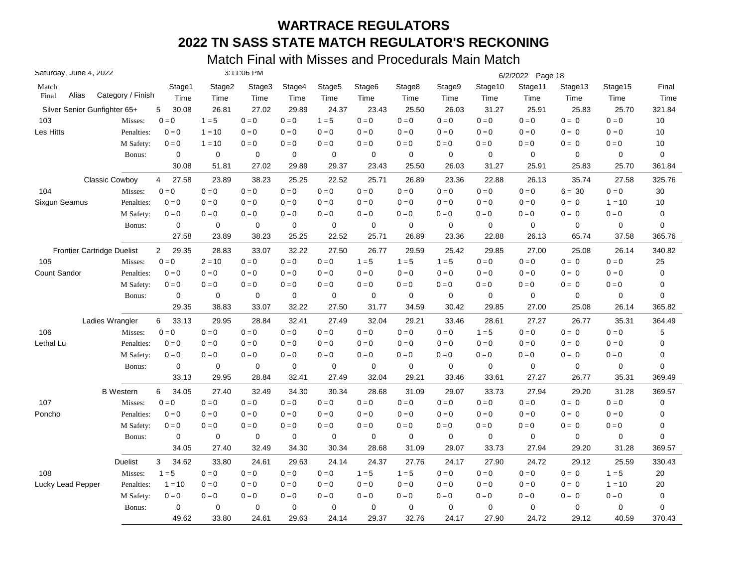| Saturday, June 4, 2022       |                       |                         | 3:11:06 PM  |             |             |                         |                    |             |             | 6/2/2022 Page 18 |                           |             |          |             |
|------------------------------|-----------------------|-------------------------|-------------|-------------|-------------|-------------------------|--------------------|-------------|-------------|------------------|---------------------------|-------------|----------|-------------|
| Match                        |                       | Stage1                  | Stage2      | Stage3      | Stage4      | Stage <sub>5</sub>      | Stage <sub>6</sub> | Stage8      | Stage9      | Stage10          | Stage11                   | Stage13     | Stage15  | Final       |
| Alias<br>Final               | Category / Finish     | Time                    | Time        | Time        | Time        | Time                    | Time               | Time        | Time        | Time             | Time                      | Time        | Time     | Time        |
| Silver Senior Gunfighter 65+ |                       | 30.08<br>5              | 26.81       | 27.02       | 29.89       | 24.37                   | 23.43              | 25.50       | 26.03       | 31.27            | 25.91                     | 25.83       | 25.70    | 321.84      |
| 103                          | Misses:               | $0 = 0$                 | $1 = 5$     | $0 = 0$     | $0 = 0$     | $1 = 5$                 | $0 = 0$            | $0 = 0$     | $0 = 0$     | $0 = 0$          | $0=0$                     | $0 = 0$     | $0 = 0$  | 10          |
| Les Hitts                    | Penalties:            | $0 = 0$                 | $1 = 10$    | $0 = 0$     | $0 = 0$     | $0 = 0$                 | $0 = 0$            | $0 = 0$     | $0 = 0$     | $0 = 0$          | $0 = 0$                   | $0 = 0$     | $0 = 0$  | 10          |
|                              | M Safety:             | $0 = 0$                 | $1 = 10$    | $0 = 0$     | $0 = 0$     | $0 = 0$                 | $0 = 0$            | $0 = 0$     | $0 = 0$     | $0 = 0$          | $0 = 0$                   | $0 = 0$     | $0 = 0$  | 10          |
|                              | Bonus:                | 0                       | 0           | 0           | 0           | 0                       | 0                  | $\mathbf 0$ | $\mathbf 0$ | 0                | $\mathbf 0$               | 0           | 0        | 0           |
|                              |                       | 30.08                   | 51.81       | 27.02       | 29.89       | 29.37                   | 23.43              | 25.50       | 26.03       | 31.27            | 25.91                     | 25.83       | 25.70    | 361.84      |
|                              | <b>Classic Cowboy</b> | 27.58<br>4              | 23.89       | 38.23       | 25.25       | 22.52                   | 25.71              | 26.89       | 23.36       | 22.88            | 26.13                     | 35.74       | 27.58    | 325.76      |
| 104                          | Misses:               | $0 = 0$                 | $0 = 0$     | $0 = 0$     | $0 = 0$     | $0 = 0$                 | $0 = 0$            | $0 = 0$     | $0=0$       | $0 = 0$          | $0=0$                     | $6 = 30$    | $0 = 0$  | 30          |
| Sixgun Seamus                | Penalties:            | $0 = 0$                 | $0 = 0$     | $0 = 0$     | $0 = 0$     | $0 = 0$                 | $0 = 0$            | $0 = 0$     | $0 = 0$     | $0 = 0$          | $0 = 0$                   | $0 = 0$     | $1 = 10$ | 10          |
|                              | M Safety:             | $0 = 0$                 | $0 = 0$     | $0 = 0$     | $0 = 0$     | $0 = 0$                 | $0 = 0$            | $0 = 0$     | $0 = 0$     | $0 = 0$          | $0 = 0$                   | $0 = 0$     | $0 = 0$  | 0           |
|                              | Bonus:                | $\mathbf 0$             | $\mathbf 0$ | 0           | $\mathbf 0$ | 0                       | 0                  | $\mathbf 0$ | 0           | $\mathbf 0$      | $\mathbf 0$               | 0           | 0        | 0           |
|                              |                       | 27.58                   | 23.89       | 38.23       | 25.25       | 22.52                   | 25.71              | 26.89       | 23.36       | 22.88            | 26.13                     | 65.74       | 37.58    | 365.76      |
| Frontier Cartridge Duelist   |                       | 29.35<br>$\overline{2}$ | 28.83       | 33.07       | 32.22       | 27.50                   | 26.77              | 29.59       | 25.42       | 29.85            | 27.00                     | 25.08       | 26.14    | 340.82      |
| 105                          | Misses:               | $0 = 0$                 | $2 = 10$    | $0 = 0$     | $0 = 0$     | $0=0$                   | $1 = 5$            | $1 = 5$     | $1 = 5$     | $0 = 0$          | $0 = 0$                   | $0 = 0$     | $0 = 0$  | 25          |
| Count Sandor                 | Penalties:            | $0 = 0$                 | $0 = 0$     | $0 = 0$     | $0 = 0$     | $0=0$                   | $0 = 0$            | $0 = 0$     | $0=0$       | $0 = 0$          | $0 = 0$                   | $0 = 0$     | $0 = 0$  | 0           |
|                              | M Safety:             | $0 = 0$                 | $0 = 0$     | $0 = 0$     | $0 = 0$     | $0 = 0$                 | $0 = 0$            | $0 = 0$     | $0 = 0$     | $0 = 0$          | $0 = 0$                   | $0 = 0$     | $0 = 0$  | 0           |
|                              | Bonus:                | 0                       | 0           | 0           | 0           | 0                       | 0                  | 0           | 0           | 0                | 0                         | 0           | 0        | 0           |
|                              |                       | 29.35                   | 38.83       | 33.07       | 32.22       | 27.50                   | 31.77              | 34.59       | 30.42       | 29.85            | 27.00                     | 25.08       | 26.14    | 365.82      |
|                              | Ladies Wrangler       | 33.13<br>6              | 29.95       | 28.84       | 32.41       | 27.49                   | 32.04              | 29.21       | 33.46       | 28.61            | 27.27                     | 26.77       | 35.31    | 364.49      |
| 106                          | Misses:               | $0 = 0$                 | $0 = 0$     | $0 = 0$     | $0 = 0$     | $0 = 0$                 | $0 = 0$            | $0 = 0$     | $0 = 0$     | $1 = 5$          | $0 = 0$                   | $0 = 0$     | $0 = 0$  | 5           |
| Lethal Lu                    | Penalties:            | $0 = 0$                 | $0 = 0$     | $0 = 0$     | $0 = 0$     | $\mathbf{0}=\mathbf{0}$ | $0 = 0$            | $0 = 0$     | $0 = 0$     | $0 = 0$          | $0=0$                     | $0 = 0$     | $0 = 0$  | 0           |
|                              | M Safety:             | $0 = 0$                 | $0 = 0$     | $0 = 0$     | $0 = 0$     | $0=0$                   | $0 = 0$            | $0 = 0$     | $0 = 0$     | $0 = 0$          | $0 = 0$                   | $0 = 0$     | $0 = 0$  | 0           |
|                              | Bonus:                | $\mathbf 0$             | $\mathbf 0$ | $\mathbf 0$ | 0           | $\mathbf 0$             | 0                  | $\mathbf 0$ | $\mathbf 0$ | $\mathbf 0$      | $\mathbf 0$               | $\mathbf 0$ | 0        | $\mathbf 0$ |
|                              |                       | 33.13                   | 29.95       | 28.84       | 32.41       | 27.49                   | 32.04              | 29.21       | 33.46       | 33.61            | 27.27                     | 26.77       | 35.31    | 369.49      |
|                              | <b>B</b> Western      | 34.05<br>6              | 27.40       | 32.49       | 34.30       | 30.34                   | 28.68              | 31.09       | 29.07       | 33.73            | 27.94                     | 29.20       | 31.28    | 369.57      |
| 107                          | Misses:               | $0 = 0$                 | $0 = 0$     | $0 = 0$     | $0 = 0$     | $0 = 0$                 | $0 = 0$            | $0 = 0$     | $0 = 0$     | $0 = 0$          | $\mathbf{0} = \mathbf{0}$ | $0 = 0$     | $0 = 0$  | $\mathbf 0$ |
| Poncho                       | Penalties:            | $0 = 0$                 | $0 = 0$     | $0 = 0$     | $0 = 0$     | $0 = 0$                 | $0 = 0$            | $0 = 0$     | $0 = 0$     | $0 = 0$          | $0 = 0$                   | $0 = 0$     | $0 = 0$  | 0           |
|                              | M Safety:             | $0 = 0$                 | $0 = 0$     | $0 = 0$     | $0 = 0$     | $0 = 0$                 | $0 = 0$            | $0 = 0$     | $0 = 0$     | $0 = 0$          | $0 = 0$                   | $0 = 0$     | $0 = 0$  | 0           |
|                              | Bonus:                | $\mathbf 0$             | 0           | 0           | 0           | 0                       | 0                  | $\mathbf 0$ | $\mathbf 0$ | $\mathbf 0$      | $\mathbf 0$               | 0           | 0        | 0           |
|                              |                       | 34.05                   | 27.40       | 32.49       | 34.30       | 30.34                   | 28.68              | 31.09       | 29.07       | 33.73            | 27.94                     | 29.20       | 31.28    | 369.57      |
|                              | Duelist               | 3<br>34.62              | 33.80       | 24.61       | 29.63       | 24.14                   | 24.37              | 27.76       | 24.17       | 27.90            | 24.72                     | 29.12       | 25.59    | 330.43      |
| 108                          | Misses:               | $1 = 5$                 | $0 = 0$     | $0 = 0$     | $0 = 0$     | $0=0$                   | $1 = 5$            | $1 = 5$     | $0=0$       | $0 = 0$          | $0 = 0$                   | $0 = 0$     | $1 = 5$  | 20          |
| Lucky Lead Pepper            | Penalties:            | $1 = 10$                | $0 = 0$     | $0 = 0$     | $0 = 0$     | $0 = 0$                 | $0 = 0$            | $0 = 0$     | $0 = 0$     | $0 = 0$          | $0 = 0$                   | $0 = 0$     | $1 = 10$ | 20          |
|                              | M Safety:             | $0 = 0$                 | $0 = 0$     | $0 = 0$     | $0 = 0$     | $0 = 0$                 | $0 = 0$            | $0 = 0$     | $0 = 0$     | $0 = 0$          | $0 = 0$                   | $0 = 0$     | $0 = 0$  | $\mathbf 0$ |
|                              | Bonus:                | 0                       | $\mathbf 0$ | 0           | $\mathbf 0$ | 0                       | $\mathbf 0$        | $\mathbf 0$ | 0           | 0                | $\mathbf 0$               | 0           | 0        | $\mathbf 0$ |
|                              |                       | 49.62                   | 33.80       | 24.61       | 29.63       | 24.14                   | 29.37              | 32.76       | 24.17       | 27.90            | 24.72                     | 29.12       | 40.59    | 370.43      |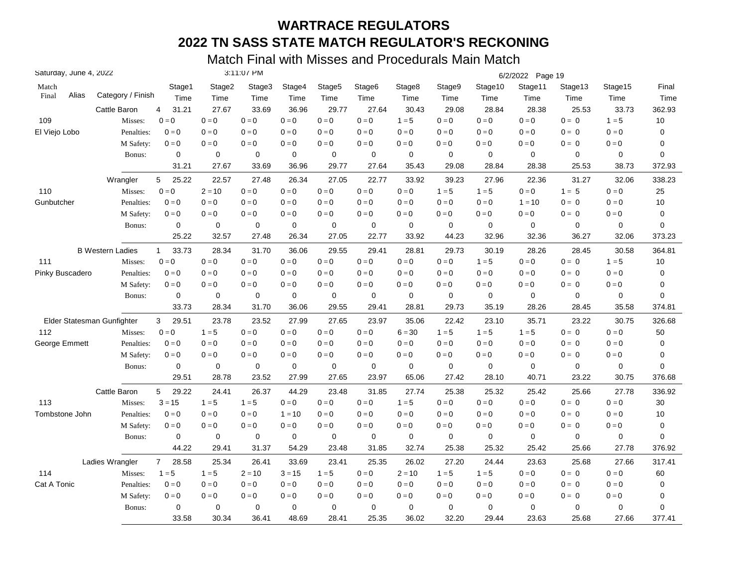| Saturday, June 4, 2022 |                            |                   |                       |             | 3:11:07 PM  |                           |                    |                    |             |         |             | 6/2/2022 Page 19 |             |                         |           |
|------------------------|----------------------------|-------------------|-----------------------|-------------|-------------|---------------------------|--------------------|--------------------|-------------|---------|-------------|------------------|-------------|-------------------------|-----------|
| Match                  |                            |                   | Stage1                | Stage2      | Stage3      | Stage4                    | Stage <sub>5</sub> | Stage <sub>6</sub> | Stage8      | Stage9  | Stage10     | Stage11          | Stage13     | Stage15                 | Final     |
| Alias<br>Final         |                            | Category / Finish | Time                  | Time        | Time        | Time                      | Time               | Time               | Time        | Time    | Time        | Time             | Time        | Time                    | Time      |
|                        |                            | Cattle Baron      | 4<br>31.21            | 27.67       | 33.69       | 36.96                     | 29.77              | 27.64              | 30.43       | 29.08   | 28.84       | 28.38            | 25.53       | 33.73                   | 362.93    |
| 109                    |                            | Misses:           | $0 = 0$               | $0=0$       | $0 = 0$     | $0 = 0$                   | $0 = 0$            | $0=0$              | $1 = 5$     | $0 = 0$ | $0 = 0$     | $0 = 0$          | $0 = 0$     | $1 = 5$                 | $10$      |
| El Viejo Lobo          |                            | Penalties:        | $0 = 0$               | $0 = 0$     | $0 = 0$     | $0 = 0$                   | $0 = 0$            | $0 = 0$            | $0=0$       | $0 = 0$ | $0 = 0$     | $0 = 0$          | $0 = 0$     | $0 = 0$                 | 0         |
|                        |                            | M Safety:         | $0 = 0$               | $0=0$       | $0 = 0$     | $0 = 0$                   | $0 = 0$            | $0=0$              | $0 = 0$     | $0 = 0$ | $0 = 0$     | $0 = 0$          | $0 = 0$     | $0=0$                   | 0         |
|                        |                            | Bonus:            | 0                     | 0           | 0           | $\mathbf 0$               | 0                  | 0                  | 0           | 0       | 0           | $\mathbf 0$      | 0           | 0                       | 0         |
|                        |                            |                   | 31.21                 | 27.67       | 33.69       | 36.96                     | 29.77              | 27.64              | 35.43       | 29.08   | 28.84       | 28.38            | 25.53       | 38.73                   | 372.93    |
|                        |                            | Wrangler          | 5<br>25.22            | 22.57       | 27.48       | 26.34                     | 27.05              | 22.77              | 33.92       | 39.23   | 27.96       | 22.36            | 31.27       | 32.06                   | 338.23    |
| 110                    |                            | Misses:           | $0=0$                 | $2 = 10$    | $0 = 0$     | $0 = 0$                   | $0 = 0$            | $0=0$              | $0 = 0$     | $1 = 5$ | $1 = 5$     | $0 = 0$          | $1 = 5$     | $0 = 0$                 | 25        |
| Gunbutcher             |                            | Penalties:        | $0 = 0$               | $0 = 0$     | $0 = 0$     | $0 = 0$                   | $0 = 0$            | $0 = 0$            | $0 = 0$     | $0 = 0$ | $0 = 0$     | $1 = 10$         | $0 = 0$     | $0 = 0$                 | 10        |
|                        |                            | M Safety:         | $0 = 0$               | $0 = 0$     | $0 = 0$     | $0 = 0$                   | $0 = 0$            | $0 = 0$            | $0 = 0$     | $0 = 0$ | $0 = 0$     | $0 = 0$          | $0 = 0$     | $0 = 0$                 | 0         |
|                        |                            | Bonus:            | 0                     | 0           | 0           | $\mathbf 0$               | 0                  | 0                  | 0           | 0       | 0           | $\mathbf 0$      | $\mathbf 0$ | 0                       | 0         |
|                        |                            |                   | 25.22                 | 32.57       | 27.48       | 26.34                     | 27.05              | 22.77              | 33.92       | 44.23   | 32.96       | 32.36            | 36.27       | 32.06                   | 373.23    |
|                        | <b>B Western Ladies</b>    |                   | 33.73<br>$\mathbf{1}$ | 28.34       | 31.70       | 36.06                     | 29.55              | 29.41              | 28.81       | 29.73   | 30.19       | 28.26            | 28.45       | 30.58                   | 364.81    |
| 111                    |                            | Misses:           | $0 = 0$               | $0 = 0$     | $0 = 0$     | $0 = 0$                   | $0 = 0$            | $0 = 0$            | $0 = 0$     | $0 = 0$ | $1 = 5$     | $0 = 0$          | $0 = 0$     | $1 = 5$                 | 10        |
| Pinky Buscadero        |                            | Penalties:        | $0 = 0$               | $0 = 0$     | $0 = 0$     | $0 = 0$                   | $0 = 0$            | $0 = 0$            | $0 = 0$     | $0 = 0$ | $0 = 0$     | $0 = 0$          | $0 = 0$     | $0 = 0$                 | 0         |
|                        |                            | M Safety:         | $0 = 0$               | $0 = 0$     | $0 = 0$     | $0 = 0$                   | $0 = 0$            | $0 = 0$            | $0 = 0$     | $0 = 0$ | $0 = 0$     | $0 = 0$          | $0 = 0$     | $0=0$                   | 0         |
|                        |                            | Bonus:            | 0                     | 0           | 0           | 0                         | 0                  | 0                  | 0           | 0       | 0           | $\mathbf 0$      | 0           | 0                       | 0         |
|                        |                            |                   | 33.73                 | 28.34       | 31.70       | 36.06                     | 29.55              | 29.41              | 28.81       | 29.73   | 35.19       | 28.26            | 28.45       | 35.58                   | 374.81    |
|                        | Elder Statesman Gunfighter |                   | 29.51<br>3            | 23.78       | 23.52       | 27.99                     | 27.65              | 23.97              | 35.06       | 22.42   | 23.10       | 35.71            | 23.22       | 30.75                   | 326.68    |
| 112                    |                            | Misses:           | $0 = 0$               | $1 = 5$     | $0 = 0$     | $0 = 0$                   | $0 = 0$            | $0 = 0$            | $6 = 30$    | $1 = 5$ | $1 = 5$     | $1 = 5$          | $0 = 0$     | $0 = 0$                 | 50        |
| George Emmett          |                            | Penalties:        | $0 = 0$               | $0=0$       | $0 = 0$     | $0 = 0$                   | $0 = 0$            | $0 = 0$            | $0=0$       | $0=0$   | $0 = 0$     | $0 = 0$          | $0 = 0$     | $0 = 0$                 | 0         |
|                        |                            | M Safety:         | $0 = 0$               | $0 = 0$     | $0 = 0$     | $\mathbf{0} = \mathbf{0}$ | $0 = 0$            | $0 = 0$            | $0=0$       | $0 = 0$ | $0 = 0$     | $0 = 0$          | $0 = 0$     | $0=0$                   | 0         |
|                        |                            | Bonus:            | $\mathbf 0$           | $\mathbf 0$ | $\mathbf 0$ | $\mathbf 0$               | 0                  | 0                  | $\mathbf 0$ | 0       | $\mathbf 0$ | $\mathbf 0$      | $\mathbf 0$ | 0                       | 0         |
|                        |                            |                   | 29.51                 | 28.78       | 23.52       | 27.99                     | 27.65              | 23.97              | 65.06       | 27.42   | 28.10       | 40.71            | 23.22       | 30.75                   | 376.68    |
|                        |                            | Cattle Baron      | 29.22<br>5            | 24.41       | 26.37       | 44.29                     | 23.48              | 31.85              | 27.74       | 25.38   | 25.32       | 25.42            | 25.66       | 27.78                   | 336.92    |
| 113                    |                            | Misses:           | $3 = 15$              | $1 = 5$     | $1 = 5$     | $0 = 0$                   | $0 = 0$            | $0 = 0$            | $1 = 5$     | $0 = 0$ | $0 = 0$     | $0 = 0$          | $0 = 0$     | $\mathbf{0}=\mathbf{0}$ | 30        |
| Tombstone John         |                            | Penalties:        | $0 = 0$               | $0 = 0$     | $0 = 0$     | $1 = 10$                  | $0 = 0$            | $0 = 0$            | $0 = 0$     | $0 = 0$ | $0 = 0$     | $0 = 0$          | $0 = 0$     | $0 = 0$                 | 10        |
|                        |                            | M Safety:         | $0 = 0$               | $0 = 0$     | $0 = 0$     | $0 = 0$                   | $0 = 0$            | $0 = 0$            | $0 = 0$     | $0 = 0$ | $0 = 0$     | $0 = 0$          | $0 = 0$     | $0 = 0$                 | $\pmb{0}$ |
|                        |                            | Bonus:            | 0                     | $\mathbf 0$ | 0           | 0                         | 0                  | 0                  | 0           | 0       | 0           | $\mathbf 0$      | $\mathbf 0$ | 0                       | 0         |
|                        |                            |                   | 44.22                 | 29.41       | 31.37       | 54.29                     | 23.48              | 31.85              | 32.74       | 25.38   | 25.32       | 25.42            | 25.66       | 27.78                   | 376.92    |
|                        | Ladies Wrangler            |                   | $7^{\circ}$<br>28.58  | 25.34       | 26.41       | 33.69                     | 23.41              | 25.35              | 26.02       | 27.20   | 24.44       | 23.63            | 25.68       | 27.66                   | 317.41    |
| 114                    |                            | Misses:           | $1 = 5$               | $1 = 5$     | $2 = 10$    | $3 = 15$                  | $1 = 5$            | $0=0$              | $2 = 10$    | $1 = 5$ | $1 = 5$     | $0 = 0$          | $0 = 0$     | $0 = 0$                 | 60        |
| Cat A Tonic            |                            | Penalties:        | $0 = 0$               | $0 = 0$     | $0 = 0$     | $0 = 0$                   | $0 = 0$            | $0 = 0$            | $0 = 0$     | $0 = 0$ | $0 = 0$     | $0 = 0$          | $0 = 0$     | $0 = 0$                 | 0         |
|                        |                            | M Safety:         | $0 = 0$               | $0 = 0$     | $0 = 0$     | $0 = 0$                   | $0 = 0$            | $0 = 0$            | $0 = 0$     | $0 = 0$ | $0 = 0$     | $0 = 0$          | $0 = 0$     | $0 = 0$                 | 0         |
|                        |                            | Bonus:            | $\mathbf 0$           | $\mathbf 0$ | 0           | $\mathbf 0$               | 0                  | $\mathbf 0$        | $\mathbf 0$ | 0       | $\mathbf 0$ | $\mathbf 0$      | 0           | 0                       | 0         |
|                        |                            |                   | 33.58                 | 30.34       | 36.41       | 48.69                     | 28.41              | 25.35              | 36.02       | 32.20   | 29.44       | 23.63            | 25.68       | 27.66                   | 377.41    |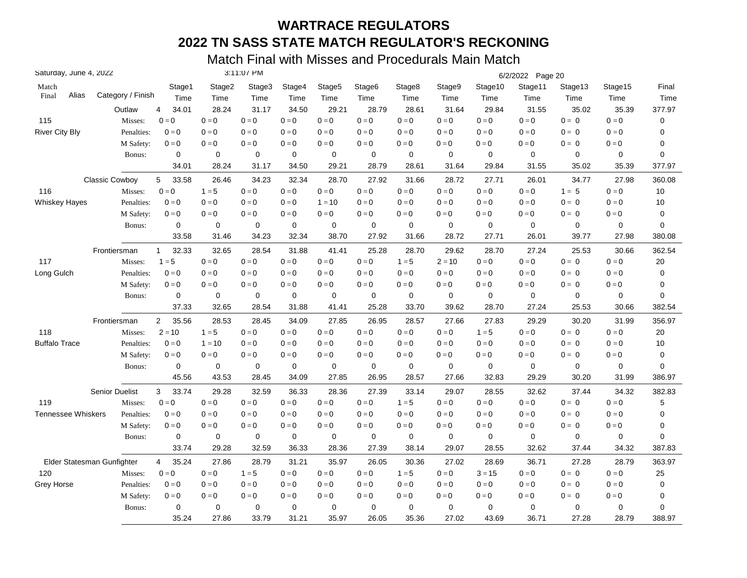| Saturday, June 4, 2022    |                            |                         |             | 3:11:07 PM  |             |                    |             |             |                         |                         | 6/2/2022 Page 20 |             |                         |             |
|---------------------------|----------------------------|-------------------------|-------------|-------------|-------------|--------------------|-------------|-------------|-------------------------|-------------------------|------------------|-------------|-------------------------|-------------|
| Match                     |                            | Stage1                  | Stage2      | Stage3      | Stage4      | Stage <sub>5</sub> | Stage6      | Stage8      | Stage9                  | Stage10                 | Stage11          | Stage13     | Stage15                 | Final       |
| Alias<br>Final            | Category / Finish          | Time                    | Time        | Time        | Time        | Time               | Time        | Time        | Time                    | Time                    | Time             | Time        | Time                    | Time        |
|                           | Outlaw                     | 4<br>34.01              | 28.24       | 31.17       | 34.50       | 29.21              | 28.79       | 28.61       | 31.64                   | 29.84                   | 31.55            | 35.02       | 35.39                   | 377.97      |
| 115                       | Misses:                    | $0 = 0$                 | $0 = 0$     | $0 = 0$     | $0 = 0$     | $0 = 0$            | $0 = 0$     | $0 = 0$     | $0 = 0$                 | $0=0$                   | $0 = 0$          | $0 = 0$     | $0 = 0$                 | 0           |
| <b>River City Bly</b>     | Penalties:                 | $0 = 0$                 | $0=0$       | $0 = 0$     | $0 = 0$     | $0 = 0$            | $0 = 0$     | $0 = 0$     | $\mathbf{0}=\mathbf{0}$ | $0 = 0$                 | $0 = 0$          | $0 = 0$     | $0 = 0$                 | 0           |
|                           | M Safety:                  | $0 = 0$                 | $0 = 0$     | $0 = 0$     | $0 = 0$     | $0 = 0$            | $0 = 0$     | $0 = 0$     | $0 = 0$                 | $0 = 0$                 | $0 = 0$          | $0 = 0$     | $0 = 0$                 | 0           |
|                           | Bonus:                     | $\mathbf 0$             | $\mathbf 0$ | $\mathbf 0$ | $\mathbf 0$ | 0                  | $\mathbf 0$ | $\mathbf 0$ | $\mathbf 0$             | $\mathbf 0$             | $\mathbf 0$      | $\mathbf 0$ | 0                       | $\mathbf 0$ |
|                           |                            | 34.01                   | 28.24       | 31.17       | 34.50       | 29.21              | 28.79       | 28.61       | 31.64                   | 29.84                   | 31.55            | 35.02       | 35.39                   | 377.97      |
|                           | <b>Classic Cowboy</b>      | 5<br>33.58              | 26.46       | 34.23       | 32.34       | 28.70              | 27.92       | 31.66       | 28.72                   | 27.71                   | 26.01            | 34.77       | 27.98                   | 360.08      |
| 116                       | Misses:                    | $0 = 0$                 | $1 = 5$     | $0 = 0$     | $0 = 0$     | $0 = 0$            | $0 = 0$     | $0 = 0$     | $0 = 0$                 | $\mathbf{0}=\mathbf{0}$ | $0 = 0$          | $1 = 5$     | $\mathbf{0}=\mathbf{0}$ | 10          |
| <b>Whiskey Hayes</b>      | Penalties:                 | $0 = 0$                 | $0 = 0$     | $0 = 0$     | $0 = 0$     | $1 = 10$           | $0 = 0$     | $0 = 0$     | $0 = 0$                 | $0 = 0$                 | $0 = 0$          | $0 = 0$     | $0 = 0$                 | 10          |
|                           | M Safety:                  | $0 = 0$                 | $0 = 0$     | $0 = 0$     | $0 = 0$     | $0 = 0$            | $0 = 0$     | $0 = 0$     | $0 = 0$                 | $0 = 0$                 | $0 = 0$          | $0 = 0$     | $0 = 0$                 | 0           |
|                           | Bonus:                     | 0                       | 0           | $\mathbf 0$ | $\mathbf 0$ | $\mathbf 0$        | $\mathbf 0$ | $\mathbf 0$ | $\mathbf 0$             | $\mathbf 0$             | $\mathbf 0$      | 0           | $\mathbf 0$             | $\mathbf 0$ |
|                           |                            | 33.58                   | 31.46       | 34.23       | 32.34       | 38.70              | 27.92       | 31.66       | 28.72                   | 27.71                   | 26.01            | 39.77       | 27.98                   | 380.08      |
|                           | Frontiersman               | 32.33<br>$\mathbf{1}$   | 32.65       | 28.54       | 31.88       | 41.41              | 25.28       | 28.70       | 29.62                   | 28.70                   | 27.24            | 25.53       | 30.66                   | 362.54      |
| 117                       | Misses:                    | $1 = 5$                 | $0 = 0$     | $0 = 0$     | $0 = 0$     | $0 = 0$            | $0 = 0$     | $1 = 5$     | $2 = 10$                | $0 = 0$                 | $0 = 0$          | $0 = 0$     | $0 = 0$                 | 20          |
| Long Gulch                | Penalties:                 | $0 = 0$                 | $0=0$       | $0 = 0$     | $0 = 0$     | $0 = 0$            | $0 = 0$     | $0 = 0$     | $0 = 0$                 | $0 = 0$                 | $0 = 0$          | $0 = 0$     | $0 = 0$                 | $\mathbf 0$ |
|                           | M Safety:                  | $0=0$                   | $0 = 0$     | $0 = 0$     | $0 = 0$     | $0 = 0$            | $0 = 0$     | $0 = 0$     | $0 = 0$                 | $0 = 0$                 | $0 = 0$          | $0 = 0$     | $0 = 0$                 | 0           |
|                           | Bonus:                     | 0                       | $\mathbf 0$ | 0           | $\mathbf 0$ | 0                  | 0           | $\mathbf 0$ | $\mathbf 0$             | $\mathbf 0$             | $\mathbf 0$      | $\mathbf 0$ | $\mathbf 0$             | 0           |
|                           |                            | 37.33                   | 32.65       | 28.54       | 31.88       | 41.41              | 25.28       | 33.70       | 39.62                   | 28.70                   | 27.24            | 25.53       | 30.66                   | 382.54      |
|                           | Frontiersman               | 35.56<br>$\overline{c}$ | 28.53       | 28.45       | 34.09       | 27.85              | 26.95       | 28.57       | 27.66                   | 27.83                   | 29.29            | 30.20       | 31.99                   | 356.97      |
| 118                       | Misses:                    | $2 = 10$                | $1 = 5$     | $0 = 0$     | $0 = 0$     | $0 = 0$            | $0 = 0$     | $0 = 0$     | $0 = 0$                 | $1 = 5$                 | $0 = 0$          | $0 = 0$     | $0 = 0$                 | 20          |
| <b>Buffalo Trace</b>      | Penalties:                 | $0 = 0$                 | $1 = 10$    | $0 = 0$     | $0 = 0$     | $0 = 0$            | $0 = 0$     | $0 = 0$     | $0 = 0$                 | $0 = 0$                 | $0 = 0$          | $0 = 0$     | $0 = 0$                 | 10          |
|                           | M Safety:                  | $0 = 0$                 | $0 = 0$     | $0 = 0$     | $0 = 0$     | $0 = 0$            | $0 = 0$     | $0 = 0$     | $0 = 0$                 | $0 = 0$                 | $0 = 0$          | $0 = 0$     | $0 = 0$                 | 0           |
|                           | Bonus:                     | $\mathbf 0$             | $\mathbf 0$ | $\mathbf 0$ | 0           | $\mathbf 0$        | $\mathbf 0$ | $\mathbf 0$ | $\mathbf 0$             | $\mathbf 0$             | $\mathbf 0$      | $\mathbf 0$ | $\mathbf 0$             | $\mathbf 0$ |
|                           |                            | 45.56                   | 43.53       | 28.45       | 34.09       | 27.85              | 26.95       | 28.57       | 27.66                   | 32.83                   | 29.29            | 30.20       | 31.99                   | 386.97      |
|                           | <b>Senior Duelist</b>      | 3<br>33.74              | 29.28       | 32.59       | 36.33       | 28.36              | 27.39       | 33.14       | 29.07                   | 28.55                   | 32.62            | 37.44       | 34.32                   | 382.83      |
| 119                       | Misses:                    | $0 = 0$                 | $0 = 0$     | $0 = 0$     | $0 = 0$     | $0 = 0$            | $0 = 0$     | $1 = 5$     | $0 = 0$                 | $0 = 0$                 | $0 = 0$          | $0 = 0$     | $0 = 0$                 | 5           |
| <b>Tennessee Whiskers</b> | Penalties:                 | $0 = 0$                 | $0 = 0$     | $0 = 0$     | $0 = 0$     | $0 = 0$            | $0 = 0$     | $0 = 0$     | $0 = 0$                 | $0 = 0$                 | $0 = 0$          | $0 = 0$     | $0 = 0$                 | 0           |
|                           | M Safety:                  | $0 = 0$                 | $0 = 0$     | $0 = 0$     | $0 = 0$     | $0 = 0$            | $0 = 0$     | $0 = 0$     | $0 = 0$                 | $0 = 0$                 | $0 = 0$          | $0 = 0$     | $0 = 0$                 | $\mathbf 0$ |
|                           | Bonus:                     | $\pmb{0}$               | 0           | $\mathbf 0$ | $\mathbf 0$ | $\mathbf 0$        | $\mathbf 0$ | $\mathbf 0$ | $\mathbf 0$             | $\mathbf 0$             | $\mathbf 0$      | 0           | 0                       | $\mathbf 0$ |
|                           |                            | 33.74                   | 29.28       | 32.59       | 36.33       | 28.36              | 27.39       | 38.14       | 29.07                   | 28.55                   | 32.62            | 37.44       | 34.32                   | 387.83      |
|                           | Elder Statesman Gunfighter | 35.24<br>4              | 27.86       | 28.79       | 31.21       | 35.97              | 26.05       | 30.36       | 27.02                   | 28.69                   | 36.71            | 27.28       | 28.79                   | 363.97      |
| 120                       | Misses:                    | $0 = 0$                 | $0 = 0$     | $1 = 5$     | $0 = 0$     | $0 = 0$            | $0 = 0$     | $1 = 5$     | $0 = 0$                 | $3 = 15$                | $0 = 0$          | $0 = 0$     | $0 = 0$                 | 25          |
| Grey Horse                | Penalties:                 | $0 = 0$                 | $0 = 0$     | $0 = 0$     | $0 = 0$     | $0 = 0$            | $0 = 0$     | $0 = 0$     | $0 = 0$                 | $0 = 0$                 | $0 = 0$          | $0 = 0$     | $0 = 0$                 | $\mathbf 0$ |
|                           | M Safety:                  | $0 = 0$                 | $0=0$       | $0 = 0$     | $0 = 0$     | $0 = 0$            | $0 = 0$     | $0 = 0$     | $0 = 0$                 | $0 = 0$                 | $0 = 0$          | $0 = 0$     | $0 = 0$                 | 0           |
|                           | Bonus:                     | 0                       | $\mathbf 0$ | 0           | 0           | 0                  | 0           | $\mathbf 0$ | 0                       | 0                       | 0                | 0           | 0                       | 0           |
|                           |                            | 35.24                   | 27.86       | 33.79       | 31.21       | 35.97              | 26.05       | 35.36       | 27.02                   | 43.69                   | 36.71            | 27.28       | 28.79                   | 388.97      |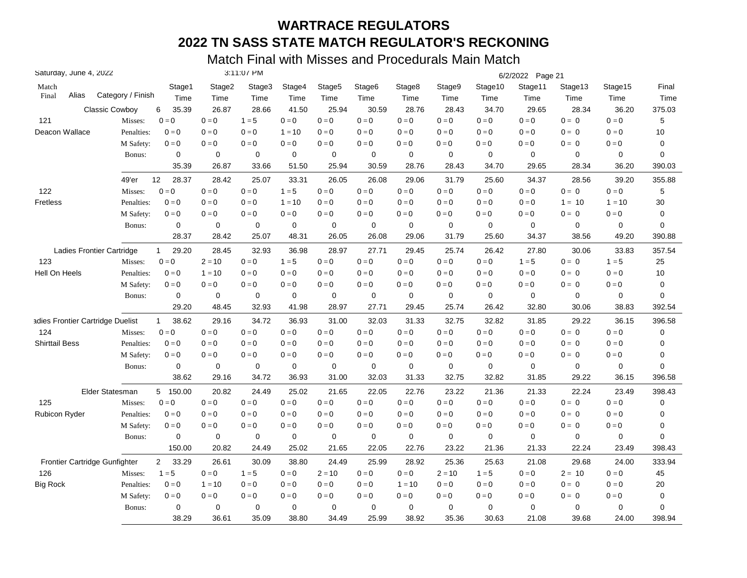| Saturday, June 4, 2022           |                       |                       |             | 3:11:07 PM  |          |                    |                    |          |             |             | 6/2/2022 Page 21        |             |                         |             |
|----------------------------------|-----------------------|-----------------------|-------------|-------------|----------|--------------------|--------------------|----------|-------------|-------------|-------------------------|-------------|-------------------------|-------------|
| Match                            |                       | Stage1                | Stage2      | Stage3      | Stage4   | Stage <sub>5</sub> | Stage <sub>6</sub> | Stage8   | Stage9      | Stage10     | Stage11                 | Stage13     | Stage15                 | Final       |
| Alias<br>Final                   | Category / Finish     | Time                  | Time        | Time        | Time     | Time               | Time               | Time     | Time        | Time        | Time                    | Time        | Time                    | Time        |
|                                  | <b>Classic Cowboy</b> | 35.39<br>6            | 26.87       | 28.66       | 41.50    | 25.94              | 30.59              | 28.76    | 28.43       | 34.70       | 29.65                   | 28.34       | 36.20                   | 375.03      |
| 121                              | Misses:               | $0 = 0$               | $0=0$       | $1 = 5$     | $0=0$    | $0 = 0$            | $0 = 0$            | $0 = 0$  | $0 = 0$     | $0=0$       | $0=0$                   | $0 = 0$     | $0 = 0$                 | 5           |
| Deacon Wallace                   | Penalties:            | $0 = 0$               | $0 = 0$     | $0 = 0$     | $1 = 10$ | $0 = 0$            | $0 = 0$            | $0 = 0$  | $0 = 0$     | $0 = 0$     | $0 = 0$                 | $0 = 0$     | $0 = 0$                 | 10          |
|                                  | M Safety:             | $0=0$                 | $0=0$       | $0=0$       | $0 = 0$  | $0 = 0$            | $0=0$              | $0=0$    | $0=0$       | $0 = 0$     | $0=0$                   | $0 = 0$     | $0 = 0$                 | 0           |
|                                  | Bonus:                | 0                     | $\mathbf 0$ | $\mathbf 0$ | 0        | 0                  | 0                  | 0        | 0           | $\mathbf 0$ | 0                       | $\mathbf 0$ | 0                       | $\mathbf 0$ |
|                                  |                       | 35.39                 | 26.87       | 33.66       | 51.50    | 25.94              | 30.59              | 28.76    | 28.43       | 34.70       | 29.65                   | 28.34       | 36.20                   | 390.03      |
|                                  | 49'er                 | 12<br>28.37           | 28.42       | 25.07       | 33.31    | 26.05              | 26.08              | 29.06    | 31.79       | 25.60       | 34.37                   | 28.56       | 39.20                   | 355.88      |
| 122                              | Misses:               | $0=0$                 | $0=0$       | $0 = 0$     | $1 = 5$  | $0 = 0$            | $0 = 0$            | $0 = 0$  | $0 = 0$     | $0=0$       | $0=0$                   | $0 = 0$     | $0 = 0$                 | 5           |
| <b>Fretless</b>                  | Penalties:            | $0 = 0$               | $0 = 0$     | $0 = 0$     | $1 = 10$ | $0 = 0$            | $0 = 0$            | $0 = 0$  | $0 = 0$     | $0 = 0$     | $0 = 0$                 | $1 = 10$    | $1 = 10$                | 30          |
|                                  | M Safety:             | $0 = 0$               | $0 = 0$     | $0 = 0$     | $0 = 0$  | $0 = 0$            | $0 = 0$            | $0 = 0$  | $0 = 0$     | $0 = 0$     | $0 = 0$                 | $0 = 0$     | $0 = 0$                 | $\pmb{0}$   |
|                                  | Bonus:                | 0                     | $\mathbf 0$ | $\mathbf 0$ | 0        | 0                  | 0                  | 0        | 0           | $\mathbf 0$ | 0                       | $\mathbf 0$ | 0                       | 0           |
|                                  |                       | 28.37                 | 28.42       | 25.07       | 48.31    | 26.05              | 26.08              | 29.06    | 31.79       | 25.60       | 34.37                   | 38.56       | 49.20                   | 390.88      |
| Ladies Frontier Cartridge        |                       | 29.20<br>$\mathbf{1}$ | 28.45       | 32.93       | 36.98    | 28.97              | 27.71              | 29.45    | 25.74       | 26.42       | 27.80                   | 30.06       | 33.83                   | 357.54      |
| 123                              | Misses:               | $0 = 0$               | $2 = 10$    | $0 = 0$     | $1 = 5$  | $0 = 0$            | $0 = 0$            | $0 = 0$  | $0 = 0$     | $0 = 0$     | $1 = 5$                 | $0 = 0$     | $1 = 5$                 | 25          |
| Hell On Heels                    | Penalties:            | $0 = 0$               | $1 = 10$    | $0 = 0$     | $0 = 0$  | $0 = 0$            | $0 = 0$            | $0 = 0$  | $0 = 0$     | $0 = 0$     | $0 = 0$                 | $0 = 0$     | $0 = 0$                 | 10          |
|                                  | M Safety:             | $0 = 0$               | $0 = 0$     | $0 = 0$     | $0 = 0$  | $0 = 0$            | $0 = 0$            | $0 = 0$  | $0 = 0$     | $0 = 0$     | $0 = 0$                 | $0 = 0$     | $0 = 0$                 | $\mathbf 0$ |
|                                  | Bonus:                | 0                     | 0           | 0           | 0        | 0                  | 0                  | 0        | 0           | 0           | 0                       | 0           | 0                       | $\mathbf 0$ |
|                                  |                       | 29.20                 | 48.45       | 32.93       | 41.98    | 28.97              | 27.71              | 29.45    | 25.74       | 26.42       | 32.80                   | 30.06       | 38.83                   | 392.54      |
| adies Frontier Cartridge Duelist |                       | 38.62<br>$\mathbf{1}$ | 29.16       | 34.72       | 36.93    | 31.00              | 32.03              | 31.33    | 32.75       | 32.82       | 31.85                   | 29.22       | 36.15                   | 396.58      |
| 124                              | Misses:               | $0 = 0$               | $0 = 0$     | $0 = 0$     | $0 = 0$  | $0 = 0$            | $0 = 0$            | $0 = 0$  | $0 = 0$     | $0 = 0$     | $0 = 0$                 | $0 = 0$     | $0 = 0$                 | 0           |
| <b>Shirttail Bess</b>            | Penalties:            | $0 = 0$               | $0 = 0$     | $0 = 0$     | $0 = 0$  | $0 = 0$            | $0 = 0$            | $0 = 0$  | $0 = 0$     | $0 = 0$     | $0=0$                   | $0 = 0$     | $0 = 0$                 | 0           |
|                                  | M Safety:             | $0 = 0$               | $0 = 0$     | $0 = 0$     | $0 = 0$  | $0 = 0$            | $0 = 0$            | $0=0$    | $0 = 0$     | $0 = 0$     | $0=0$                   | $0 = 0$     | $0 = 0$                 | 0           |
|                                  | Bonus:                | $\mathbf 0$           | $\mathbf 0$ | $\mathbf 0$ | 0        | $\mathbf 0$        | 0                  | 0        | $\mathbf 0$ | $\mathbf 0$ | $\mathbf 0$             | $\mathbf 0$ | $\mathbf 0$             | $\mathbf 0$ |
|                                  |                       | 38.62                 | 29.16       | 34.72       | 36.93    | 31.00              | 32.03              | 31.33    | 32.75       | 32.82       | 31.85                   | 29.22       | 36.15                   | 396.58      |
|                                  | Elder Statesman       | 5 150.00              | 20.82       | 24.49       | 25.02    | 21.65              | 22.05              | 22.76    | 23.22       | 21.36       | 21.33                   | 22.24       | 23.49                   | 398.43      |
| 125                              | Misses:               | $0 = 0$               | $0 = 0$     | $0 = 0$     | $0 = 0$  | $0 = 0$            | $0 = 0$            | $0 = 0$  | $0 = 0$     | $0=0$       | $\mathbf{0}=\mathbf{0}$ | $0 = 0$     | $\mathbf{0}=\mathbf{0}$ | $\mathbf 0$ |
| <b>Rubicon Ryder</b>             | Penalties:            | $0 = 0$               | $0 = 0$     | $0 = 0$     | $0 = 0$  | $0 = 0$            | $0 = 0$            | $0 = 0$  | $0 = 0$     | $0 = 0$     | $0 = 0$                 | $0 = 0$     | $0 = 0$                 | 0           |
|                                  | M Safety:             | $0 = 0$               | $0 = 0$     | $0 = 0$     | $0 = 0$  | $0 = 0$            | $0 = 0$            | $0 = 0$  | $0 = 0$     | $0 = 0$     | $0 = 0$                 | $0 = 0$     | $0 = 0$                 | 0           |
|                                  | Bonus:                | 0                     | $\mathbf 0$ | 0           | 0        | 0                  | 0                  | 0        | 0           | $\mathbf 0$ | 0                       | $\mathbf 0$ | $\mathbf 0$             | 0           |
|                                  |                       | 150.00                | 20.82       | 24.49       | 25.02    | 21.65              | 22.05              | 22.76    | 23.22       | 21.36       | 21.33                   | 22.24       | 23.49                   | 398.43      |
| Frontier Cartridge Gunfighter    |                       | $2^{\circ}$<br>33.29  | 26.61       | 30.09       | 38.80    | 24.49              | 25.99              | 28.92    | 25.36       | 25.63       | 21.08                   | 29.68       | 24.00                   | 333.94      |
| 126                              | Misses:               | $1 = 5$               | $0 = 0$     | $1 = 5$     | $0 = 0$  | $2 = 10$           | $0 = 0$            | $0 = 0$  | $2 = 10$    | $1 = 5$     | $0=0$                   | $2 = 10$    | $0 = 0$                 | 45          |
| <b>Big Rock</b>                  | Penalties:            | $0 = 0$               | $1 = 10$    | $0 = 0$     | $0 = 0$  | $0 = 0$            | $0 = 0$            | $1 = 10$ | $0 = 0$     | $0 = 0$     | $0 = 0$                 | $0 = 0$     | $0 = 0$                 | 20          |
|                                  | M Safety:             | $0 = 0$               | $0 = 0$     | $0 = 0$     | $0 = 0$  | $0 = 0$            | $0 = 0$            | $0 = 0$  | $0 = 0$     | $0 = 0$     | $0 = 0$                 | $0 = 0$     | $0 = 0$                 | $\mathbf 0$ |
|                                  | Bonus:                | 0                     | $\mathbf 0$ | $\mathbf 0$ | 0        | 0                  | 0                  | 0        | 0           | $\mathbf 0$ | $\mathbf 0$             | 0           | 0                       | 0           |
|                                  |                       | 38.29                 | 36.61       | 35.09       | 38.80    | 34.49              | 25.99              | 38.92    | 35.36       | 30.63       | 21.08                   | 39.68       | 24.00                   | 398.94      |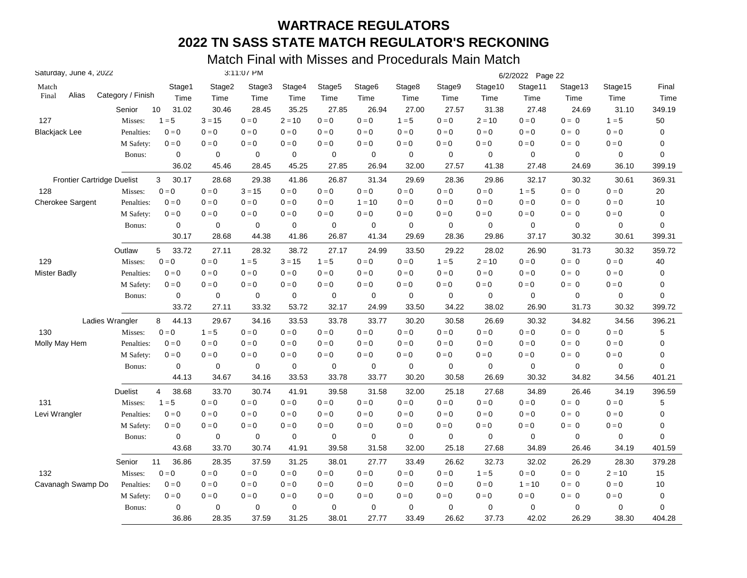| Saturday, June 4, 2022            |                   |                         |             | 3:11:07 PM  |             |                    |                    |                         |             |             | 6/2/2022 Page 22 |             |                         |        |
|-----------------------------------|-------------------|-------------------------|-------------|-------------|-------------|--------------------|--------------------|-------------------------|-------------|-------------|------------------|-------------|-------------------------|--------|
| Match                             |                   | Stage1                  | Stage2      | Stage3      | Stage4      | Stage <sub>5</sub> | Stage <sub>6</sub> | Stage8                  | Stage9      | Stage10     | Stage11          | Stage13     | Stage15                 | Final  |
| Alias<br>Final                    | Category / Finish | Time                    | Time        | Time        | Time        | Time               | Time               | Time                    | Time        | Time        | Time             | Time        | Time                    | Time   |
|                                   | Senior            | 10<br>31.02             | 30.46       | 28.45       | 35.25       | 27.85              | 26.94              | 27.00                   | 27.57       | 31.38       | 27.48            | 24.69       | 31.10                   | 349.19 |
| 127                               | Misses:           | $1 = 5$                 | $3 = 15$    | $0 = 0$     | $2 = 10$    | $0 = 0$            | $0 = 0$            | $1 = 5$                 | $0 = 0$     | $2 = 10$    | $0 = 0$          | $0 = 0$     | $1 = 5$                 | 50     |
| Blackjack Lee                     | Penalties:        | $0 = 0$                 | $0 = 0$     | $0 = 0$     | $0 = 0$     | $0 = 0$            | $0 = 0$            | $0 = 0$                 | $0 = 0$     | $0 = 0$     | $0 = 0$          | $0 = 0$     | $0 = 0$                 | 0      |
|                                   | M Safety:         | $0 = 0$                 | $0=0$       | $0 = 0$     | $0 = 0$     | $0=0$              | $0 = 0$            | $0 = 0$                 | $0 = 0$     | $0 = 0$     | $0 = 0$          | $0 = 0$     | $0 = 0$                 | 0      |
|                                   | Bonus:            | 0                       | 0           | $\mathbf 0$ | $\mathbf 0$ | 0                  | 0                  | $\mathbf 0$             | 0           | 0           | $\mathbf 0$      | 0           | 0                       | 0      |
|                                   |                   | 36.02                   | 45.46       | 28.45       | 45.25       | 27.85              | 26.94              | 32.00                   | 27.57       | 41.38       | 27.48            | 24.69       | 36.10                   | 399.19 |
| <b>Frontier Cartridge Duelist</b> |                   | 3<br>30.17              | 28.68       | 29.38       | 41.86       | 26.87              | 31.34              | 29.69                   | 28.36       | 29.86       | 32.17            | 30.32       | 30.61                   | 369.31 |
| 128                               | Misses:           | $0 = 0$                 | $0=0$       | $3 = 15$    | $0 = 0$     | $0 = 0$            | $0 = 0$            | $0 = 0$                 | $0=0$       | $0 = 0$     | $1 = 5$          | $0 = 0$     | $0 = 0$                 | 20     |
| <b>Cherokee Sargent</b>           | Penalties:        | $0 = 0$                 | $0 = 0$     | $0 = 0$     | $0 = 0$     | $0 = 0$            | $1 = 10$           | $0 = 0$                 | $0 = 0$     | $0 = 0$     | $0 = 0$          | $0 = 0$     | $0 = 0$                 | 10     |
|                                   | M Safety:         | $0 = 0$                 | $0 = 0$     | $0 = 0$     | $0 = 0$     | $0 = 0$            | $0 = 0$            | $0 = 0$                 | $0 = 0$     | $0 = 0$     | $0 = 0$          | $0 = 0$     | $0 = 0$                 | 0      |
|                                   | Bonus:            | $\mathbf 0$             | $\mathbf 0$ | 0           | $\mathbf 0$ | 0                  | 0                  | $\mathbf 0$             | 0           | 0           | $\mathbf 0$      | 0           | 0                       | 0      |
|                                   |                   | 30.17                   | 28.68       | 44.38       | 41.86       | 26.87              | 41.34              | 29.69                   | 28.36       | 29.86       | 37.17            | 30.32       | 30.61                   | 399.31 |
|                                   | Outlaw            | 33.72<br>5              | 27.11       | 28.32       | 38.72       | 27.17              | 24.99              | 33.50                   | 29.22       | 28.02       | 26.90            | 31.73       | 30.32                   | 359.72 |
| 129                               | Misses:           | $0 = 0$                 | $0=0$       | $1 = 5$     | $3 = 15$    | $1 = 5$            | $0 = 0$            | $0 = 0$                 | $1 = 5$     | $2 = 10$    | $0 = 0$          | $0 = 0$     | $0 = 0$                 | 40     |
| Mister Badly                      | Penalties:        | $0 = 0$                 | $0 = 0$     | $0 = 0$     | $0 = 0$     | $0 = 0$            | $0 = 0$            | $0 = 0$                 | $0=0$       | $0 = 0$     | $0 = 0$          | $0 = 0$     | $0 = 0$                 | 0      |
|                                   | M Safety:         | $0 = 0$                 | $0 = 0$     | $0 = 0$     | $0 = 0$     | $0 = 0$            | $0 = 0$            | $0 = 0$                 | $0 = 0$     | $0 = 0$     | $0 = 0$          | $0 = 0$     | $0 = 0$                 | 0      |
|                                   | Bonus:            | 0                       | 0           | 0           | $\mathbf 0$ | 0                  | 0                  | $\mathbf 0$             | 0           | 0           | 0                | 0           | 0                       | 0      |
|                                   |                   | 33.72                   | 27.11       | 33.32       | 53.72       | 32.17              | 24.99              | 33.50                   | 34.22       | 38.02       | 26.90            | 31.73       | 30.32                   | 399.72 |
|                                   | Ladies Wrangler   | 44.13<br>8              | 29.67       | 34.16       | 33.53       | 33.78              | 33.77              | 30.20                   | 30.58       | 26.69       | 30.32            | 34.82       | 34.56                   | 396.21 |
| 130                               | Misses:           | $0 = 0$                 | $1 = 5$     | $0 = 0$     | $0 = 0$     | $0 = 0$            | $0 = 0$            | $0 = 0$                 | $0 = 0$     | $0 = 0$     | $0 = 0$          | $0 = 0$     | $0 = 0$                 | 5      |
| Molly May Hem                     | Penalties:        | $0=0$                   | $0 = 0$     | $0 = 0$     | $0 = 0$     | $0 = 0$            | $0 = 0$            | $0 = 0$                 | $0 = 0$     | $0 = 0$     | $0 = 0$          | $0 = 0$     | $0 = 0$                 | 0      |
|                                   | M Safety:         | $0 = 0$                 | $0 = 0$     | $0 = 0$     | $0 = 0$     | $0 = 0$            | $0 = 0$            | $0 = 0$                 | $0 = 0$     | $0 = 0$     | $0 = 0$          | $0 = 0$     | $0=0$                   | 0      |
|                                   | Bonus:            | 0                       | $\mathbf 0$ | 0           | $\mathbf 0$ | 0                  | $\mathbf 0$        | $\mathbf 0$             | $\mathbf 0$ | $\mathbf 0$ | $\mathbf 0$      | $\mathbf 0$ | 0                       | 0      |
|                                   |                   | 44.13                   | 34.67       | 34.16       | 33.53       | 33.78              | 33.77              | 30.20                   | 30.58       | 26.69       | 30.32            | 34.82       | 34.56                   | 401.21 |
|                                   | <b>Duelist</b>    | 38.68<br>$\overline{4}$ | 33.70       | 30.74       | 41.91       | 39.58              | 31.58              | 32.00                   | 25.18       | 27.68       | 34.89            | 26.46       | 34.19                   | 396.59 |
| 131                               | Misses:           | $1 = 5$                 | $0 = 0$     | $0 = 0$     | $0 = 0$     | $0=0$              | $0 = 0$            | $\mathbf{0}=\mathbf{0}$ | $0 = 0$     | $0 = 0$     | $0 = 0$          | $0 = 0$     | $\mathbf{0}=\mathbf{0}$ | 5      |
| Levi Wrangler                     | Penalties:        | $0 = 0$                 | $0 = 0$     | $0 = 0$     | $0 = 0$     | $0 = 0$            | $0 = 0$            | $0 = 0$                 | $0 = 0$     | $0 = 0$     | $0 = 0$          | $0 = 0$     | $0 = 0$                 | 0      |
|                                   | M Safety:         | $0 = 0$                 | $0 = 0$     | $0 = 0$     | $0 = 0$     | $0 = 0$            | $0 = 0$            | $0 = 0$                 | $0 = 0$     | $0 = 0$     | $0 = 0$          | $0 = 0$     | $0 = 0$                 | 0      |
|                                   | Bonus:            | 0                       | 0           | 0           | $\mathbf 0$ | 0                  | 0                  | 0                       | 0           | 0           | $\mathbf 0$      | 0           | 0                       | 0      |
|                                   |                   | 43.68                   | 33.70       | 30.74       | 41.91       | 39.58              | 31.58              | 32.00                   | 25.18       | 27.68       | 34.89            | 26.46       | 34.19                   | 401.59 |
|                                   | Senior            | 11<br>36.86             | 28.35       | 37.59       | 31.25       | 38.01              | 27.77              | 33.49                   | 26.62       | 32.73       | 32.02            | 26.29       | 28.30                   | 379.28 |
| 132                               | Misses:           | $0 = 0$                 | $0 = 0$     | $0 = 0$     | $0 = 0$     | $0 = 0$            | $0 = 0$            | $0 = 0$                 | $0=0$       | $1 = 5$     | $0 = 0$          | $0 = 0$     | $2 = 10$                | 15     |
| Cavanagh Swamp Do                 | Penalties:        | $0 = 0$                 | $0 = 0$     | $0 = 0$     | $0 = 0$     | $0 = 0$            | $0 = 0$            | $0 = 0$                 | $0 = 0$     | $0 = 0$     | $1 = 10$         | $0 = 0$     | $0 = 0$                 | 10     |
|                                   | M Safety:         | $0 = 0$                 | $0 = 0$     | $0 = 0$     | $0 = 0$     | $0 = 0$            | $0 = 0$            | $0 = 0$                 | $0 = 0$     | $0 = 0$     | $0 = 0$          | $0 = 0$     | $0 = 0$                 | 0      |
|                                   | Bonus:            | $\mathbf 0$             | $\mathbf 0$ | 0           | $\mathbf 0$ | 0                  | $\mathbf 0$        | $\mathbf 0$             | $\mathbf 0$ | 0           | $\mathbf 0$      | $\mathbf 0$ | 0                       | 0      |
|                                   |                   | 36.86                   | 28.35       | 37.59       | 31.25       | 38.01              | 27.77              | 33.49                   | 26.62       | 37.73       | 42.02            | 26.29       | 38.30                   | 404.28 |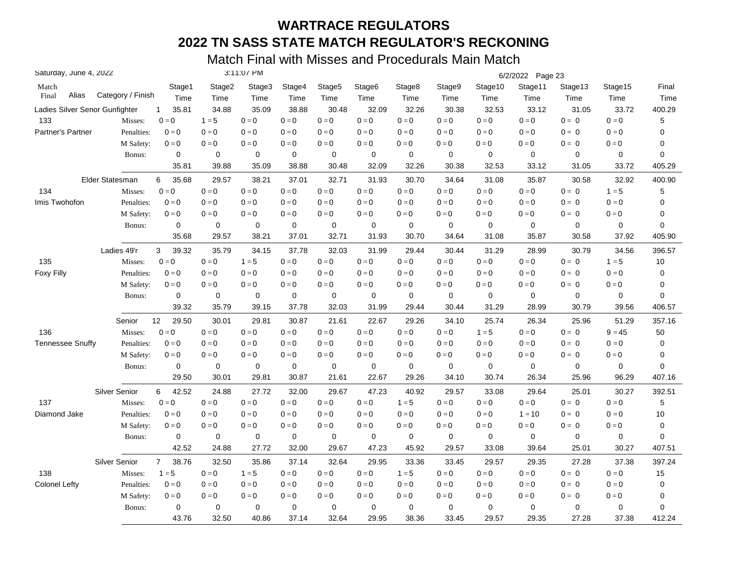| Saturday, June 4, 2022         |                   |                         |             | 3:11:07 PM |                         |                    |         |             |                         |                         | 6/2/2022 Page 23        |             |                         |             |
|--------------------------------|-------------------|-------------------------|-------------|------------|-------------------------|--------------------|---------|-------------|-------------------------|-------------------------|-------------------------|-------------|-------------------------|-------------|
| Match                          |                   | Stage1                  | Stage2      | Stage3     | Stage4                  | Stage <sub>5</sub> | Stage6  | Stage8      | Stage9                  | Stage10                 | Stage11                 | Stage13     | Stage15                 | Final       |
| Alias<br>Final                 | Category / Finish | Time                    | Time        | Time       | Time                    | Time               | Time    | Time        | Time                    | Time                    | Time                    | Time        | Time                    | Time        |
| Ladies Silver Senor Gunfighter |                   | 35.81<br>$\mathbf{1}$   | 34.88       | 35.09      | 38.88                   | 30.48              | 32.09   | 32.26       | 30.38                   | 32.53                   | 33.12                   | 31.05       | 33.72                   | 400.29      |
| 133                            | Misses:           | $0 = 0$                 | $1 = 5$     | $0 = 0$    | $0 = 0$                 | $0 = 0$            | $0 = 0$ | $0 = 0$     | $0 = 0$                 | $0 = 0$                 | $0=0$                   | $0 = 0$     | $0 = 0$                 | 5           |
| Partner's Partner              | Penalties:        | $0 = 0$                 | $0=0$       | $0 = 0$    | $0 = 0$                 | $0 = 0$            | $0 = 0$ | $0 = 0$     | $0 = 0$                 | $0 = 0$                 | $0=0$                   | $0 = 0$     | $0 = 0$                 | 0           |
|                                | M Safety:         | $0 = 0$                 | $0=0$       | $0 = 0$    | $0=0$                   | $0 = 0$            | $0 = 0$ | $0 = 0$     | $0 = 0$                 | $0 = 0$                 | $0 = 0$                 | $0 = 0$     | $\mathbf{0}=\mathbf{0}$ | 0           |
|                                | Bonus:            | $\mathbf 0$             | $\mathbf 0$ | 0          | $\mathbf 0$             | $\mathbf 0$        | 0       | $\mathbf 0$ | 0                       | $\mathbf 0$             | $\mathbf 0$             | $\mathbf 0$ | $\mathbf 0$             | 0           |
|                                |                   | 35.81                   | 39.88       | 35.09      | 38.88                   | 30.48              | 32.09   | 32.26       | 30.38                   | 32.53                   | 33.12                   | 31.05       | 33.72                   | 405.29      |
|                                | Elder Statesman   | 6<br>35.68              | 29.57       | 38.21      | 37.01                   | 32.71              | 31.93   | 30.70       | 34.64                   | 31.08                   | 35.87                   | 30.58       | 32.92                   | 400.90      |
| 134                            | Misses:           | $0 = 0$                 | $0 = 0$     | $0 = 0$    | $\mathbf{0}=\mathbf{0}$ | $0=0$              | $0 = 0$ | $0 = 0$     | $\mathbf{0}=\mathbf{0}$ | $0=0$                   | $\mathbf{0}=\mathbf{0}$ | $0 = 0$     | $1 = 5$                 | 5           |
| Imis Twohofon                  | Penalties:        | $0 = 0$                 | $0 = 0$     | $0 = 0$    | $0 = 0$                 | $0 = 0$            | $0 = 0$ | $0 = 0$     | $0 = 0$                 | $0 = 0$                 | $0 = 0$                 | $0 = 0$     | $0 = 0$                 | 0           |
|                                | M Safety:         | $0 = 0$                 | $0 = 0$     | $0 = 0$    | $0 = 0$                 | $0=0$              | $0 = 0$ | $0 = 0$     | $0 = 0$                 | $0 = 0$                 | $0 = 0$                 | $0 = 0$     | $0 = 0$                 | 0           |
|                                | Bonus:            | $\mathbf 0$             | $\mathbf 0$ | 0          | 0                       | 0                  | 0       | $\mathbf 0$ | 0                       | 0                       | $\mathbf 0$             | $\mathbf 0$ | $\mathbf 0$             | 0           |
|                                |                   | 35.68                   | 29.57       | 38.21      | 37.01                   | 32.71              | 31.93   | 30.70       | 34.64                   | 31.08                   | 35.87                   | 30.58       | 37.92                   | 405.90      |
|                                | Ladies 49'r       | 3<br>39.32              | 35.79       | 34.15      | 37.78                   | 32.03              | 31.99   | 29.44       | 30.44                   | 31.29                   | 28.99                   | 30.79       | 34.56                   | 396.57      |
| 135                            | Misses:           | $0 = 0$                 | $0 = 0$     | $1 = 5$    | $0 = 0$                 | $0 = 0$            | $0 = 0$ | $0 = 0$     | $0 = 0$                 | $0 = 0$                 | $0 = 0$                 | $0 = 0$     | $1 = 5$                 | 10          |
| <b>Foxy Filly</b>              | Penalties:        | $0 = 0$                 | $0 = 0$     | $0 = 0$    | $0 = 0$                 | $0=0$              | $0 = 0$ | $0 = 0$     | $0 = 0$                 | $0 = 0$                 | $0 = 0$                 | $0 = 0$     | $0 = 0$                 | $\mathbf 0$ |
|                                | M Safety:         | $0 = 0$                 | $0 = 0$     | $0 = 0$    | $0 = 0$                 | $0 = 0$            | $0 = 0$ | $0 = 0$     | $0 = 0$                 | $0 = 0$                 | $0 = 0$                 | $0 = 0$     | $0 = 0$                 | 0           |
|                                | Bonus:            | 0                       | $\mathbf 0$ | 0          | $\mathbf 0$             | 0                  | 0       | $\mathbf 0$ | 0                       | $\mathbf 0$             | $\mathbf 0$             | $\mathbf 0$ | $\mathbf 0$             | 0           |
|                                |                   | 39.32                   | 35.79       | 39.15      | 37.78                   | 32.03              | 31.99   | 29.44       | 30.44                   | 31.29                   | 28.99                   | 30.79       | 39.56                   | 406.57      |
|                                | Senior            | 29.50<br>12             | 30.01       | 29.81      | 30.87                   | 21.61              | 22.67   | 29.26       | 34.10                   | 25.74                   | 26.34                   | 25.96       | 51.29                   | 357.16      |
| 136                            | Misses:           | $0 = 0$                 | $0 = 0$     | $0 = 0$    | $0 = 0$                 | $0 = 0$            | $0 = 0$ | $0 = 0$     | $0 = 0$                 | $1 = 5$                 | $0 = 0$                 | $0 = 0$     | $9 = 45$                | 50          |
| <b>Tennessee Snuffy</b>        | Penalties:        | $0 = 0$                 | $0 = 0$     | $0 = 0$    | $0 = 0$                 | $0 = 0$            | $0 = 0$ | $0 = 0$     | $0 = 0$                 | $0 = 0$                 | $0 = 0$                 | $0 = 0$     | $0 = 0$                 | $\mathbf 0$ |
|                                | M Safety:         | $0=0$                   | $0 = 0$     | $0 = 0$    | $0 = 0$                 | $0=0$              | $0 = 0$ | $0 = 0$     | $0 = 0$                 | $0 = 0$                 | $0 = 0$                 | $0 = 0$     | $0 = 0$                 | 0           |
|                                | Bonus:            | $\mathbf 0$             | 0           | $\pmb{0}$  | $\pmb{0}$               | $\pmb{0}$          | 0       | $\mathbf 0$ | $\pmb{0}$               | $\mathbf 0$             | $\mathbf 0$             | $\mathbf 0$ | 0                       | 0           |
|                                |                   | 29.50                   | 30.01       | 29.81      | 30.87                   | 21.61              | 22.67   | 29.26       | 34.10                   | 30.74                   | 26.34                   | 25.96       | 96.29                   | 407.16      |
|                                | Silver Senior     | 42.52<br>6              | 24.88       | 27.72      | 32.00                   | 29.67              | 47.23   | 40.92       | 29.57                   | 33.08                   | 29.64                   | 25.01       | 30.27                   | 392.51      |
| 137                            | Misses:           | $0 = 0$                 | $0 = 0$     | $0 = 0$    | $0 = 0$                 | $0 = 0$            | $0 = 0$ | $1 = 5$     | $0 = 0$                 | $0 = 0$                 | $0 = 0$                 | $0 = 0$     | $0 = 0$                 | 5           |
| Diamond Jake                   | Penalties:        | $0 = 0$                 | $0 = 0$     | $0 = 0$    | $0 = 0$                 | $0 = 0$            | $0 = 0$ | $0 = 0$     | $0 = 0$                 | $\mathbf{0}=\mathbf{0}$ | $1 = 10$                | $0 = 0$     | $0 = 0$                 | 10          |
|                                | M Safety:         | $0 = 0$                 | $0=0$       | $0 = 0$    | $0 = 0$                 | $0=0$              | $0 = 0$ | $0=0$       | $0 = 0$                 | $0 = 0$                 | $0 = 0$                 | $0 = 0$     | $0 = 0$                 | $\mathbf 0$ |
|                                | Bonus:            | 0                       | 0           | 0          | 0                       | 0                  | 0       | $\mathbf 0$ | 0                       | 0                       | $\mathbf 0$             | 0           | 0                       | 0           |
|                                |                   | 42.52                   | 24.88       | 27.72      | 32.00                   | 29.67              | 47.23   | 45.92       | 29.57                   | 33.08                   | 39.64                   | 25.01       | 30.27                   | 407.51      |
|                                | Silver Senior     | $\overline{7}$<br>38.76 | 32.50       | 35.86      | 37.14                   | 32.64              | 29.95   | 33.36       | 33.45                   | 29.57                   | 29.35                   | 27.28       | 37.38                   | 397.24      |
| 138                            | Misses:           | $1 = 5$                 | $0=0$       | $1 = 5$    | $0 = 0$                 | $0 = 0$            | $0 = 0$ | $1 = 5$     | $0=0$                   | $0=0$                   | $0 = 0$                 | $0 = 0$     | $0 = 0$                 | 15          |
| <b>Colonel Lefty</b>           | Penalties:        | $0 = 0$                 | $0=0$       | $0 = 0$    | $0 = 0$                 | $0=0$              | $0 = 0$ | $0 = 0$     | $0=0$                   | $0 = 0$                 | $0 = 0$                 | $0 = 0$     | $0 = 0$                 | $\mathbf 0$ |
|                                | M Safety:         | $0 = 0$                 | $0 = 0$     | $0 = 0$    | $0 = 0$                 | $0=0$              | $0 = 0$ | $0 = 0$     | $0 = 0$                 | $0 = 0$                 | $0 = 0$                 | $0 = 0$     | $0 = 0$                 | 0           |
|                                | Bonus:            | 0                       | $\mathbf 0$ | 0          | $\mathbf 0$             | $\mathbf 0$        | 0       | $\mathbf 0$ | 0                       | $\mathbf 0$             | $\mathbf 0$             | $\mathbf 0$ | $\mathbf 0$             | 0           |
|                                |                   | 43.76                   | 32.50       | 40.86      | 37.14                   | 32.64              | 29.95   | 38.36       | 33.45                   | 29.57                   | 29.35                   | 27.28       | 37.38                   | 412.24      |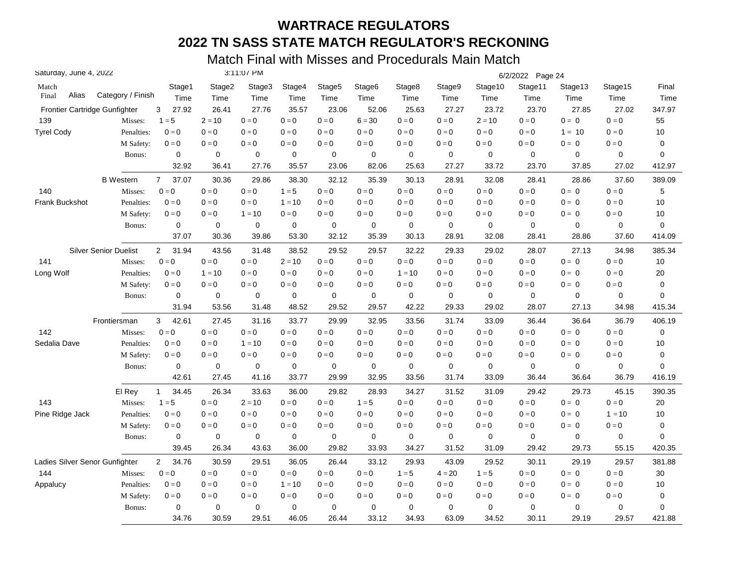| Saturday, June 4, 2022         |                              |                         |             | 3:11:07 PM |             |                    |                    |             |             |             | 6/2/2022 Page 24 |             |          |             |
|--------------------------------|------------------------------|-------------------------|-------------|------------|-------------|--------------------|--------------------|-------------|-------------|-------------|------------------|-------------|----------|-------------|
| Match                          |                              | Stage1                  | Stage2      | Stage3     | Stage4      | Stage <sub>5</sub> | Stage <sub>6</sub> | Stage8      | Stage9      | Stage10     | Stage11          | Stage13     | Stage15  | Final       |
| Alias<br>Final                 | Category / Finish            | Time                    | Time        | Time       | Time        | Time               | Time               | Time        | Time        | Time        | Time             | Time        | Time     | Time        |
| Frontier Cartridge Gunfighter  |                              | 3<br>27.92              | 26.41       | 27.76      | 35.57       | 23.06              | 52.06              | 25.63       | 27.27       | 23.72       | 23.70            | 27.85       | 27.02    | 347.97      |
| 139                            | Misses:                      | $1 = 5$                 | $2 = 10$    | $0 = 0$    | $0 = 0$     | $0=0$              | $6 = 30$           | $0 = 0$     | $0 = 0$     | $2 = 10$    | $0 = 0$          | $0 = 0$     | $0 = 0$  | 55          |
| <b>Tyrel Cody</b>              | Penalties:                   | $0=0$                   | $0 = 0$     | $0 = 0$    | $0 = 0$     | $0=0$              | $0 = 0$            | $0 = 0$     | $0 = 0$     | $0 = 0$     | $0 = 0$          | $1 = 10$    | $0 = 0$  | 10          |
|                                | M Safety:                    | $0 = 0$                 | $0=0$       | $0 = 0$    | $0 = 0$     | $0=0$              | $0 = 0$            | $0 = 0$     | $0 = 0$     | $0 = 0$     | $0=0$            | $0 = 0$     | $0 = 0$  | 0           |
|                                | Bonus:                       | $\mathbf 0$             | $\mathbf 0$ | 0          | $\mathbf 0$ | 0                  | $\mathbf 0$        | $\mathbf 0$ | $\mathbf 0$ | $\mathbf 0$ | $\mathbf 0$      | $\mathbf 0$ | 0        | 0           |
|                                |                              | 32.92                   | 36.41       | 27.76      | 35.57       | 23.06              | 82.06              | 25.63       | 27.27       | 33.72       | 23.70            | 37.85       | 27.02    | 412.97      |
|                                | <b>B</b> Western             | $7^{\circ}$<br>37.07    | 30.36       | 29.86      | 38.30       | 32.12              | 35.39              | 30.13       | 28.91       | 32.08       | 28.41            | 28.86       | 37.60    | 389.09      |
| 140                            | Misses:                      | $0 = 0$                 | $0 = 0$     | $0 = 0$    | $1 = 5$     | $0 = 0$            | $0 = 0$            | $0 = 0$     | $0 = 0$     | $0 = 0$     | $0 = 0$          | $0 = 0$     | $0 = 0$  | 5           |
| Frank Buckshot                 | Penalties:                   | $0 = 0$                 | $0 = 0$     | $0 = 0$    | $1 = 10$    | $0 = 0$            | $0 = 0$            | $0 = 0$     | $0 = 0$     | $0 = 0$     | $0 = 0$          | $0 = 0$     | $0 = 0$  | 10          |
|                                | M Safety:                    | $0 = 0$                 | $0 = 0$     | $1 = 10$   | $0 = 0$     | $0 = 0$            | $0 = 0$            | $0 = 0$     | $0 = 0$     | $0 = 0$     | $0 = 0$          | $0 = 0$     | $0 = 0$  | 10          |
|                                | Bonus:                       | 0                       | $\mathbf 0$ | 0          | $\mathbf 0$ | 0                  | $\mathbf 0$        | $\mathbf 0$ | 0           | 0           | $\mathbf 0$      | $\mathbf 0$ | 0        | 0           |
|                                |                              | 37.07                   | 30.36       | 39.86      | 53.30       | 32.12              | 35.39              | 30.13       | 28.91       | 32.08       | 28.41            | 28.86       | 37.60    | 414.09      |
|                                | <b>Silver Senior Duelist</b> | $\overline{2}$<br>31.94 | 43.56       | 31.48      | 38.52       | 29.52              | 29.57              | 32.22       | 29.33       | 29.02       | 28.07            | 27.13       | 34.98    | 385.34      |
| 141                            | Misses:                      | $0 = 0$                 | $0=0$       | $0 = 0$    | $2 = 10$    | $0 = 0$            | $0 = 0$            | $0 = 0$     | $0 = 0$     | $0 = 0$     | $0 = 0$          | $0 = 0$     | $0 = 0$  | 10          |
| Long Wolf                      | Penalties:                   | $0 = 0$                 | $1 = 10$    | $0 = 0$    | $0 = 0$     | $0 = 0$            | $0 = 0$            | $1 = 10$    | $0 = 0$     | $0 = 0$     | $0 = 0$          | $0 = 0$     | $0 = 0$  | 20          |
|                                | M Safety:                    | $0 = 0$                 | $0 = 0$     | $0 = 0$    | $0 = 0$     | $0=0$              | $0 = 0$            | $0 = 0$     | $0 = 0$     | $0 = 0$     | $0 = 0$          | $0 = 0$     | $0 = 0$  | 0           |
|                                | Bonus:                       | $\mathbf 0$             | 0           | 0          | $\mathbf 0$ | 0                  | $\mathbf 0$        | $\mathbf 0$ | $\mathbf 0$ | $\mathbf 0$ | $\mathbf 0$      | $\mathbf 0$ | 0        | 0           |
|                                |                              | 31.94                   | 53.56       | 31.48      | 48.52       | 29.52              | 29.57              | 42.22       | 29.33       | 29.02       | 28.07            | 27.13       | 34.98    | 415.34      |
|                                | Frontiersman                 | 3<br>42.61              | 27.45       | 31.16      | 33.77       | 29.99              | 32.95              | 33.56       | 31.74       | 33.09       | 36.44            | 36.64       | 36.79    | 406.19      |
| 142                            | Misses:                      | $0 = 0$                 | $0 = 0$     | $0 = 0$    | $0 = 0$     | $0 = 0$            | $0 = 0$            | $0 = 0$     | $0 = 0$     | $0 = 0$     | $0 = 0$          | $0 = 0$     | $0 = 0$  | 0           |
| Sedalia Dave                   | Penalties:                   | $0 = 0$                 | $0 = 0$     | $1 = 10$   | $0 = 0$     | $0 = 0$            | $0 = 0$            | $0 = 0$     | $0 = 0$     | $0 = 0$     | $0 = 0$          | $0 = 0$     | $0 = 0$  | 10          |
|                                | M Safety:                    | $0 = 0$                 | $0 = 0$     | $0 = 0$    | $0 = 0$     | $0 = 0$            | $0 = 0$            | $0 = 0$     | $0 = 0$     | $0 = 0$     | $0 = 0$          | $0 = 0$     | $0 = 0$  | 0           |
|                                | Bonus:                       | 0                       | $\pmb{0}$   | 0          | $\pmb{0}$   | $\pmb{0}$          | $\mathbf 0$        | $\mathbf 0$ | $\pmb{0}$   | $\mathbf 0$ | $\mathbf 0$      | $\mathbf 0$ | $\Omega$ | $\mathbf 0$ |
|                                |                              | 42.61                   | 27.45       | 41.16      | 33.77       | 29.99              | 32.95              | 33.56       | 31.74       | 33.09       | 36.44            | 36.64       | 36.79    | 416.19      |
|                                | El Rey                       | 34.45<br>$\mathbf{1}$   | 26.34       | 33.63      | 36.00       | 29.82              | 28.93              | 34.27       | 31.52       | 31.09       | 29.42            | 29.73       | 45.15    | 390.35      |
| 143                            | Misses:                      | $1 = 5$                 | $0 = 0$     | $2 = 10$   | $0 = 0$     | $0 = 0$            | $1 = 5$            | $0 = 0$     | $0 = 0$     | $0 = 0$     | $0 = 0$          | $0 = 0$     | $0 = 0$  | 20          |
| Pine Ridge Jack                | Penalties:                   | $0 = 0$                 | $0 = 0$     | $0 = 0$    | $0 = 0$     | $0 = 0$            | $0 = 0$            | $0 = 0$     | $0 = 0$     | $0 = 0$     | $0 = 0$          | $0 = 0$     | $1 = 10$ | 10          |
|                                | M Safety:                    | $0=0$                   | $0=0$       | $0 = 0$    | $0 = 0$     | $0=0$              | $0 = 0$            | $0 = 0$     | $0 = 0$     | $0 = 0$     | $0=0$            | $0 = 0$     | $0=0$    | $\pmb{0}$   |
|                                | Bonus:                       | 0                       | 0           | 0          | $\pmb{0}$   | 0                  | 0                  | 0           | 0           | 0           | $\mathbf 0$      | 0           | 0        | 0           |
|                                |                              | 39.45                   | 26.34       | 43.63      | 36.00       | 29.82              | 33.93              | 34.27       | 31.52       | 31.09       | 29.42            | 29.73       | 55.15    | 420.35      |
| Ladies Silver Senor Gunfighter |                              | 34.76<br>$\overline{2}$ | 30.59       | 29.51      | 36.05       | 26.44              | 33.12              | 29.93       | 43.09       | 29.52       | 30.11            | 29.19       | 29.57    | 381.88      |
| 144                            | Misses:                      | $0 = 0$                 | $0 = 0$     | $0 = 0$    | $0 = 0$     | $0 = 0$            | $0 = 0$            | $1 = 5$     | $4 = 20$    | $1 = 5$     | $0 = 0$          | $0 = 0$     | $0 = 0$  | 30          |
| Appalucy                       | Penalties:                   | $0 = 0$                 | $0 = 0$     | $0=0$      | $1 = 10$    | $0 = 0$            | $0 = 0$            | $0 = 0$     | $0=0$       | $0=0$       | $0 = 0$          | $0 = 0$     | $0 = 0$  | 10          |
|                                | M Safety:                    | $0 = 0$                 | $0 = 0$     | $0 = 0$    | $0 = 0$     | $0 = 0$            | $0 = 0$            | $0 = 0$     | $0 = 0$     | $0 = 0$     | $0 = 0$          | $0 = 0$     | $0 = 0$  | 0           |
|                                | Bonus:                       | $\mathbf 0$             | $\mathbf 0$ | 0          | $\mathbf 0$ | 0                  | 0                  | $\mathbf 0$ | $\mathbf 0$ | 0           | $\mathbf 0$      | $\mathbf 0$ | 0        | 0           |
|                                |                              | 34.76                   | 30.59       | 29.51      | 46.05       | 26.44              | 33.12              | 34.93       | 63.09       | 34.52       | 30.11            | 29.19       | 29.57    | 421.88      |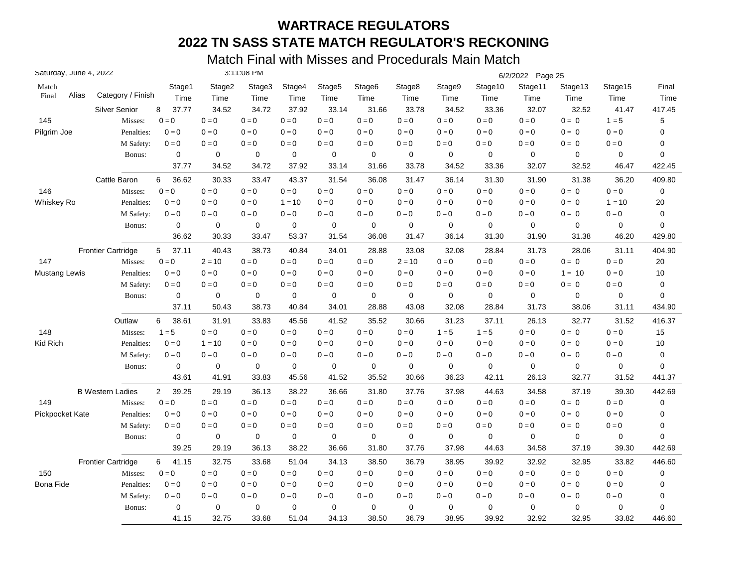|                 | Saturday, June 4, 2022 |                           |                         |             | 3:11:08 PM  |             |                    |                    |             |             |             | 6/2/2022 Page 25 |             |                           |             |
|-----------------|------------------------|---------------------------|-------------------------|-------------|-------------|-------------|--------------------|--------------------|-------------|-------------|-------------|------------------|-------------|---------------------------|-------------|
| Match           |                        |                           | Stage1                  | Stage2      | Stage3      | Stage4      | Stage <sub>5</sub> | Stage <sub>6</sub> | Stage8      | Stage9      | Stage10     | Stage11          | Stage13     | Stage15                   | Final       |
| Final           | Alias                  | Category / Finish         | Time                    | Time        | Time        | Time        | Time               | Time               | Time        | Time        | Time        | Time             | Time        | Time                      | Time        |
|                 |                        | <b>Silver Senior</b>      | 37.77<br>8              | 34.52       | 34.72       | 37.92       | 33.14              | 31.66              | 33.78       | 34.52       | 33.36       | 32.07            | 32.52       | 41.47                     | 417.45      |
| 145             |                        | Misses:                   | $0=0$                   | $0 = 0$     | $0 = 0$     | $0 = 0$     | $0=0$              | $0=0$              | $0 = 0$     | $0 = 0$     | $0=0$       | $0 = 0$          | $0 = 0$     | $1 = 5$                   | 5           |
| Pilgrim Joe     |                        | Penalties:                | $0 = 0$                 | $0 = 0$     | $0 = 0$     | $0 = 0$     | $0 = 0$            | $0 = 0$            | $0 = 0$     | $0 = 0$     | $0 = 0$     | $0 = 0$          | $0 = 0$     | $0 = 0$                   | 0           |
|                 |                        | M Safety:                 | $0 = 0$                 | $0 = 0$     | $0 = 0$     | $0 = 0$     | $0=0$              | $0=0$              | $0 = 0$     | $0 = 0$     | $0 = 0$     | $0 = 0$          | $0 = 0$     | $0 = 0$                   | 0           |
|                 |                        | Bonus:                    | 0                       | 0           | 0           | 0           | 0                  | 0                  | 0           | $\mathbf 0$ | $\mathbf 0$ | $\mathbf 0$      | 0           | 0                         | $\mathbf 0$ |
|                 |                        |                           | 37.77                   | 34.52       | 34.72       | 37.92       | 33.14              | 31.66              | 33.78       | 34.52       | 33.36       | 32.07            | 32.52       | 46.47                     | 422.45      |
|                 |                        | Cattle Baron              | 6<br>36.62              | 30.33       | 33.47       | 43.37       | 31.54              | 36.08              | 31.47       | 36.14       | 31.30       | 31.90            | 31.38       | 36.20                     | 409.80      |
| 146             |                        | Misses:                   | $0 = 0$                 | $0=0$       | $0 = 0$     | $0 = 0$     | $0 = 0$            | $0 = 0$            | $0=0$       | $0=0$       | $0=0$       | $0 = 0$          | $0 = 0$     | $0 = 0$                   | $\pmb{0}$   |
| Whiskey Ro      |                        | Penalties:                | $0 = 0$                 | $0 = 0$     | $0 = 0$     | $1 = 10$    | $0 = 0$            | $0 = 0$            | $0 = 0$     | $0 = 0$     | $0 = 0$     | $0 = 0$          | $0 = 0$     | $1 = 10$                  | 20          |
|                 |                        | M Safety:                 | $0 = 0$                 | $0 = 0$     | $0 = 0$     | $0 = 0$     | $0 = 0$            | $0 = 0$            | $0 = 0$     | $0 = 0$     | $0 = 0$     | $0 = 0$          | $0 = 0$     | $0 = 0$                   | 0           |
|                 |                        | Bonus:                    | $\mathbf 0$             | $\mathbf 0$ | 0           | $\mathbf 0$ | 0                  | 0                  | 0           | 0           | $\mathbf 0$ | $\mathbf 0$      | 0           | 0                         | 0           |
|                 |                        |                           | 36.62                   | 30.33       | 33.47       | 53.37       | 31.54              | 36.08              | 31.47       | 36.14       | 31.30       | 31.90            | 31.38       | 46.20                     | 429.80      |
|                 |                        | <b>Frontier Cartridge</b> | 37.11<br>5              | 40.43       | 38.73       | 40.84       | 34.01              | 28.88              | 33.08       | 32.08       | 28.84       | 31.73            | 28.06       | 31.11                     | 404.90      |
| 147             |                        | Misses:                   | $0 = 0$                 | $2 = 10$    | $0 = 0$     | $0 = 0$     | $0 = 0$            | $0 = 0$            | $2 = 10$    | $0 = 0$     | $0 = 0$     | $0 = 0$          | $0 = 0$     | $0 = 0$                   | 20          |
| Mustang Lewis   |                        | Penalties:                | $0 = 0$                 | $0 = 0$     | $0 = 0$     | $0 = 0$     | $0=0$              | $0 = 0$            | $0 = 0$     | $0 = 0$     | $0 = 0$     | $0 = 0$          | $1 = 10$    | $0 = 0$                   | 10          |
|                 |                        | M Safety:                 | $0 = 0$                 | $0 = 0$     | $0 = 0$     | $0 = 0$     | $0 = 0$            | $0 = 0$            | $0 = 0$     | $0 = 0$     | $0 = 0$     | $0 = 0$          | $0 = 0$     | $0 = 0$                   | 0           |
|                 |                        | Bonus:                    | 0                       | 0           | 0           | $\mathbf 0$ | 0                  | 0                  | $\mathbf 0$ | 0           | 0           | $\mathbf 0$      | 0           | 0                         | 0           |
|                 |                        |                           | 37.11                   | 50.43       | 38.73       | 40.84       | 34.01              | 28.88              | 43.08       | 32.08       | 28.84       | 31.73            | 38.06       | 31.11                     | 434.90      |
|                 |                        | Outlaw                    | 6<br>38.61              | 31.91       | 33.83       | 45.56       | 41.52              | 35.52              | 30.66       | 31.23       | 37.11       | 26.13            | 32.77       | 31.52                     | 416.37      |
| 148             |                        | Misses:                   | $1 = 5$                 | $0 = 0$     | $0 = 0$     | $0 = 0$     | $0 = 0$            | $0 = 0$            | $0 = 0$     | $1 = 5$     | $1 = 5$     | $0 = 0$          | $0 = 0$     | $0 = 0$                   | 15          |
| Kid Rich        |                        | Penalties:                | $0 = 0$                 | $1 = 10$    | $0 = 0$     | $0 = 0$     | $0 = 0$            | $0=0$              | $0 = 0$     | $0=0$       | $0 = 0$     | $0 = 0$          | $0 = 0$     | $0 = 0$                   | 10          |
|                 |                        | M Safety:                 | $0 = 0$                 | $0 = 0$     | $0 = 0$     | $0 = 0$     | $0 = 0$            | $0 = 0$            | $0 = 0$     | $0 = 0$     | $0 = 0$     | $0 = 0$          | $0 = 0$     | $\mathbf{0} = \mathbf{0}$ | 0           |
|                 |                        | Bonus:                    | $\mathbf 0$             | $\mathbf 0$ | $\mathbf 0$ | 0           | 0                  | 0                  | $\mathbf 0$ | $\mathbf 0$ | $\mathbf 0$ | $\mathbf 0$      | $\mathbf 0$ | 0                         | $\mathbf 0$ |
|                 |                        |                           | 43.61                   | 41.91       | 33.83       | 45.56       | 41.52              | 35.52              | 30.66       | 36.23       | 42.11       | 26.13            | 32.77       | 31.52                     | 441.37      |
|                 |                        | <b>B</b> Western Ladies   | $\overline{2}$<br>39.25 | 29.19       | 36.13       | 38.22       | 36.66              | 31.80              | 37.76       | 37.98       | 44.63       | 34.58            | 37.19       | 39.30                     | 442.69      |
| 149             |                        | Misses:                   | $0 = 0$                 | $0 = 0$     | $0 = 0$     | $0 = 0$     | $0 = 0$            | $0 = 0$            | $0 = 0$     | $0=0$       | $0 = 0$     | $0 = 0$          | $0 = 0$     | $0 = 0$                   | 0           |
| Pickpocket Kate |                        | Penalties:                | $0 = 0$                 | $0 = 0$     | $0 = 0$     | $0 = 0$     | $0 = 0$            | $0 = 0$            | $0 = 0$     | $0 = 0$     | $0 = 0$     | $0 = 0$          | $0 = 0$     | $0 = 0$                   | 0           |
|                 |                        | M Safety:                 | $0 = 0$                 | $0 = 0$     | $0 = 0$     | $0 = 0$     | $0=0$              | $0 = 0$            | $0 = 0$     | $0 = 0$     | $0 = 0$     | $0 = 0$          | $0 = 0$     | $0 = 0$                   | 0           |
|                 |                        | Bonus:                    | $\mathbf 0$             | 0           | 0           | 0           | 0                  | 0                  | 0           | 0           | $\mathbf 0$ | $\mathbf 0$      | 0           | 0                         | $\mathbf 0$ |
|                 |                        |                           | 39.25                   | 29.19       | 36.13       | 38.22       | 36.66              | 31.80              | 37.76       | 37.98       | 44.63       | 34.58            | 37.19       | 39.30                     | 442.69      |
|                 |                        | <b>Frontier Cartridge</b> | 6<br>41.15              | 32.75       | 33.68       | 51.04       | 34.13              | 38.50              | 36.79       | 38.95       | 39.92       | 32.92            | 32.95       | 33.82                     | 446.60      |
| 150             |                        | Misses:                   | $0 = 0$                 | $0 = 0$     | $0 = 0$     | $0 = 0$     | $0 = 0$            | $0 = 0$            | $0 = 0$     | $0=0$       | $0 = 0$     | $0 = 0$          | $0 = 0$     | $0 = 0$                   | 0           |
| Bona Fide       |                        | Penalties:                | $0 = 0$                 | $0 = 0$     | $0 = 0$     | $0 = 0$     | $0=0$              | $0 = 0$            | $0 = 0$     | $0 = 0$     | $0 = 0$     | $0 = 0$          | $0 = 0$     | $0 = 0$                   | 0           |
|                 |                        | M Safety:                 | $0 = 0$                 | $0 = 0$     | $0 = 0$     | $0 = 0$     | $0 = 0$            | $0 = 0$            | $0 = 0$     | $0 = 0$     | $0 = 0$     | $0 = 0$          | $0 = 0$     | $0 = 0$                   | 0           |
|                 |                        | Bonus:                    | 0                       | $\mathbf 0$ | 0           | $\mathbf 0$ | 0                  | $\mathbf 0$        | $\mathbf 0$ | $\mathbf 0$ | 0           | $\mathbf 0$      | 0           | 0                         | 0           |
|                 |                        |                           | 41.15                   | 32.75       | 33.68       | 51.04       | 34.13              | 38.50              | 36.79       | 38.95       | 39.92       | 32.92            | 32.95       | 33.82                     | 446.60      |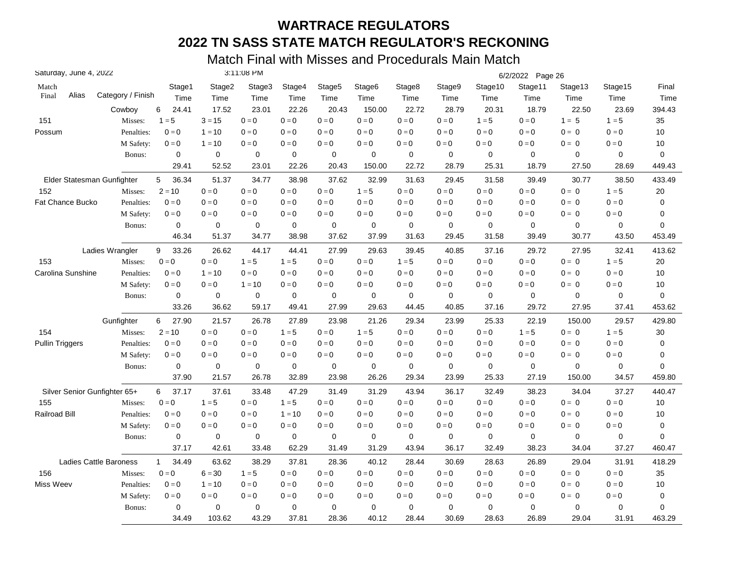| Saturday, June 4, 2022       |                               |                       |                | 3:11:08 PM     |                |                |                            |                |                |                         | 6/2/2022 Page 26 |                 |                 |               |
|------------------------------|-------------------------------|-----------------------|----------------|----------------|----------------|----------------|----------------------------|----------------|----------------|-------------------------|------------------|-----------------|-----------------|---------------|
| Match<br>Alias<br>Final      | Category / Finish             | Stage1<br>Time        | Stage2<br>Time | Stage3<br>Time | Stage4<br>Time | Stage5<br>Time | Stage <sub>6</sub><br>Time | Stage8<br>Time | Stage9<br>Time | Stage10<br>Time         | Stage11<br>Time  | Stage13<br>Time | Stage15<br>Time | Final<br>Time |
|                              | Cowboy                        | 24.41<br>6            | 17.52          | 23.01          | 22.26          | 20.43          | 150.00                     | 22.72          | 28.79          | 20.31                   | 18.79            | 22.50           | 23.69           | 394.43        |
| 151                          | Misses:                       | $1 = 5$               | $3 = 15$       | $0 = 0$        | $0 = 0$        | $0 = 0$        | $0 = 0$                    | $0 = 0$        | $0 = 0$        | $1 = 5$                 | $0 = 0$          | $1 = 5$         | $1 = 5$         | 35            |
| Possum                       | Penalties:                    | $0 = 0$               | $1 = 10$       | $0 = 0$        | $0 = 0$        | $0 = 0$        | $0 = 0$                    | $0 = 0$        | $0 = 0$        | $0 = 0$                 | $0 = 0$          | $0 = 0$         | $0 = 0$         | 10            |
|                              | M Safety:                     | $0 = 0$               | $1 = 10$       | $0 = 0$        | $0 = 0$        | $0 = 0$        | $0=0$                      | $0 = 0$        | $0 = 0$        | $0 = 0$                 | $0 = 0$          | $0 = 0$         | $0 = 0$         | 10            |
|                              | Bonus:                        | $\mathbf 0$           | $\mathbf 0$    | $\mathbf 0$    | $\mathbf 0$    | $\mathbf 0$    | 0                          | $\mathbf 0$    | $\mathbf 0$    | $\mathbf 0$             | $\mathbf 0$      | $\mathbf 0$     | 0               | 0             |
|                              |                               | 29.41                 | 52.52          | 23.01          | 22.26          | 20.43          | 150.00                     | 22.72          | 28.79          | 25.31                   | 18.79            | 27.50           | 28.69           | 449.43        |
| Elder Statesman Gunfighter   |                               | 36.34<br>5            | 51.37          | 34.77          | 38.98          | 37.62          | 32.99                      | 31.63          | 29.45          | 31.58                   | 39.49            | 30.77           | 38.50           | 433.49        |
| 152                          | Misses:                       | $2 = 10$              | $0 = 0$        | $0 = 0$        | $0 = 0$        | $0=0$          | $1 = 5$                    | $0 = 0$        | $0 = 0$        | $\mathbf{0}=\mathbf{0}$ | $0 = 0$          | $0 = 0$         | $1 = 5$         | 20            |
| <b>Fat Chance Bucko</b>      | Penalties:                    | $0 = 0$               | $0 = 0$        | $0 = 0$        | $0 = 0$        | $0 = 0$        | $0 = 0$                    | $0 = 0$        | $0 = 0$        | $0 = 0$                 | $0 = 0$          | $0 = 0$         | $0 = 0$         | 0             |
|                              | M Safety:                     | $0 = 0$               | $0 = 0$        | $0 = 0$        | $0 = 0$        | $0 = 0$        | $0 = 0$                    | $0 = 0$        | $0 = 0$        | $0 = 0$                 | $0 = 0$          | $0 = 0$         | $0 = 0$         | 0             |
|                              | Bonus:                        | $\mathbf 0$           | 0              | $\mathbf 0$    | $\mathbf 0$    | $\mathbf 0$    | 0                          | $\mathbf 0$    | $\mathbf 0$    | 0                       | $\mathbf 0$      | 0               | 0               | 0             |
|                              |                               | 46.34                 | 51.37          | 34.77          | 38.98          | 37.62          | 37.99                      | 31.63          | 29.45          | 31.58                   | 39.49            | 30.77           | 43.50           | 453.49        |
|                              | Ladies Wrangler               | 9<br>33.26            | 26.62          | 44.17          | 44.41          | 27.99          | 29.63                      | 39.45          | 40.85          | 37.16                   | 29.72            | 27.95           | 32.41           | 413.62        |
| 153                          | Misses:                       | $0 = 0$               | $0=0$          | $1 = 5$        | $1 = 5$        | $0 = 0$        | $0=0$                      | $1 = 5$        | $0 = 0$        | $0=0$                   | $0 = 0$          | $0 = 0$         | $1 = 5$         | 20            |
| Carolina Sunshine            | Penalties:                    | $0 = 0$               | $1 = 10$       | $0 = 0$        | $0 = 0$        | $0 = 0$        | $0 = 0$                    | $0 = 0$        | $0 = 0$        | $0 = 0$                 | $0 = 0$          | $0 = 0$         | $0 = 0$         | 10            |
|                              | M Safety:                     | $0 = 0$               | $0 = 0$        | $1 = 10$       | $0 = 0$        | $0 = 0$        | $0 = 0$                    | $0 = 0$        | $0 = 0$        | $0 = 0$                 | $0 = 0$          | $0 = 0$         | $0 = 0$         | 10            |
|                              | Bonus:                        | 0                     | 0              | 0              | $\mathbf 0$    | 0              | 0                          | $\mathbf 0$    | 0              | 0                       | $\mathbf 0$      | 0               | 0               | 0             |
|                              |                               | 33.26                 | 36.62          | 59.17          | 49.41          | 27.99          | 29.63                      | 44.45          | 40.85          | 37.16                   | 29.72            | 27.95           | 37.41           | 453.62        |
|                              | Gunfighter                    | 27.90<br>6            | 21.57          | 26.78          | 27.89          | 23.98          | 21.26                      | 29.34          | 23.99          | 25.33                   | 22.19            | 150.00          | 29.57           | 429.80        |
| 154                          | Misses:                       | $2 = 10$              | $0 = 0$        | $0 = 0$        | $1 = 5$        | $0 = 0$        | $1 = 5$                    | $0 = 0$        | $0 = 0$        | $0 = 0$                 | $1 = 5$          | $0 = 0$         | $1 = 5$         | 30            |
| <b>Pullin Triggers</b>       | Penalties:                    | $0 = 0$               | $0=0$          | $0 = 0$        | $0 = 0$        | $0 = 0$        | $0=0$                      | $0 = 0$        | $0 = 0$        | $0 = 0$                 | $0 = 0$          | $0 = 0$         | $0 = 0$         | 0             |
|                              | M Safety:                     | $0 = 0$               | $0 = 0$        | $0 = 0$        | $0 = 0$        | $0=0$          | $0 = 0$                    | $0 = 0$        | $0 = 0$        | $0 = 0$                 | $0 = 0$          | $0 = 0$         | $0 = 0$         | 0             |
|                              | Bonus:                        | $\mathbf 0$           | $\mathbf 0$    | $\mathbf 0$    | $\pmb{0}$      | $\mathbf 0$    | 0                          | $\mathbf 0$    | $\mathbf 0$    | $\mathbf 0$             | $\mathbf 0$      | $\mathbf 0$     | 0               | 0             |
|                              |                               | 37.90                 | 21.57          | 26.78          | 32.89          | 23.98          | 26.26                      | 29.34          | 23.99          | 25.33                   | 27.19            | 150.00          | 34.57           | 459.80        |
| Silver Senior Gunfighter 65+ |                               | 37.17<br>6            | 37.61          | 33.48          | 47.29          | 31.49          | 31.29                      | 43.94          | 36.17          | 32.49                   | 38.23            | 34.04           | 37.27           | 440.47        |
| 155                          | Misses:                       | $0 = 0$               | $1 = 5$        | $0 = 0$        | $1 = 5$        | $0 = 0$        | $0 = 0$                    | $0 = 0$        | $0 = 0$        | $0 = 0$                 | $0 = 0$          | $0 = 0$         | $0 = 0$         | 10            |
| <b>Railroad Bill</b>         | Penalties:                    | $0 = 0$               | $0 = 0$        | $0 = 0$        | $1 = 10$       | $0 = 0$        | $0 = 0$                    | $0 = 0$        | $0 = 0$        | $0 = 0$                 | $0 = 0$          | $0 = 0$         | $0 = 0$         | 10            |
|                              | M Safety:                     | $0 = 0$               | $0 = 0$        | $0 = 0$        | $0 = 0$        | $0 = 0$        | $0 = 0$                    | $0 = 0$        | $0 = 0$        | $0 = 0$                 | $0 = 0$          | $0 = 0$         | $0 = 0$         | $\pmb{0}$     |
|                              | Bonus:                        | $\pmb{0}$             | 0              | 0              | 0              | $\mathbf 0$    | 0                          | $\mathbf 0$    | $\mathbf 0$    | 0                       | $\mathbf 0$      | 0               | 0               | 0             |
|                              |                               | 37.17                 | 42.61          | 33.48          | 62.29          | 31.49          | 31.29                      | 43.94          | 36.17          | 32.49                   | 38.23            | 34.04           | 37.27           | 460.47        |
|                              | <b>Ladies Cattle Baroness</b> | $\mathbf{1}$<br>34.49 | 63.62          | 38.29          | 37.81          | 28.36          | 40.12                      | 28.44          | 30.69          | 28.63                   | 26.89            | 29.04           | 31.91           | 418.29        |
| 156                          | Misses:                       | $0 = 0$               | $6 = 30$       | $1 = 5$        | $0 = 0$        | $0 = 0$        | $0=0$                      | $0 = 0$        | $0 = 0$        | $0=0$                   | $0 = 0$          | $0 = 0$         | $0 = 0$         | 35            |
| Miss Weev                    | Penalties:                    | $0 = 0$               | $1 = 10$       | $0 = 0$        | $0 = 0$        | $0 = 0$        | $0 = 0$                    | $0 = 0$        | $0 = 0$        | $0 = 0$                 | $0 = 0$          | $0 = 0$         | $0 = 0$         | 10            |
|                              | M Safety:                     | $0 = 0$               | $0 = 0$        | $0 = 0$        | $0 = 0$        | $0 = 0$        | $0 = 0$                    | $0 = 0$        | $0 = 0$        | $0 = 0$                 | $0 = 0$          | $0 = 0$         | $0 = 0$         | 0             |
|                              | Bonus:                        | $\mathbf 0$           | 0              | $\mathbf 0$    | $\mathbf 0$    | $\mathbf 0$    | 0                          | $\mathbf 0$    | $\mathbf 0$    | 0                       | $\mathbf 0$      | 0               | 0               | 0             |
|                              |                               | 34.49                 | 103.62         | 43.29          | 37.81          | 28.36          | 40.12                      | 28.44          | 30.69          | 28.63                   | 26.89            | 29.04           | 31.91           | 463.29        |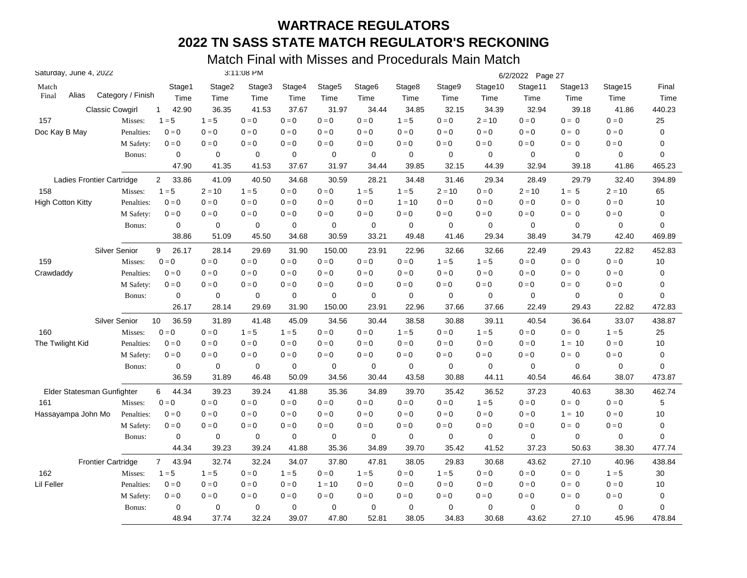| Saturday, June 4, 2022     |                        |                         |             | 3:11:08 PM |             |                    |                    |             |          |             | 6/2/2022 Page 27 |             |                         |           |
|----------------------------|------------------------|-------------------------|-------------|------------|-------------|--------------------|--------------------|-------------|----------|-------------|------------------|-------------|-------------------------|-----------|
| Match                      |                        | Stage1                  | Stage2      | Stage3     | Stage4      | Stage <sub>5</sub> | Stage <sub>6</sub> | Stage8      | Stage9   | Stage10     | Stage11          | Stage13     | Stage15                 | Final     |
| Alias<br>Final             | Category / Finish      | Time                    | Time        | Time       | Time        | Time               | Time               | Time        | Time     | Time        | Time             | Time        | Time                    | Time      |
|                            | <b>Classic Cowgirl</b> | 42.90<br>$\mathbf{1}$   | 36.35       | 41.53      | 37.67       | 31.97              | 34.44              | 34.85       | 32.15    | 34.39       | 32.94            | 39.18       | 41.86                   | 440.23    |
| 157                        | Misses:                | $1 = 5$                 | $1 = 5$     | $0 = 0$    | $0 = 0$     | $0 = 0$            | $0=0$              | $1 = 5$     | $0 = 0$  | $2 = 10$    | $0 = 0$          | $0 = 0$     | $0 = 0$                 | 25        |
| Doc Kay B May              | Penalties:             | $0 = 0$                 | $0 = 0$     | $0 = 0$    | $0 = 0$     | $0 = 0$            | $0 = 0$            | $0 = 0$     | $0 = 0$  | $0 = 0$     | $0 = 0$          | $0 = 0$     | $0 = 0$                 | 0         |
|                            | M Safety:              | $0 = 0$                 | $0 = 0$     | $0 = 0$    | $0 = 0$     | $0 = 0$            | $0=0$              | $0 = 0$     | $0 = 0$  | $0=0$       | $0 = 0$          | $0 = 0$     | $\mathbf{0}=\mathbf{0}$ | 0         |
|                            | Bonus:                 | 0                       | 0           | 0          | $\mathbf 0$ | 0                  | 0                  | 0           | 0        | 0           | $\mathbf 0$      | 0           | 0                       | 0         |
|                            |                        | 47.90                   | 41.35       | 41.53      | 37.67       | 31.97              | 34.44              | 39.85       | 32.15    | 44.39       | 32.94            | 39.18       | 41.86                   | 465.23    |
| Ladies Frontier Cartridge  |                        | $\overline{2}$<br>33.86 | 41.09       | 40.50      | 34.68       | 30.59              | 28.21              | 34.48       | 31.46    | 29.34       | 28.49            | 29.79       | 32.40                   | 394.89    |
| 158                        | Misses:                | $1 = 5$                 | $2 = 10$    | $1 = 5$    | $0 = 0$     | $0 = 0$            | $1 = 5$            | $1 = 5$     | $2 = 10$ | $0 = 0$     | $2 = 10$         | $1 = 5$     | $2 = 10$                | 65        |
| <b>High Cotton Kitty</b>   | Penalties:             | $0 = 0$                 | $0 = 0$     | $0 = 0$    | $0 = 0$     | $0 = 0$            | $0 = 0$            | $1 = 10$    | $0 = 0$  | $0 = 0$     | $0 = 0$          | $0 = 0$     | $0 = 0$                 | 10        |
|                            | M Safety:              | $0 = 0$                 | $0 = 0$     | $0 = 0$    | $0 = 0$     | $0 = 0$            | $0 = 0$            | $0 = 0$     | $0 = 0$  | $0 = 0$     | $0 = 0$          | $0 = 0$     | $0 = 0$                 | 0         |
|                            | Bonus:                 | 0                       | 0           | 0          | $\mathbf 0$ | 0                  | 0                  | 0           | 0        | 0           | $\mathbf 0$      | 0           | 0                       | 0         |
|                            |                        | 38.86                   | 51.09       | 45.50      | 34.68       | 30.59              | 33.21              | 49.48       | 41.46    | 29.34       | 38.49            | 34.79       | 42.40                   | 469.89    |
|                            | <b>Silver Senior</b>   | 26.17<br>9              | 28.14       | 29.69      | 31.90       | 150.00             | 23.91              | 22.96       | 32.66    | 32.66       | 22.49            | 29.43       | 22.82                   | 452.83    |
| 159                        | Misses:                | $0 = 0$                 | $0 = 0$     | $0 = 0$    | $0 = 0$     | $0 = 0$            | $0 = 0$            | $0 = 0$     | $1 = 5$  | $1 = 5$     | $0 = 0$          | $0 = 0$     | $0 = 0$                 | 10        |
| Crawdaddy                  | Penalties:             | $0 = 0$                 | $0 = 0$     | $0 = 0$    | $0 = 0$     | $0 = 0$            | $0 = 0$            | $0 = 0$     | $0 = 0$  | $0 = 0$     | $0 = 0$          | $0 = 0$     | $0 = 0$                 | 0         |
|                            | M Safety:              | $0 = 0$                 | $0 = 0$     | $0 = 0$    | $0 = 0$     | $0 = 0$            | $0 = 0$            | $0 = 0$     | $0 = 0$  | $0 = 0$     | $0 = 0$          | $0 = 0$     | $0 = 0$                 | 0         |
|                            | Bonus:                 | 0                       | $\mathbf 0$ | 0          | 0           | 0                  | 0                  | $\mathbf 0$ | 0        | 0           | $\mathbf 0$      | 0           | 0                       | 0         |
|                            |                        | 26.17                   | 28.14       | 29.69      | 31.90       | 150.00             | 23.91              | 22.96       | 37.66    | 37.66       | 22.49            | 29.43       | 22.82                   | 472.83    |
|                            | <b>Silver Senior</b>   | 36.59<br>10             | 31.89       | 41.48      | 45.09       | 34.56              | 30.44              | 38.58       | 30.88    | 39.11       | 40.54            | 36.64       | 33.07                   | 438.87    |
| 160                        | Misses:                | $0 = 0$                 | $0 = 0$     | $1 = 5$    | $1 = 5$     | $0 = 0$            | $0 = 0$            | $1 = 5$     | $0 = 0$  | $1 = 5$     | $0 = 0$          | $0 = 0$     | $1 = 5$                 | 25        |
| The Twilight Kid           | Penalties:             | $0 = 0$                 | $0 = 0$     | $0 = 0$    | $0 = 0$     | $0 = 0$            | $0 = 0$            | $0 = 0$     | $0 = 0$  | $0 = 0$     | $0 = 0$          | $1 = 10$    | $0 = 0$                 | 10        |
|                            | M Safety:              | $0 = 0$                 | $0 = 0$     | $0 = 0$    | $0 = 0$     | $0 = 0$            | $0 = 0$            | $0 = 0$     | $0 = 0$  | $0 = 0$     | $0 = 0$          | $0 = 0$     | $0=0$                   | 0         |
|                            | Bonus:                 | $\mathbf 0$             | $\mathbf 0$ | 0          | 0           | 0                  | $\mathbf 0$        | $\mathbf 0$ | 0        | $\mathbf 0$ | $\mathbf 0$      | $\mathbf 0$ | 0                       | 0         |
|                            |                        | 36.59                   | 31.89       | 46.48      | 50.09       | 34.56              | 30.44              | 43.58       | 30.88    | 44.11       | 40.54            | 46.64       | 38.07                   | 473.87    |
| Elder Statesman Gunfighter |                        | 6<br>44.34              | 39.23       | 39.24      | 41.88       | 35.36              | 34.89              | 39.70       | 35.42    | 36.52       | 37.23            | 40.63       | 38.30                   | 462.74    |
| 161                        | Misses:                | $0 = 0$                 | $0 = 0$     | $0 = 0$    | $0 = 0$     | $0 = 0$            | $0 = 0$            | $0 = 0$     | $0 = 0$  | $1 = 5$     | $0 = 0$          | $0 = 0$     | $\mathbf{0}=\mathbf{0}$ | 5         |
| Hassayampa John Mo         | Penalties:             | $0 = 0$                 | $0 = 0$     | $0 = 0$    | $0 = 0$     | $0 = 0$            | $0 = 0$            | $0 = 0$     | $0 = 0$  | $0 = 0$     | $0 = 0$          | $1 = 10$    | $0 = 0$                 | 10        |
|                            | M Safety:              | $0 = 0$                 | $0 = 0$     | $0 = 0$    | $0 = 0$     | $0 = 0$            | $0 = 0$            | $0 = 0$     | $0 = 0$  | $0 = 0$     | $0 = 0$          | $0 = 0$     | $0 = 0$                 | $\pmb{0}$ |
|                            | Bonus:                 | $\mathbf 0$             | 0           | 0          | $\mathbf 0$ | 0                  | $\mathbf 0$        | $\mathbf 0$ | 0        | $\mathbf 0$ | $\mathbf 0$      | $\mathbf 0$ | 0                       | 0         |
|                            |                        | 44.34                   | 39.23       | 39.24      | 41.88       | 35.36              | 34.89              | 39.70       | 35.42    | 41.52       | 37.23            | 50.63       | 38.30                   | 477.74    |
| <b>Frontier Cartridge</b>  |                        | $7^{\circ}$<br>43.94    | 32.74       | 32.24      | 34.07       | 37.80              | 47.81              | 38.05       | 29.83    | 30.68       | 43.62            | 27.10       | 40.96                   | 438.84    |
| 162                        | Misses:                | $1 = 5$                 | $1 = 5$     | $0 = 0$    | $1 = 5$     | $0 = 0$            | $1 = 5$            | $0 = 0$     | $1 = 5$  | $0 = 0$     | $0 = 0$          | $0 = 0$     | $1 = 5$                 | 30        |
| Lil Feller                 | Penalties:             | $0 = 0$                 | $0 = 0$     | $0 = 0$    | $0 = 0$     | $1 = 10$           | $0 = 0$            | $0 = 0$     | $0 = 0$  | $0 = 0$     | $0 = 0$          | $0 = 0$     | $0 = 0$                 | 10        |
|                            | M Safety:              | $0 = 0$                 | $0 = 0$     | $0 = 0$    | $0 = 0$     | $0 = 0$            | $0 = 0$            | $0 = 0$     | $0 = 0$  | $0 = 0$     | $0 = 0$          | $0 = 0$     | $0 = 0$                 | 0         |
|                            | Bonus:                 | $\mathbf 0$             | $\mathbf 0$ | 0          | $\mathbf 0$ | 0                  | 0                  | $\mathbf 0$ | 0        | $\mathbf 0$ | $\mathbf 0$      | 0           | 0                       | 0         |
|                            |                        | 48.94                   | 37.74       | 32.24      | 39.07       | 47.80              | 52.81              | 38.05       | 34.83    | 30.68       | 43.62            | 27.10       | 45.96                   | 478.84    |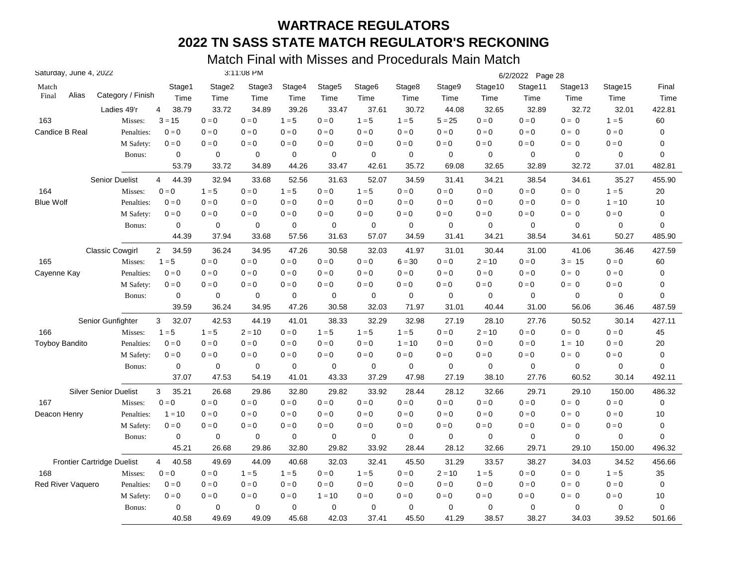| Saturday, June 4, 2022 |                                   |                         |             | 3:11:08 PM  |             |                    |             |             |             |             | 6/2/2022 Page 28 |             |                         |             |
|------------------------|-----------------------------------|-------------------------|-------------|-------------|-------------|--------------------|-------------|-------------|-------------|-------------|------------------|-------------|-------------------------|-------------|
| Match                  |                                   | Stage1                  | Stage2      | Stage3      | Stage4      | Stage <sub>5</sub> | Stage6      | Stage8      | Stage9      | Stage10     | Stage11          | Stage13     | Stage15                 | Final       |
| Alias<br>Final         | Category / Finish                 | Time                    | Time        | Time        | Time        | Time               | Time        | Time        | Time        | Time        | Time             | Time        | Time                    | Time        |
|                        | Ladies 49'r                       | 38.79<br>4              | 33.72       | 34.89       | 39.26       | 33.47              | 37.61       | 30.72       | 44.08       | 32.65       | 32.89            | 32.72       | 32.01                   | 422.81      |
| 163                    | Misses:                           | $3 = 15$                | $0 = 0$     | $0 = 0$     | $1 = 5$     | $0 = 0$            | $1 = 5$     | $1 = 5$     | $5 = 25$    | $0 = 0$     | $0 = 0$          | $0 = 0$     | $1 = 5$                 | 60          |
| Candice B Real         | Penalties:                        | $0 = 0$                 | $0 = 0$     | $0 = 0$     | $0 = 0$     | $0 = 0$            | $0 = 0$     | $0 = 0$     | $0 = 0$     | $0 = 0$     | $0 = 0$          | $0 = 0$     | $0 = 0$                 | $\mathbf 0$ |
|                        | M Safety:                         | $0 = 0$                 | $0=0$       | $0 = 0$     | $0=0$       | $0 = 0$            | $0 = 0$     | $0 = 0$     | $0 = 0$     | $0 = 0$     | $0 = 0$          | $0 = 0$     | $0 = 0$                 | 0           |
|                        | Bonus:                            | $\mathbf 0$             | $\mathbf 0$ | $\mathbf 0$ | $\mathbf 0$ | $\mathbf 0$        | $\mathbf 0$ | $\mathbf 0$ | $\mathbf 0$ | $\mathbf 0$ | $\mathbf 0$      | $\mathbf 0$ | $\mathbf 0$             | 0           |
|                        |                                   | 53.79                   | 33.72       | 34.89       | 44.26       | 33.47              | 42.61       | 35.72       | 69.08       | 32.65       | 32.89            | 32.72       | 37.01                   | 482.81      |
|                        | <b>Senior Duelist</b>             | 4<br>44.39              | 32.94       | 33.68       | 52.56       | 31.63              | 52.07       | 34.59       | 31.41       | 34.21       | 38.54            | 34.61       | 35.27                   | 455.90      |
| 164                    | Misses:                           | $0 = 0$                 | $1 = 5$     | $0 = 0$     | $1 = 5$     | $0=0$              | $1 = 5$     | $0 = 0$     | $0 = 0$     | $0 = 0$     | $0 = 0$          | $0 = 0$     | $1 = 5$                 | 20          |
| <b>Blue Wolf</b>       | Penalties:                        | $0 = 0$                 | $0 = 0$     | $0 = 0$     | $0 = 0$     | $0 = 0$            | $0 = 0$     | $0 = 0$     | $0 = 0$     | $0 = 0$     | $0 = 0$          | $0 = 0$     | $1 = 10$                | 10          |
|                        | M Safety:                         | $0 = 0$                 | $0 = 0$     | $0 = 0$     | $0 = 0$     | $0 = 0$            | $0 = 0$     | $0 = 0$     | $0 = 0$     | $0 = 0$     | $0 = 0$          | $0 = 0$     | $0 = 0$                 | 0           |
|                        | Bonus:                            | $\mathbf 0$             | 0           | 0           | $\pmb{0}$   | 0                  | 0           | $\mathbf 0$ | 0           | 0           | $\mathbf 0$      | $\mathbf 0$ | $\mathbf 0$             | 0           |
|                        |                                   | 44.39                   | 37.94       | 33.68       | 57.56       | 31.63              | 57.07       | 34.59       | 31.41       | 34.21       | 38.54            | 34.61       | 50.27                   | 485.90      |
|                        | <b>Classic Cowgirl</b>            | $\overline{2}$<br>34.59 | 36.24       | 34.95       | 47.26       | 30.58              | 32.03       | 41.97       | 31.01       | 30.44       | 31.00            | 41.06       | 36.46                   | 427.59      |
| 165                    | Misses:                           | $1 = 5$                 | $0 = 0$     | $0 = 0$     | $0 = 0$     | $0=0$              | $0 = 0$     | $6 = 30$    | $0 = 0$     | $2 = 10$    | $0 = 0$          | $3 = 15$    | $0 = 0$                 | 60          |
| Cayenne Kay            | Penalties:                        | $0 = 0$                 | $0 = 0$     | $0 = 0$     | $0 = 0$     | $0 = 0$            | $0 = 0$     | $0 = 0$     | $0 = 0$     | $0 = 0$     | $0 = 0$          | $0 = 0$     | $0 = 0$                 | 0           |
|                        | M Safety:                         | $0 = 0$                 | $0 = 0$     | $0 = 0$     | $0 = 0$     | $0 = 0$            | $0 = 0$     | $0 = 0$     | $0 = 0$     | $0 = 0$     | $0 = 0$          | $0 = 0$     | $0 = 0$                 | 0           |
|                        | Bonus:                            | 0                       | 0           | 0           | 0           | 0                  | 0           | $\mathbf 0$ | 0           | 0           | $\mathbf 0$      | 0           | $\mathbf 0$             | 0           |
|                        |                                   | 39.59                   | 36.24       | 34.95       | 47.26       | 30.58              | 32.03       | 71.97       | 31.01       | 40.44       | 31.00            | 56.06       | 36.46                   | 487.59      |
|                        | Senior Gunfighter                 | 3<br>32.07              | 42.53       | 44.19       | 41.01       | 38.33              | 32.29       | 32.98       | 27.19       | 28.10       | 27.76            | 50.52       | 30.14                   | 427.11      |
| 166                    | Misses:                           | $1 = 5$                 | $1 = 5$     | $2 = 10$    | $0 = 0$     | $1 = 5$            | $1 = 5$     | $1 = 5$     | $0 = 0$     | $2 = 10$    | $0 = 0$          | $0 = 0$     | $0 = 0$                 | 45          |
| <b>Toyboy Bandito</b>  | Penalties:                        | $0 = 0$                 | $0 = 0$     | $0 = 0$     | $0 = 0$     | $0 = 0$            | $0 = 0$     | $1 = 10$    | $0 = 0$     | $0 = 0$     | $0 = 0$          | $1 = 10$    | $0 = 0$                 | 20          |
|                        | M Safety:                         | $0 = 0$                 | $0 = 0$     | $0 = 0$     | $0 = 0$     | $0=0$              | $0 = 0$     | $0 = 0$     | $0=0$       | $0 = 0$     | $0 = 0$          | $0 = 0$     | $0 = 0$                 | $\mathbf 0$ |
|                        | Bonus:                            | $\mathbf 0$             | 0           | $\mathbf 0$ | $\mathbf 0$ | $\mathbf 0$        | 0           | $\mathbf 0$ | $\mathbf 0$ | $\mathbf 0$ | $\mathbf 0$      | $\mathbf 0$ | $\mathbf 0$             | $\mathbf 0$ |
|                        |                                   | 37.07                   | 47.53       | 54.19       | 41.01       | 43.33              | 37.29       | 47.98       | 27.19       | 38.10       | 27.76            | 60.52       | 30.14                   | 492.11      |
|                        | <b>Silver Senior Duelist</b>      | 3<br>35.21              | 26.68       | 29.86       | 32.80       | 29.82              | 33.92       | 28.44       | 28.12       | 32.66       | 29.71            | 29.10       | 150.00                  | 486.32      |
| 167                    | Misses:                           | $0 = 0$                 | $0 = 0$     | $0 = 0$     | $0 = 0$     | $0 = 0$            | $0 = 0$     | $0 = 0$     | $0 = 0$     | $0 = 0$     | $0 = 0$          | $0 = 0$     | $\mathbf{0}=\mathbf{0}$ | $\mathbf 0$ |
| Deacon Henry           | Penalties:                        | $1 = 10$                | $0 = 0$     | $0 = 0$     | $0 = 0$     | $0 = 0$            | $0 = 0$     | $0 = 0$     | $0 = 0$     | $0 = 0$     | $0 = 0$          | $0 = 0$     | $0 = 0$                 | 10          |
|                        | M Safety:                         | $0 = 0$                 | $0 = 0$     | $0 = 0$     | $0 = 0$     | $0 = 0$            | $0 = 0$     | $0 = 0$     | $0 = 0$     | $0 = 0$     | $0 = 0$          | $0 = 0$     | $0 = 0$                 | $\pmb{0}$   |
|                        | Bonus:                            | $\pmb{0}$               | 0           | 0           | 0           | 0                  | 0           | $\mathbf 0$ | 0           | 0           | $\mathbf 0$      | $\mathbf 0$ | 0                       | 0           |
|                        |                                   | 45.21                   | 26.68       | 29.86       | 32.80       | 29.82              | 33.92       | 28.44       | 28.12       | 32.66       | 29.71            | 29.10       | 150.00                  | 496.32      |
|                        | <b>Frontier Cartridge Duelist</b> | 40.58<br>$\overline{4}$ | 49.69       | 44.09       | 40.68       | 32.03              | 32.41       | 45.50       | 31.29       | 33.57       | 38.27            | 34.03       | 34.52                   | 456.66      |
| 168                    | Misses:                           | $0 = 0$                 | $0 = 0$     | $1 = 5$     | $1 = 5$     | $0 = 0$            | $1 = 5$     | $0 = 0$     | $2 = 10$    | $1 = 5$     | $0 = 0$          | $0 = 0$     | $1 = 5$                 | 35          |
| Red River Vaquero      | Penalties:                        | $0 = 0$                 | $0 = 0$     | $0 = 0$     | $0 = 0$     | $0 = 0$            | $0=0$       | $0 = 0$     | $0=0$       | $0 = 0$     | $0 = 0$          | $0 = 0$     | $0 = 0$                 | $\pmb{0}$   |
|                        | M Safety:                         | $0 = 0$                 | $0 = 0$     | $0 = 0$     | $0 = 0$     | $1 = 10$           | $0 = 0$     | $0 = 0$     | $0 = 0$     | $0 = 0$     | $0 = 0$          | $0 = 0$     | $0 = 0$                 | 10          |
|                        | Bonus:                            | 0                       | 0           | 0           | $\mathbf 0$ | 0                  | 0           | $\mathbf 0$ | 0           | 0           | $\mathbf 0$      | 0           | $\mathbf 0$             | $\mathbf 0$ |
|                        |                                   | 40.58                   | 49.69       | 49.09       | 45.68       | 42.03              | 37.41       | 45.50       | 41.29       | 38.57       | 38.27            | 34.03       | 39.52                   | 501.66      |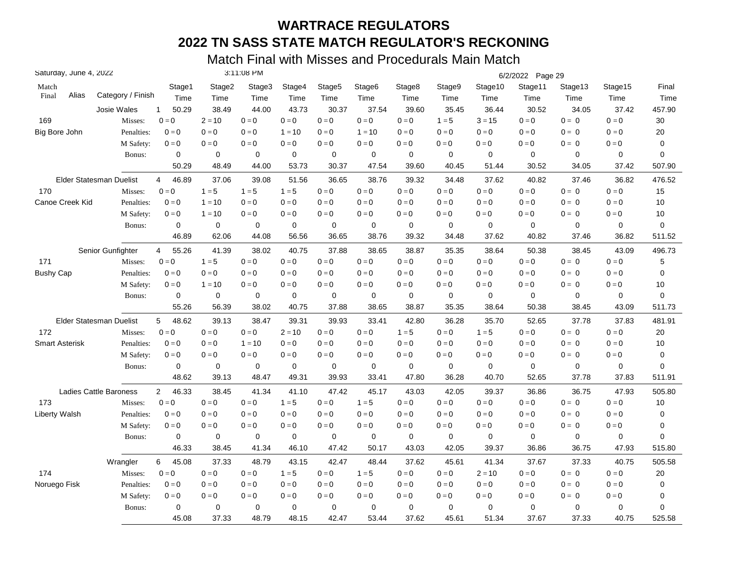| Saturday, June 4, 2022 |                               |                         |             | 3:11:08 PM  |             |                    |             |             |             |                         | 6/2/2022 Page 29          |             |         |             |
|------------------------|-------------------------------|-------------------------|-------------|-------------|-------------|--------------------|-------------|-------------|-------------|-------------------------|---------------------------|-------------|---------|-------------|
| Match                  |                               | Stage1                  | Stage2      | Stage3      | Stage4      | Stage <sub>5</sub> | Stage6      | Stage8      | Stage9      | Stage10                 | Stage11                   | Stage13     | Stage15 | Final       |
| Alias<br>Final         | Category / Finish             | Time                    | Time        | Time        | Time        | Time               | Time        | Time        | Time        | Time                    | Time                      | Time        | Time    | Time        |
|                        | Josie Wales                   | 50.29<br>$\mathbf{1}$   | 38.49       | 44.00       | 43.73       | 30.37              | 37.54       | 39.60       | 35.45       | 36.44                   | 30.52                     | 34.05       | 37.42   | 457.90      |
| 169                    | Misses:                       | $0 = 0$                 | $2 = 10$    | $0 = 0$     | $0 = 0$     | $0 = 0$            | $0 = 0$     | $0 = 0$     | $1 = 5$     | $3 = 15$                | $0=0$                     | $0 = 0$     | $0 = 0$ | 30          |
| Big Bore John          | Penalties:                    | $0 = 0$                 | $0 = 0$     | $0 = 0$     | $1 = 10$    | $0 = 0$            | $1 = 10$    | $0 = 0$     | $0 = 0$     | $0 = 0$                 | $0 = 0$                   | $0 = 0$     | $0 = 0$ | 20          |
|                        | M Safety:                     | $0=0$                   | $0 = 0$     | $0 = 0$     | $0=0$       | $0 = 0$            | $0 = 0$     | $0 = 0$     | $0 = 0$     | $0 = 0$                 | $0 = 0$                   | $0 = 0$     | $0=0$   | $\mathbf 0$ |
|                        | Bonus:                        | 0                       | 0           | 0           | $\mathbf 0$ | 0                  | 0           | $\mathbf 0$ | 0           | 0                       | $\mathbf 0$               | $\mathbf 0$ | 0       | 0           |
|                        |                               | 50.29                   | 48.49       | 44.00       | 53.73       | 30.37              | 47.54       | 39.60       | 40.45       | 51.44                   | 30.52                     | 34.05       | 37.42   | 507.90      |
|                        | Elder Statesman Duelist       | 46.89<br>4              | 37.06       | 39.08       | 51.56       | 36.65              | 38.76       | 39.32       | 34.48       | 37.62                   | 40.82                     | 37.46       | 36.82   | 476.52      |
| 170                    | Misses:                       | $0 = 0$                 | $1 = 5$     | $1 = 5$     | $1 = 5$     | $0 = 0$            | $0 = 0$     | $0 = 0$     | $0=0$       | $0 = 0$                 | $0=0$                     | $0 = 0$     | $0 = 0$ | 15          |
| Canoe Creek Kid        | Penalties:                    | $0 = 0$                 | $1 = 10$    | $0 = 0$     | $0 = 0$     | $0 = 0$            | $0 = 0$     | $0 = 0$     | $0 = 0$     | $0 = 0$                 | $0 = 0$                   | $0 = 0$     | $0 = 0$ | 10          |
|                        | M Safety:                     | $0 = 0$                 | $1 = 10$    | $0 = 0$     | $0 = 0$     | $0 = 0$            | $0 = 0$     | $0 = 0$     | $0 = 0$     | $0 = 0$                 | $0 = 0$                   | $0 = 0$     | $0 = 0$ | 10          |
|                        | Bonus:                        | 0                       | $\mathbf 0$ | 0           | $\mathbf 0$ | 0                  | $\mathbf 0$ | $\mathbf 0$ | 0           | $\mathbf 0$             | $\mathbf 0$               | 0           | 0       | 0           |
|                        |                               | 46.89                   | 62.06       | 44.08       | 56.56       | 36.65              | 38.76       | 39.32       | 34.48       | 37.62                   | 40.82                     | 37.46       | 36.82   | 511.52      |
|                        | Senior Gunfighter             | 55.26<br>4              | 41.39       | 38.02       | 40.75       | 37.88              | 38.65       | 38.87       | 35.35       | 38.64                   | 50.38                     | 38.45       | 43.09   | 496.73      |
| 171                    | Misses:                       | $0 = 0$                 | $1 = 5$     | $0 = 0$     | $0 = 0$     | $0 = 0$            | $0 = 0$     | $0 = 0$     | $0 = 0$     | $0 = 0$                 | $0 = 0$                   | $0 = 0$     | $0 = 0$ | 5           |
| <b>Bushy Cap</b>       | Penalties:                    | $0 = 0$                 | $0=0$       | $0 = 0$     | $0 = 0$     | $0=0$              | $0 = 0$     | $0 = 0$     | $0 = 0$     | $0 = 0$                 | $0 = 0$                   | $0 = 0$     | $0 = 0$ | 0           |
|                        | M Safety:                     | $0 = 0$                 | $1 = 10$    | $0 = 0$     | $0 = 0$     | $0 = 0$            | $0 = 0$     | $0 = 0$     | $0 = 0$     | $0 = 0$                 | $0 = 0$                   | $0 = 0$     | $0 = 0$ | 10          |
|                        | Bonus:                        | 0                       | 0           | 0           | 0           | 0                  | 0           | $\mathbf 0$ | 0           | 0                       | 0                         | 0           | 0       | 0           |
|                        |                               | 55.26                   | 56.39       | 38.02       | 40.75       | 37.88              | 38.65       | 38.87       | 35.35       | 38.64                   | 50.38                     | 38.45       | 43.09   | 511.73      |
|                        | Elder Statesman Duelist       | 5<br>48.62              | 39.13       | 38.47       | 39.31       | 39.93              | 33.41       | 42.80       | 36.28       | 35.70                   | 52.65                     | 37.78       | 37.83   | 481.91      |
| 172                    | Misses:                       | $0 = 0$                 | $0 = 0$     | $0 = 0$     | $2 = 10$    | $0 = 0$            | $0 = 0$     | $1 = 5$     | $0 = 0$     | $1 = 5$                 | $0 = 0$                   | $0 = 0$     | $0 = 0$ | 20          |
| <b>Smart Asterisk</b>  | Penalties:                    | $0 = 0$                 | $0 = 0$     | $1 = 10$    | $0 = 0$     | $0=0$              | $0 = 0$     | $0 = 0$     | $0=0$       | $0 = 0$                 | $0=0$                     | $0 = 0$     | $0 = 0$ | 10          |
|                        | M Safety:                     | $0 = 0$                 | $0 = 0$     | $0 = 0$     | $0 = 0$     | $0=0$              | $0 = 0$     | $0 = 0$     | $0 = 0$     | $0 = 0$                 | $0 = 0$                   | $0 = 0$     | $0 = 0$ | 0           |
|                        | Bonus:                        | $\mathbf 0$             | $\mathbf 0$ | $\mathbf 0$ | 0           | $\mathbf 0$        | 0           | $\mathbf 0$ | $\mathbf 0$ | $\mathbf 0$             | $\mathbf 0$               | $\mathbf 0$ | 0       | 0           |
|                        |                               | 48.62                   | 39.13       | 48.47       | 49.31       | 39.93              | 33.41       | 47.80       | 36.28       | 40.70                   | 52.65                     | 37.78       | 37.83   | 511.91      |
|                        | <b>Ladies Cattle Baroness</b> | $\overline{2}$<br>46.33 | 38.45       | 41.34       | 41.10       | 47.42              | 45.17       | 43.03       | 42.05       | 39.37                   | 36.86                     | 36.75       | 47.93   | 505.80      |
| 173                    | Misses:                       | $0 = 0$                 | $0 = 0$     | $0 = 0$     | $1 = 5$     | $0 = 0$            | $1 = 5$     | $0 = 0$     | $0 = 0$     | $\mathbf{0}=\mathbf{0}$ | $\mathbf{0} = \mathbf{0}$ | $0 = 0$     | $0 = 0$ | 10          |
| <b>Liberty Walsh</b>   | Penalties:                    | $0 = 0$                 | $0 = 0$     | $0 = 0$     | $0 = 0$     | $0 = 0$            | $0 = 0$     | $0 = 0$     | $0 = 0$     | $0 = 0$                 | $0 = 0$                   | $0 = 0$     | $0 = 0$ | 0           |
|                        | M Safety:                     | $0 = 0$                 | $0 = 0$     | $0 = 0$     | $0 = 0$     | $0 = 0$            | $0 = 0$     | $0 = 0$     | $0 = 0$     | $0 = 0$                 | $0 = 0$                   | $0 = 0$     | $0 = 0$ | 0           |
|                        | Bonus:                        | $\mathbf 0$             | 0           | 0           | 0           | 0                  | 0           | $\mathbf 0$ | $\mathbf 0$ | $\mathbf 0$             | $\mathbf 0$               | 0           | 0       | 0           |
|                        |                               | 46.33                   | 38.45       | 41.34       | 46.10       | 47.42              | 50.17       | 43.03       | 42.05       | 39.37                   | 36.86                     | 36.75       | 47.93   | 515.80      |
|                        | Wrangler                      | 45.08<br>6              | 37.33       | 48.79       | 43.15       | 42.47              | 48.44       | 37.62       | 45.61       | 41.34                   | 37.67                     | 37.33       | 40.75   | 505.58      |
| 174                    | Misses:                       | $0 = 0$                 | $0 = 0$     | $0 = 0$     | $1 = 5$     | $0=0$              | $1 = 5$     | $0 = 0$     | $0=0$       | $2 = 10$                | $0 = 0$                   | $0 = 0$     | $0 = 0$ | 20          |
| Noruego Fisk           | Penalties:                    | $0 = 0$                 | $0 = 0$     | $0 = 0$     | $0 = 0$     | $0 = 0$            | $0 = 0$     | $0 = 0$     | $0 = 0$     | $0 = 0$                 | $0 = 0$                   | $0 = 0$     | $0 = 0$ | $\mathbf 0$ |
|                        | M Safety:                     | $0=0$                   | $0 = 0$     | $0 = 0$     | $0 = 0$     | $0 = 0$            | $0 = 0$     | $0 = 0$     | $0 = 0$     | $0 = 0$                 | $0 = 0$                   | $0 = 0$     | $0 = 0$ | 0           |
|                        | Bonus:                        | 0                       | $\mathbf 0$ | 0           | $\mathbf 0$ | 0                  | 0           | $\mathbf 0$ | $\mathbf 0$ | $\mathbf 0$             | $\mathbf 0$               | 0           | 0       | 0           |
|                        |                               | 45.08                   | 37.33       | 48.79       | 48.15       | 42.47              | 53.44       | 37.62       | 45.61       | 51.34                   | 37.67                     | 37.33       | 40.75   | 525.58      |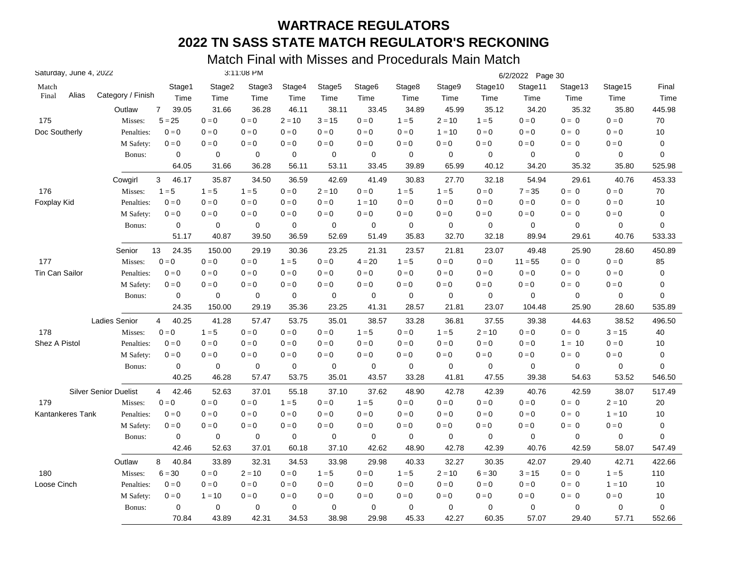|                       | Saturday, June 4, 2022       |                         |             | 3:11:08 PM  |             |                           |                    |                         |             |                         | 6/2/2022 Page 30          |             |             |             |
|-----------------------|------------------------------|-------------------------|-------------|-------------|-------------|---------------------------|--------------------|-------------------------|-------------|-------------------------|---------------------------|-------------|-------------|-------------|
| Match                 |                              | Stage1                  | Stage2      | Stage3      | Stage4      | Stage <sub>5</sub>        | Stage <sub>6</sub> | Stage8                  | Stage9      | Stage10                 | Stage11                   | Stage13     | Stage15     | Final       |
| Alias<br>Final        | Category / Finish            | Time                    | Time        | Time        | Time        | Time                      | Time               | Time                    | Time        | Time                    | Time                      | Time        | Time        | Time        |
|                       | Outlaw                       | $\overline{7}$<br>39.05 | 31.66       | 36.28       | 46.11       | 38.11                     | 33.45              | 34.89                   | 45.99       | 35.12                   | 34.20                     | 35.32       | 35.80       | 445.98      |
| 175                   | Misses:                      | $5 = 25$                | $0 = 0$     | $0 = 0$     | $2 = 10$    | $3 = 15$                  | $0 = 0$            | $1 = 5$                 | $2 = 10$    | $1 = 5$                 | $0 = 0$                   | $0 = 0$     | $0 = 0$     | 70          |
| Doc Southerly         | Penalties:                   | $0 = 0$                 | $0 = 0$     | $0 = 0$     | $0 = 0$     | $0 = 0$                   | $0 = 0$            | $0 = 0$                 | $1 = 10$    | $0 = 0$                 | $0 = 0$                   | $0 = 0$     | $0 = 0$     | 10          |
|                       | M Safety:                    | $0 = 0$                 | $0 = 0$     | $0 = 0$     | $0 = 0$     | $0 = 0$                   | $0 = 0$            | $0 = 0$                 | $0 = 0$     | $0 = 0$                 | $0 = 0$                   | $0 = 0$     | $0 = 0$     | $\mathbf 0$ |
|                       | Bonus:                       | $\mathbf 0$             | 0           | $\mathbf 0$ | $\mathbf 0$ | $\mathbf 0$               | $\mathbf 0$        | $\mathbf 0$             | $\mathbf 0$ | $\mathbf 0$             | $\mathbf 0$               | $\mathbf 0$ | 0           | $\mathbf 0$ |
|                       |                              | 64.05                   | 31.66       | 36.28       | 56.11       | 53.11                     | 33.45              | 39.89                   | 65.99       | 40.12                   | 34.20                     | 35.32       | 35.80       | 525.98      |
|                       | Cowgirl                      | 3<br>46.17              | 35.87       | 34.50       | 36.59       | 42.69                     | 41.49              | 30.83                   | 27.70       | 32.18                   | 54.94                     | 29.61       | 40.76       | 453.33      |
| 176                   | Misses:                      | $1 = 5$                 | $1 = 5$     | $1 = 5$     | $0 = 0$     | $2 = 10$                  | $0 = 0$            | $1 = 5$                 | $1 = 5$     | $0 = 0$                 | $7 = 35$                  | $0 = 0$     | $0 = 0$     | 70          |
| Foxplay Kid           | Penalties:                   | $0 = 0$                 | $0 = 0$     | $0 = 0$     | $0 = 0$     | $0 = 0$                   | $1 = 10$           | $0 = 0$                 | $0 = 0$     | $0 = 0$                 | $0 = 0$                   | $0 = 0$     | $0 = 0$     | 10          |
|                       | M Safety:                    | $0 = 0$                 | $0 = 0$     | $0 = 0$     | $0 = 0$     | $\mathbf{0} = \mathbf{0}$ | $0 = 0$            | $0 = 0$                 | $0 = 0$     | $0 = 0$                 | $0 = 0$                   | $0 = 0$     | $0 = 0$     | $\mathbf 0$ |
|                       | Bonus:                       | 0                       | 0           | $\mathbf 0$ | $\mathbf 0$ | $\mathbf 0$               | $\mathbf 0$        | $\mathbf 0$             | 0           | $\mathbf 0$             | $\mathbf 0$               | 0           | 0           | $\mathbf 0$ |
|                       |                              | 51.17                   | 40.87       | 39.50       | 36.59       | 52.69                     | 51.49              | 35.83                   | 32.70       | 32.18                   | 89.94                     | 29.61       | 40.76       | 533.33      |
|                       | Senior                       | 13<br>24.35             | 150.00      | 29.19       | 30.36       | 23.25                     | 21.31              | 23.57                   | 21.81       | 23.07                   | 49.48                     | 25.90       | 28.60       | 450.89      |
| 177                   | Misses:                      | $0 = 0$                 | $0 = 0$     | $0 = 0$     | $1 = 5$     | $0 = 0$                   | $4 = 20$           | $1 = 5$                 | $0 = 0$     | $0 = 0$                 | $11 = 55$                 | $0 = 0$     | $0 = 0$     | 85          |
| <b>Tin Can Sailor</b> | Penalties:                   | $0 = 0$                 | $0 = 0$     | $0 = 0$     | $0 = 0$     | $0 = 0$                   | $0 = 0$            | $0 = 0$                 | $0 = 0$     | $0 = 0$                 | $0 = 0$                   | $0 = 0$     | $0 = 0$     | $\mathbf 0$ |
|                       | M Safety:                    | $0 = 0$                 | $0 = 0$     | $0 = 0$     | $0 = 0$     | $0 = 0$                   | $0 = 0$            | $0 = 0$                 | $0 = 0$     | $0 = 0$                 | $0=0$                     | $0 = 0$     | $0 = 0$     | $\mathbf 0$ |
|                       | Bonus:                       | $\mathbf 0$             | 0           | 0           | 0           | 0                         | 0                  | $\mathbf 0$             | $\mathbf 0$ | $\mathbf 0$             | $\mathbf 0$               | $\mathbf 0$ | 0           | $\mathbf 0$ |
|                       |                              | 24.35                   | 150.00      | 29.19       | 35.36       | 23.25                     | 41.31              | 28.57                   | 21.81       | 23.07                   | 104.48                    | 25.90       | 28.60       | 535.89      |
|                       | <b>Ladies Senior</b>         | 40.25<br>$\overline{4}$ | 41.28       | 57.47       | 53.75       | 35.01                     | 38.57              | 33.28                   | 36.81       | 37.55                   | 39.38                     | 44.63       | 38.52       | 496.50      |
| 178                   | Misses:                      | $0 = 0$                 | $1 = 5$     | $0 = 0$     | $0 = 0$     | $0 = 0$                   | $1 = 5$            | $0 = 0$                 | $1 = 5$     | $2 = 10$                | $0 = 0$                   | $0 = 0$     | $3 = 15$    | 40          |
| Shez A Pistol         | Penalties:                   | $0 = 0$                 | $0 = 0$     | $0 = 0$     | $0 = 0$     | $0 = 0$                   | $0=0$              | $0 = 0$                 | $0=0$       | $0 = 0$                 | $0 = 0$                   | $1 = 10$    | $0 = 0$     | 10          |
|                       | M Safety:                    | $0 = 0$                 | $0 = 0$     | $0 = 0$     | $0 = 0$     | $0 = 0$                   | $0=0$              | $0 = 0$                 | $0=0$       | $0 = 0$                 | $0 = 0$                   | $0 = 0$     | $0=0$       | $\mathbf 0$ |
|                       | Bonus:                       | $\mathbf 0$             | $\mathbf 0$ | $\mathbf 0$ | $\mathbf 0$ | $\mathbf 0$               | $\mathbf 0$        | $\mathbf 0$             | $\mathbf 0$ | $\mathbf 0$             | $\mathbf 0$               | $\mathbf 0$ | $\mathbf 0$ | $\mathbf 0$ |
|                       |                              | 40.25                   | 46.28       | 57.47       | 53.75       | 35.01                     | 43.57              | 33.28                   | 41.81       | 47.55                   | 39.38                     | 54.63       | 53.52       | 546.50      |
|                       | <b>Silver Senior Duelist</b> | 42.46<br>$\overline{4}$ | 52.63       | 37.01       | 55.18       | 37.10                     | 37.62              | 48.90                   | 42.78       | 42.39                   | 40.76                     | 42.59       | 38.07       | 517.49      |
| 179                   | Misses:                      | $0 = 0$                 | $0=0$       | $0 = 0$     | $1 = 5$     | $0 = 0$                   | $1 = 5$            | $\mathbf{0}=\mathbf{0}$ | $0 = 0$     | $\mathbf{0}=\mathbf{0}$ | $\mathbf{0} = \mathbf{0}$ | $0 = 0$     | $2 = 10$    | 20          |
| Kantankeres Tank      | Penalties:                   | $0 = 0$                 | $0 = 0$     | $0 = 0$     | $0 = 0$     | $0 = 0$                   | $0 = 0$            | $0 = 0$                 | $0 = 0$     | $0 = 0$                 | $0 = 0$                   | $0 = 0$     | $1 = 10$    | 10          |
|                       | M Safety:                    | $\mathbf{0}=\mathbf{0}$ | $0 = 0$     | $0 = 0$     | $0 = 0$     | $0 = 0$                   | $0 = 0$            | $0 = 0$                 | $0 = 0$     | $0 = 0$                 | $0 = 0$                   | $0 = 0$     | $0=0$       | 0           |
|                       | Bonus:                       | $\mathbf 0$             | $\mathbf 0$ | $\mathbf 0$ | 0           | 0                         | 0                  | 0                       | 0           | $\mathbf 0$             | $\mathbf 0$               | $\mathbf 0$ | 0           | 0           |
|                       |                              | 42.46                   | 52.63       | 37.01       | 60.18       | 37.10                     | 42.62              | 48.90                   | 42.78       | 42.39                   | 40.76                     | 42.59       | 58.07       | 547.49      |
|                       | Outlaw                       | 8<br>40.84              | 33.89       | 32.31       | 34.53       | 33.98                     | 29.98              | 40.33                   | 32.27       | 30.35                   | 42.07                     | 29.40       | 42.71       | 422.66      |
| 180                   | Misses:                      | $6 = 30$                | $0 = 0$     | $2 = 10$    | $0 = 0$     | $1 = 5$                   | $0=0$              | $1 = 5$                 | $2 = 10$    | $6 = 30$                | $3 = 15$                  | $0 = 0$     | $1 = 5$     | 110         |
| Loose Cinch           | Penalties:                   | $0 = 0$                 | $0 = 0$     | $0 = 0$     | $0 = 0$     | $0 = 0$                   | $0 = 0$            | $0 = 0$                 | $0 = 0$     | $0 = 0$                 | $0 = 0$                   | $0 = 0$     | $1 = 10$    | 10          |
|                       | M Safety:                    | $0 = 0$                 | $1 = 10$    | $0 = 0$     | $0 = 0$     | $0 = 0$                   | $0 = 0$            | $0 = 0$                 | $0 = 0$     | $0 = 0$                 | $0 = 0$                   | $0 = 0$     | $0=0$       | 10          |
|                       | Bonus:                       | $\mathbf 0$             | 0           | 0           | $\mathbf 0$ | 0                         | 0                  | $\mathbf 0$             | 0           | $\mathbf 0$             | $\mathbf 0$               | $\mathbf 0$ | 0           | $\mathbf 0$ |
|                       |                              | 70.84                   | 43.89       | 42.31       | 34.53       | 38.98                     | 29.98              | 45.33                   | 42.27       | 60.35                   | 57.07                     | 29.40       | 57.71       | 552.66      |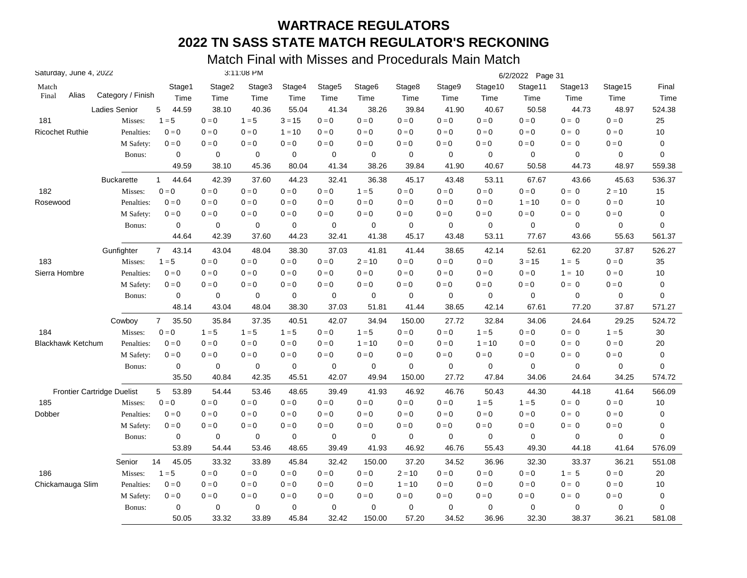| Saturday, June 4, 2022            |                      |                       |             | 3:11:08 PM  |          |                    |             |             |         |             | 6/2/2022 Page 31 |             |          |             |
|-----------------------------------|----------------------|-----------------------|-------------|-------------|----------|--------------------|-------------|-------------|---------|-------------|------------------|-------------|----------|-------------|
| Match                             |                      | Stage1                | Stage2      | Stage3      | Stage4   | Stage <sub>5</sub> | Stage6      | Stage8      | Stage9  | Stage10     | Stage11          | Stage13     | Stage15  | Final       |
| Alias<br>Final                    | Category / Finish    | Time                  | Time        | Time        | Time     | Time               | Time        | Time        | Time    | Time        | Time             | Time        | Time     | Time        |
|                                   | <b>Ladies Senior</b> | 44.59<br>5            | 38.10       | 40.36       | 55.04    | 41.34              | 38.26       | 39.84       | 41.90   | 40.67       | 50.58            | 44.73       | 48.97    | 524.38      |
| 181                               | Misses:              | $1 = 5$               | $0=0$       | $1 = 5$     | $3 = 15$ | $0 = 0$            | $0 = 0$     | $0 = 0$     | $0 = 0$ | $0=0$       | $0=0$            | $0 = 0$     | $0 = 0$  | 25          |
| <b>Ricochet Ruthie</b>            | Penalties:           | $0 = 0$               | $0 = 0$     | $0 = 0$     | $1 = 10$ | $0 = 0$            | $0 = 0$     | $0 = 0$     | $0 = 0$ | $0 = 0$     | $0 = 0$          | $0 = 0$     | $0 = 0$  | 10          |
|                                   | M Safety:            | $0 = 0$               | $0=0$       | $0=0$       | $0 = 0$  | $0 = 0$            | $0 = 0$     | $0 = 0$     | $0 = 0$ | $0 = 0$     | $0 = 0$          | $0 = 0$     | $0 = 0$  | 0           |
|                                   | Bonus:               | $\mathbf 0$           | $\mathbf 0$ | 0           | 0        | 0                  | 0           | $\mathbf 0$ | 0       | 0           | $\mathbf 0$      | $\mathbf 0$ | 0        | 0           |
|                                   |                      | 49.59                 | 38.10       | 45.36       | 80.04    | 41.34              | 38.26       | 39.84       | 41.90   | 40.67       | 50.58            | 44.73       | 48.97    | 559.38      |
|                                   | <b>Buckarette</b>    | 44.64<br>$\mathbf{1}$ | 42.39       | 37.60       | 44.23    | 32.41              | 36.38       | 45.17       | 43.48   | 53.11       | 67.67            | 43.66       | 45.63    | 536.37      |
| 182                               | Misses:              | $0 = 0$               | $0=0$       | $0 = 0$     | $0 = 0$  | $0=0$              | $1 = 5$     | $0 = 0$     | $0=0$   | $0=0$       | $0=0$            | $0 = 0$     | $2 = 10$ | 15          |
| Rosewood                          | Penalties:           | $0 = 0$               | $0 = 0$     | $0 = 0$     | $0 = 0$  | $0 = 0$            | $0 = 0$     | $0 = 0$     | $0 = 0$ | $0 = 0$     | $1 = 10$         | $0 = 0$     | $0 = 0$  | 10          |
|                                   | M Safety:            | $0 = 0$               | $0 = 0$     | $0 = 0$     | $0 = 0$  | $0 = 0$            | $0 = 0$     | $0 = 0$     | $0 = 0$ | $0 = 0$     | $0 = 0$          | $0 = 0$     | $0 = 0$  | 0           |
|                                   | Bonus:               | 0                     | $\mathbf 0$ | 0           | 0        | 0                  | $\mathbf 0$ | $\mathbf 0$ | 0       | 0           | $\mathbf 0$      | $\mathbf 0$ | 0        | 0           |
|                                   |                      | 44.64                 | 42.39       | 37.60       | 44.23    | 32.41              | 41.38       | 45.17       | 43.48   | 53.11       | 77.67            | 43.66       | 55.63    | 561.37      |
|                                   | Gunfighter           | $7^{\circ}$<br>43.14  | 43.04       | 48.04       | 38.30    | 37.03              | 41.81       | 41.44       | 38.65   | 42.14       | 52.61            | 62.20       | 37.87    | 526.27      |
| 183                               | Misses:              | $1 = 5$               | $0 = 0$     | $0 = 0$     | $0 = 0$  | $0 = 0$            | $2 = 10$    | $0 = 0$     | $0 = 0$ | $0 = 0$     | $3 = 15$         | $1 = 5$     | $0 = 0$  | 35          |
| Sierra Hombre                     | Penalties:           | $0 = 0$               | $0 = 0$     | $0 = 0$     | $0 = 0$  | $0 = 0$            | $0 = 0$     | $0 = 0$     | $0 = 0$ | $0 = 0$     | $0 = 0$          | $1 = 10$    | $0 = 0$  | 10          |
|                                   | M Safety:            | $0 = 0$               | $0 = 0$     | $0 = 0$     | $0 = 0$  | $0 = 0$            | $0 = 0$     | $0 = 0$     | $0 = 0$ | $0 = 0$     | $0 = 0$          | $0 = 0$     | $0 = 0$  | 0           |
|                                   | Bonus:               | 0                     | 0           | 0           | 0        | 0                  | 0           | $\mathbf 0$ | 0       | 0           | 0                | 0           | 0        | $\mathbf 0$ |
|                                   |                      | 48.14                 | 43.04       | 48.04       | 38.30    | 37.03              | 51.81       | 41.44       | 38.65   | 42.14       | 67.61            | 77.20       | 37.87    | 571.27      |
|                                   | Cowboy               | $7^{\circ}$<br>35.50  | 35.84       | 37.35       | 40.51    | 42.07              | 34.94       | 150.00      | 27.72   | 32.84       | 34.06            | 24.64       | 29.25    | 524.72      |
| 184                               | Misses:              | $0 = 0$               | $1 = 5$     | $1 = 5$     | $1 = 5$  | $0 = 0$            | $1 = 5$     | $0 = 0$     | $0 = 0$ | $1 = 5$     | $0 = 0$          | $0 = 0$     | $1 = 5$  | 30          |
| <b>Blackhawk Ketchum</b>          | Penalties:           | $0 = 0$               | $0 = 0$     | $0 = 0$     | $0 = 0$  | $0 = 0$            | $1 = 10$    | $0 = 0$     | $0 = 0$ | $1 = 10$    | $0 = 0$          | $0 = 0$     | $0 = 0$  | 20          |
|                                   | M Safety:            | $0 = 0$               | $0 = 0$     | $0 = 0$     | $0=0$    | $0=0$              | $0 = 0$     | $0 = 0$     | $0 = 0$ | $0 = 0$     | $0 = 0$          | $0 = 0$     | $0 = 0$  | 0           |
|                                   | Bonus:               | $\mathbf 0$           | $\mathbf 0$ | $\mathbf 0$ | 0        | $\mathbf 0$        | $\mathbf 0$ | $\mathbf 0$ | 0       | 0           | $\mathbf 0$      | $\mathbf 0$ | 0        | 0           |
|                                   |                      | 35.50                 | 40.84       | 42.35       | 45.51    | 42.07              | 49.94       | 150.00      | 27.72   | 47.84       | 34.06            | 24.64       | 34.25    | 574.72      |
| <b>Frontier Cartridge Duelist</b> |                      | 5<br>53.89            | 54.44       | 53.46       | 48.65    | 39.49              | 41.93       | 46.92       | 46.76   | 50.43       | 44.30            | 44.18       | 41.64    | 566.09      |
| 185                               | Misses:              | $0 = 0$               | $0 = 0$     | $0 = 0$     | $0 = 0$  | $0 = 0$            | $0 = 0$     | $0 = 0$     | $0 = 0$ | $1 = 5$     | $1 = 5$          | $0 = 0$     | $0 = 0$  | 10          |
| Dobber                            | Penalties:           | $0 = 0$               | $0 = 0$     | $0 = 0$     | $0 = 0$  | $0 = 0$            | $0 = 0$     | $0 = 0$     | $0 = 0$ | $0 = 0$     | $0 = 0$          | $0 = 0$     | $0 = 0$  | 0           |
|                                   | M Safety:            | $0 = 0$               | $0 = 0$     | $0 = 0$     | $0 = 0$  | $0 = 0$            | $0 = 0$     | $0 = 0$     | $0 = 0$ | $0 = 0$     | $0 = 0$          | $0 = 0$     | $0 = 0$  | 0           |
|                                   | Bonus:               | $\mathbf 0$           | $\mathbf 0$ | 0           | 0        | 0                  | 0           | $\mathbf 0$ | 0       | $\mathbf 0$ | $\mathbf 0$      | 0           | 0        | 0           |
|                                   |                      | 53.89                 | 54.44       | 53.46       | 48.65    | 39.49              | 41.93       | 46.92       | 46.76   | 55.43       | 49.30            | 44.18       | 41.64    | 576.09      |
|                                   | Senior               | 14<br>45.05           | 33.32       | 33.89       | 45.84    | 32.42              | 150.00      | 37.20       | 34.52   | 36.96       | 32.30            | 33.37       | 36.21    | 551.08      |
| 186                               | Misses:              | $1 = 5$               | $0 = 0$     | $0 = 0$     | $0 = 0$  | $0=0$              | $0 = 0$     | $2 = 10$    | $0 = 0$ | $0 = 0$     | $0 = 0$          | $1 = 5$     | $0 = 0$  | 20          |
| Chickamauga Slim                  | Penalties:           | $0 = 0$               | $0 = 0$     | $0 = 0$     | $0 = 0$  | $0 = 0$            | $0 = 0$     | $1 = 10$    | $0 = 0$ | $0 = 0$     | $0 = 0$          | $0 = 0$     | $0 = 0$  | 10          |
|                                   | M Safety:            | $0 = 0$               | $0 = 0$     | $0 = 0$     | $0 = 0$  | $0 = 0$            | $0 = 0$     | $0 = 0$     | $0 = 0$ | $0 = 0$     | $0 = 0$          | $0 = 0$     | $0 = 0$  | 0           |
|                                   | Bonus:               | 0                     | $\mathbf 0$ | 0           | 0        | 0                  | $\mathbf 0$ | $\mathbf 0$ | 0       | 0           | $\mathbf 0$      | 0           | 0        | 0           |
|                                   |                      | 50.05                 | 33.32       | 33.89       | 45.84    | 32.42              | 150.00      | 57.20       | 34.52   | 36.96       | 32.30            | 38.37       | 36.21    | 581.08      |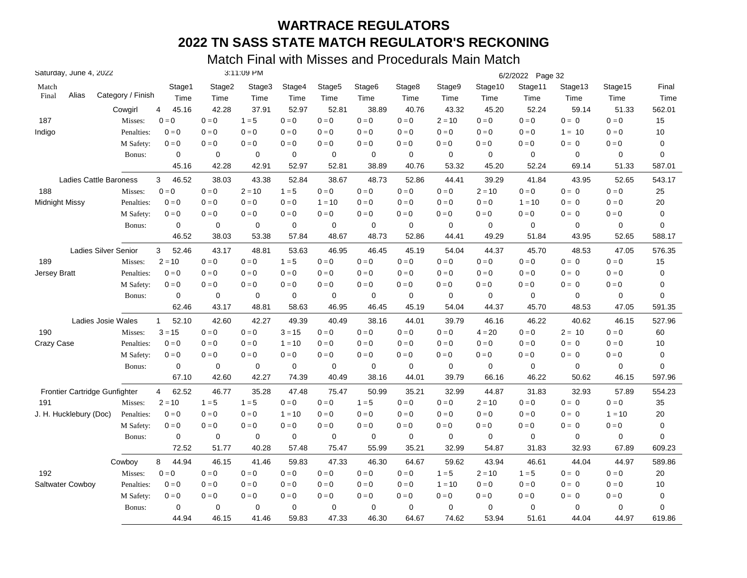| Saturday, June 4, 2022               |                             |                       |             | 3:11:09 PM  |             |                    |                    |             |             |             | 6/2/2022 Page 32 |             |          |             |
|--------------------------------------|-----------------------------|-----------------------|-------------|-------------|-------------|--------------------|--------------------|-------------|-------------|-------------|------------------|-------------|----------|-------------|
| Match                                |                             | Stage1                | Stage2      | Stage3      | Stage4      | Stage <sub>5</sub> | Stage <sub>6</sub> | Stage8      | Stage9      | Stage10     | Stage11          | Stage13     | Stage15  | Final       |
| Alias<br>Final                       | Category / Finish           | Time                  | Time        | Time        | Time        | Time               | Time               | Time        | Time        | Time        | Time             | Time        | Time     | Time        |
|                                      | Cowgirl                     | 45.16<br>4            | 42.28       | 37.91       | 52.97       | 52.81              | 38.89              | 40.76       | 43.32       | 45.20       | 52.24            | 59.14       | 51.33    | 562.01      |
| 187                                  | Misses:                     | $0 = 0$               | $0=0$       | $1 = 5$     | $0 = 0$     | $0 = 0$            | $0 = 0$            | $0 = 0$     | $2 = 10$    | $0 = 0$     | $0=0$            | $0 = 0$     | $0 = 0$  | 15          |
| Indigo                               | Penalties:                  | $0 = 0$               | $0 = 0$     | $0 = 0$     | $0 = 0$     | $0 = 0$            | $0 = 0$            | $0 = 0$     | $0 = 0$     | $0 = 0$     | $0 = 0$          | $1 = 10$    | $0 = 0$  | 10          |
|                                      | M Safety:                   | $0 = 0$               | $0=0$       | $0 = 0$     | $0 = 0$     | $0=0$              | $0 = 0$            | $0 = 0$     | $0 = 0$     | $0 = 0$     | $0 = 0$          | $0 = 0$     | $0=0$    | 0           |
|                                      | Bonus:                      | 0                     | 0           | $\mathbf 0$ | $\mathbf 0$ | 0                  | 0                  | $\mathbf 0$ | 0           | 0           | $\mathbf 0$      | $\mathbf 0$ | 0        | 0           |
|                                      |                             | 45.16                 | 42.28       | 42.91       | 52.97       | 52.81              | 38.89              | 40.76       | 53.32       | 45.20       | 52.24            | 69.14       | 51.33    | 587.01      |
| Ladies Cattle Baroness               |                             | 3<br>46.52            | 38.03       | 43.38       | 52.84       | 38.67              | 48.73              | 52.86       | 44.41       | 39.29       | 41.84            | 43.95       | 52.65    | 543.17      |
| 188                                  | Misses:                     | $0 = 0$               | $0=0$       | $2 = 10$    | $1 = 5$     | $0=0$              | $0 = 0$            | $0 = 0$     | $0=0$       | $2 = 10$    | $0=0$            | $0 = 0$     | $0 = 0$  | 25          |
| Midnight Missy                       | Penalties:                  | $0 = 0$               | $0 = 0$     | $0 = 0$     | $0 = 0$     | $1 = 10$           | $0 = 0$            | $0 = 0$     | $0 = 0$     | $0 = 0$     | $1 = 10$         | $0 = 0$     | $0 = 0$  | 20          |
|                                      | M Safety:                   | $0 = 0$               | $0 = 0$     | $0 = 0$     | $0 = 0$     | $0 = 0$            | $0 = 0$            | $0 = 0$     | $0 = 0$     | $0 = 0$     | $0 = 0$          | $0 = 0$     | $0 = 0$  | 0           |
|                                      | Bonus:                      | $\mathbf 0$           | $\mathbf 0$ | $\mathbf 0$ | $\mathbf 0$ | 0                  | 0                  | 0           | 0           | 0           | $\mathbf 0$      | 0           | 0        | 0           |
|                                      |                             | 46.52                 | 38.03       | 53.38       | 57.84       | 48.67              | 48.73              | 52.86       | 44.41       | 49.29       | 51.84            | 43.95       | 52.65    | 588.17      |
|                                      | <b>Ladies Silver Senior</b> | 52.46<br>3            | 43.17       | 48.81       | 53.63       | 46.95              | 46.45              | 45.19       | 54.04       | 44.37       | 45.70            | 48.53       | 47.05    | 576.35      |
| 189                                  | Misses:                     | $2 = 10$              | $0 = 0$     | $0 = 0$     | $1 = 5$     | $0 = 0$            | $0 = 0$            | $0 = 0$     | $0 = 0$     | $0 = 0$     | $0 = 0$          | $0 = 0$     | $0=0$    | 15          |
| Jersey Bratt                         | Penalties:                  | $0 = 0$               | $0 = 0$     | $0 = 0$     | $0 = 0$     | $0 = 0$            | $0 = 0$            | $0 = 0$     | $0 = 0$     | $0 = 0$     | $0 = 0$          | $0 = 0$     | $0 = 0$  | 0           |
|                                      | M Safety:                   | $0=0$                 | $0 = 0$     | $0 = 0$     | $0 = 0$     | $0 = 0$            | $0 = 0$            | $0 = 0$     | $0 = 0$     | $0 = 0$     | $0 = 0$          | $0 = 0$     | $0 = 0$  | 0           |
|                                      | Bonus:                      | 0                     | 0           | 0           | $\mathbf 0$ | 0                  | 0                  | 0           | 0           | 0           | 0                | 0           | 0        | $\mathbf 0$ |
|                                      |                             | 62.46                 | 43.17       | 48.81       | 58.63       | 46.95              | 46.45              | 45.19       | 54.04       | 44.37       | 45.70            | 48.53       | 47.05    | 591.35      |
|                                      | Ladies Josie Wales          | 52.10<br>$\mathbf{1}$ | 42.60       | 42.27       | 49.39       | 40.49              | 38.16              | 44.01       | 39.79       | 46.16       | 46.22            | 40.62       | 46.15    | 527.96      |
| 190                                  | Misses:                     | $3 = 15$              | $0 = 0$     | $0 = 0$     | $3 = 15$    | $0 = 0$            | $0 = 0$            | $0 = 0$     | $0 = 0$     | $4 = 20$    | $0 = 0$          | $2 = 10$    | $0=0$    | 60          |
| Crazy Case                           | Penalties:                  | $0 = 0$               | $0 = 0$     | $0 = 0$     | $1 = 10$    | $0 = 0$            | $0 = 0$            | $0 = 0$     | $0 = 0$     | $0 = 0$     | $0 = 0$          | $0 = 0$     | $0 = 0$  | 10          |
|                                      | M Safety:                   | $0 = 0$               | $0 = 0$     | $0 = 0$     | $0 = 0$     | $0 = 0$            | $0 = 0$            | $0 = 0$     | $0 = 0$     | $0 = 0$     | $0 = 0$          | $0 = 0$     | $0 = 0$  | 0           |
|                                      | Bonus:                      | $\mathbf 0$           | $\mathbf 0$ | $\mathbf 0$ | $\mathbf 0$ | $\mathbf 0$        | $\mathbf 0$        | $\mathbf 0$ | 0           | $\mathbf 0$ | $\mathbf 0$      | $\mathbf 0$ | 0        | 0           |
|                                      |                             | 67.10                 | 42.60       | 42.27       | 74.39       | 40.49              | 38.16              | 44.01       | 39.79       | 66.16       | 46.22            | 50.62       | 46.15    | 597.96      |
| <b>Frontier Cartridge Gunfighter</b> |                             | 62.52<br>4            | 46.77       | 35.28       | 47.48       | 75.47              | 50.99              | 35.21       | 32.99       | 44.87       | 31.83            | 32.93       | 57.89    | 554.23      |
| 191                                  | Misses:                     | $2 = 10$              | $1 = 5$     | $1 = 5$     | $0 = 0$     | $0=0$              | $1 = 5$            | $0 = 0$     | $0 = 0$     | $2 = 10$    | $0 = 0$          | $0 = 0$     | $0 = 0$  | 35          |
| J. H. Hucklebury (Doc)               | Penalties:                  | $0 = 0$               | $0 = 0$     | $0 = 0$     | $1 = 10$    | $0 = 0$            | $0 = 0$            | $0 = 0$     | $0 = 0$     | $0 = 0$     | $0 = 0$          | $0 = 0$     | $1 = 10$ | 20          |
|                                      | M Safety:                   | $0 = 0$               | $0 = 0$     | $0 = 0$     | $0 = 0$     | $0 = 0$            | $0 = 0$            | $0 = 0$     | $0 = 0$     | $0 = 0$     | $0 = 0$          | $0 = 0$     | $0 = 0$  | 0           |
|                                      | Bonus:                      | $\mathbf 0$           | $\mathbf 0$ | 0           | 0           | 0                  | 0                  | $\mathbf 0$ | 0           | 0           | $\mathbf 0$      | 0           | 0        | 0           |
|                                      |                             | 72.52                 | 51.77       | 40.28       | 57.48       | 75.47              | 55.99              | 35.21       | 32.99       | 54.87       | 31.83            | 32.93       | 67.89    | 609.23      |
|                                      | Cowboy                      | 44.94<br>8            | 46.15       | 41.46       | 59.83       | 47.33              | 46.30              | 64.67       | 59.62       | 43.94       | 46.61            | 44.04       | 44.97    | 589.86      |
| 192                                  | Misses:                     | $0 = 0$               | $0 = 0$     | $0 = 0$     | $0 = 0$     | $0 = 0$            | $0 = 0$            | $0 = 0$     | $1 = 5$     | $2 = 10$    | $1 = 5$          | $0 = 0$     | $0 = 0$  | 20          |
| Saltwater Cowboy                     | Penalties:                  | $0=0$                 | $0 = 0$     | $0 = 0$     | $0 = 0$     | $0 = 0$            | $0 = 0$            | $0 = 0$     | $1 = 10$    | $0 = 0$     | $0 = 0$          | $0 = 0$     | $0 = 0$  | 10          |
|                                      | M Safety:                   | $0 = 0$               | $0 = 0$     | $0 = 0$     | $0 = 0$     | $0 = 0$            | $0 = 0$            | $0 = 0$     | $0 = 0$     | $0 = 0$     | $0 = 0$          | $0 = 0$     | $0 = 0$  | 0           |
|                                      | Bonus:                      | 0                     | $\mathbf 0$ | 0           | $\mathbf 0$ | $\mathbf 0$        | $\mathbf 0$        | $\mathbf 0$ | $\mathbf 0$ | $\mathbf 0$ | $\mathbf 0$      | 0           | 0        | 0           |
|                                      |                             | 44.94                 | 46.15       | 41.46       | 59.83       | 47.33              | 46.30              | 64.67       | 74.62       | 53.94       | 51.61            | 44.04       | 44.97    | 619.86      |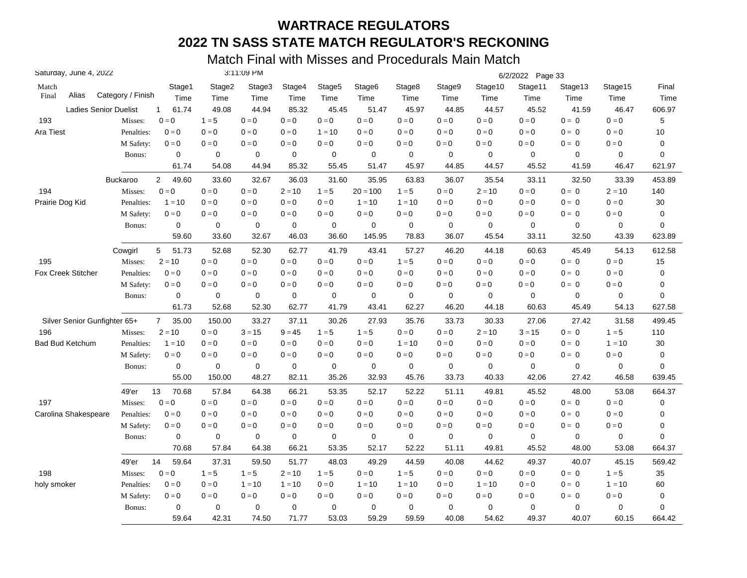| Saturday, June 4, 2022       |                   |                         | 3:11:09 PM  |             |                         |             |             |             |                         | 6/2/2022 Page 33 |                         |             |          |                  |
|------------------------------|-------------------|-------------------------|-------------|-------------|-------------------------|-------------|-------------|-------------|-------------------------|------------------|-------------------------|-------------|----------|------------------|
| Match                        |                   | Stage1                  | Stage2      | Stage3      | Stage4                  | Stage5      | Stage6      | Stage8      | Stage9                  | Stage10          | Stage11                 | Stage13     | Stage15  | Final            |
| Alias<br>Final               | Category / Finish | Time                    | Time        | Time        | Time                    | Time        | Time        | Time        | Time                    | Time             | Time                    | Time        | Time     | Time             |
| <b>Ladies Senior Duelist</b> |                   | 61.74<br>$\mathbf{1}$   | 49.08       | 44.94       | 85.32                   | 45.45       | 51.47       | 45.97       | 44.85                   | 44.57            | 45.52                   | 41.59       | 46.47    | 606.97           |
| 193                          | Misses:           | $0 = 0$                 | $1 = 5$     | $0 = 0$     | $0 = 0$                 | $0 = 0$     | $0 = 0$     | $0 = 0$     | $0 = 0$                 | $0 = 0$          | $0=0$                   | $0 = 0$     | $0 = 0$  | 5                |
| Ara Tiest                    | Penalties:        | $0 = 0$                 | $0 = 0$     | $0 = 0$     | $0 = 0$                 | $1 = 10$    | $0 = 0$     | $0 = 0$     | $0 = 0$                 | $0 = 0$          | $0=0$                   | $0 = 0$     | $0 = 0$  | 10               |
|                              | M Safety:         | $0 = 0$                 | $0=0$       | $0=0$       | $0 = 0$                 | $0 = 0$     | $0 = 0$     | $0 = 0$     | $0 = 0$                 | $0 = 0$          | $0 = 0$                 | $0 = 0$     | $0 = 0$  | $\mathbf 0$      |
|                              | Bonus:            | $\mathbf 0$             | $\mathbf 0$ | $\mathbf 0$ | $\mathbf 0$             | $\mathbf 0$ | 0           | $\mathbf 0$ | $\mathbf 0$             | $\mathbf 0$      | $\mathbf 0$             | 0           | 0        | $\mathbf 0$      |
|                              |                   | 61.74                   | 54.08       | 44.94       | 85.32                   | 55.45       | 51.47       | 45.97       | 44.85                   | 44.57            | 45.52                   | 41.59       | 46.47    | 621.97           |
|                              | Buckaroo          | $\overline{2}$<br>49.60 | 33.60       | 32.67       | 36.03                   | 31.60       | 35.95       | 63.83       | 36.07                   | 35.54            | 33.11                   | 32.50       | 33.39    | 453.89           |
| 194                          | Misses:           | $0 = 0$                 | $0=0$       | $0 = 0$     | $2 = 10$                | $1 = 5$     | $20 = 100$  | $1 = 5$     | $\mathbf{0}=\mathbf{0}$ | $2 = 10$         | $\mathbf{0}=\mathbf{0}$ | $0 = 0$     | $2 = 10$ | 140              |
| Prairie Dog Kid              | Penalties:        | $1 = 10$                | $0 = 0$     | $0 = 0$     | $0 = 0$                 | $0=0$       | $1 = 10$    | $1 = 10$    | $0 = 0$                 | $0 = 0$          | $0 = 0$                 | $0 = 0$     | $0 = 0$  | 30               |
|                              | M Safety:         | $0 = 0$                 | $0=0$       | $0 = 0$     | $0 = 0$                 | $0=0$       | $0 = 0$     | $0 = 0$     | $0 = 0$                 | $0 = 0$          | $0 = 0$                 | $0 = 0$     | $0 = 0$  | 0                |
|                              | Bonus:            | 0                       | $\mathbf 0$ | 0           | $\mathbf 0$             | 0           | 0           | $\mathbf 0$ | 0                       | $\mathbf 0$      | $\mathbf 0$             | 0           | 0        | $\mathbf 0$      |
|                              |                   | 59.60                   | 33.60       | 32.67       | 46.03                   | 36.60       | 145.95      | 78.83       | 36.07                   | 45.54            | 33.11                   | 32.50       | 43.39    | 623.89           |
|                              | Cowgirl           | 5<br>51.73              | 52.68       | 52.30       | 62.77                   | 41.79       | 43.41       | 57.27       | 46.20                   | 44.18            | 60.63                   | 45.49       | 54.13    | 612.58           |
| 195                          | Misses:           | $2 = 10$                | $0=0$       | $0 = 0$     | $0 = 0$                 | $0 = 0$     | $0 = 0$     | $1 = 5$     | $0 = 0$                 | $0 = 0$          | $0 = 0$                 | $0 = 0$     | $0 = 0$  | 15               |
| <b>Fox Creek Stitcher</b>    | Penalties:        | $0 = 0$                 | $0 = 0$     | $0 = 0$     | $0 = 0$                 | $0=0$       | $0 = 0$     | $0 = 0$     | $0 = 0$                 | $0 = 0$          | $0 = 0$                 | $0 = 0$     | $0 = 0$  | 0                |
|                              | M Safety:         | $0 = 0$                 | $0 = 0$     | $0 = 0$     | $0 = 0$                 | $0 = 0$     | $0 = 0$     | $0 = 0$     | $0 = 0$                 | $0 = 0$          | $0 = 0$                 | $0 = 0$     | $0 = 0$  | 0                |
|                              | Bonus:            | $\mathbf 0$             | $\mathbf 0$ | 0           | $\mathbf 0$             | 0           | 0           | $\mathbf 0$ | $\mathbf 0$             | $\mathbf 0$      | $\mathbf 0$             | 0           | 0        | $\mathbf 0$      |
|                              |                   | 61.73                   | 52.68       | 52.30       | 62.77                   | 41.79       | 43.41       | 62.27       | 46.20                   | 44.18            | 60.63                   | 45.49       | 54.13    | 627.58           |
| Silver Senior Gunfighter 65+ |                   | $7^{\circ}$<br>35.00    | 150.00      | 33.27       | 37.11                   | 30.26       | 27.93       | 35.76       | 33.73                   | 30.33            | 27.06                   | 27.42       | 31.58    | 499.45           |
| 196                          | Misses:           | $2 = 10$                | $0 = 0$     | $3 = 15$    | $9 = 45$                | $1 = 5$     | $1 = 5$     | $0 = 0$     | $0 = 0$                 | $2 = 10$         | $3 = 15$                | $0 = 0$     | $1 = 5$  | 110              |
| <b>Bad Bud Ketchum</b>       | Penalties:        | $1 = 10$                | $0=0$       | $0 = 0$     | $0 = 0$                 | $0 = 0$     | $0=0$       | $1 = 10$    | $0 = 0$                 | $0 = 0$          | $0=0$                   | $0 = 0$     | $1 = 10$ | 30               |
|                              | M Safety:         | $0 = 0$                 | $0 = 0$     | $0 = 0$     | $0 = 0$                 | $0=0$       | $0 = 0$     | $0 = 0$     | $0 = 0$                 | $0 = 0$          | $0 = 0$                 | $0 = 0$     | $0=0$    | $\boldsymbol{0}$ |
|                              | Bonus:            | $\mathbf 0$             | $\mathbf 0$ | $\mathbf 0$ | $\pmb{0}$               | $\pmb{0}$   | $\pmb{0}$   | $\mathbf 0$ | $\pmb{0}$               | $\mathbf 0$      | $\mathbf 0$             | $\mathbf 0$ | 0        | $\mathbf 0$      |
|                              |                   | 55.00                   | 150.00      | 48.27       | 82.11                   | 35.26       | 32.93       | 45.76       | 33.73                   | 40.33            | 42.06                   | 27.42       | 46.58    | 639.45           |
|                              | 49'er             | 13<br>70.68             | 57.84       | 64.38       | 66.21                   | 53.35       | 52.17       | 52.22       | 51.11                   | 49.81            | 45.52                   | 48.00       | 53.08    | 664.37           |
| 197                          | Misses:           | $0 = 0$                 | $0 = 0$     | $0 = 0$     | $0 = 0$                 | $0 = 0$     | $0 = 0$     | $0 = 0$     | $0 = 0$                 | $0 = 0$          | $0 = 0$                 | $0 = 0$     | $0 = 0$  | 0                |
| Carolina Shakespeare         | Penalties:        | $0 = 0$                 | $0 = 0$     | $0 = 0$     | $0 = 0$                 | $0 = 0$     | $0 = 0$     | $0 = 0$     | $0 = 0$                 | $0 = 0$          | $0 = 0$                 | $0 = 0$     | $0 = 0$  | $\pmb{0}$        |
|                              | M Safety:         | $0 = 0$                 | $0=0$       | $0=0$       | $0 = 0$                 | $0 = 0$     | $0 = 0$     | $0 = 0$     | $0 = 0$                 | $0=0$            | $0 = 0$                 | $0 = 0$     | $0 = 0$  | 0                |
|                              | Bonus:            | 0                       | 0           | 0           | 0                       | 0           | 0           | $\mathbf 0$ | 0                       | 0                | 0                       | 0           | 0        | 0                |
|                              |                   | 70.68                   | 57.84       | 64.38       | 66.21                   | 53.35       | 52.17       | 52.22       | 51.11                   | 49.81            | 45.52                   | 48.00       | 53.08    | 664.37           |
|                              | 49'er             | 14<br>59.64             | 37.31       | 59.50       | 51.77                   | 48.03       | 49.29       | 44.59       | 40.08                   | 44.62            | 49.37                   | 40.07       | 45.15    | 569.42           |
| 198                          | Misses:           | $0 = 0$                 | $1 = 5$     | $1 = 5$     | $2 = 10$                | $1 = 5$     | $0 = 0$     | $1 = 5$     | $0 = 0$                 | $0=0$            | $0 = 0$                 | $0 = 0$     | $1 = 5$  | 35               |
| holy smoker                  | Penalties:        | $0 = 0$                 | $0=0$       | $1 = 10$    | $1 = 10$                | $0=0$       | $1 = 10$    | $1 = 10$    | $0 = 0$                 | $1 = 10$         | $0=0$                   | $0 = 0$     | $1 = 10$ | 60               |
|                              | M Safety:         | $0 = 0$                 | $0 = 0$     | $0 = 0$     | $\mathbf{0}=\mathbf{0}$ | $0=0$       | $0 = 0$     | $0 = 0$     | $\mathbf{0}=\mathbf{0}$ | $0 = 0$          | $0 = 0$                 | $0 = 0$     | $0 = 0$  | $\mathbf 0$      |
|                              | Bonus:            | $\mathbf 0$             | $\mathbf 0$ | $\mathbf 0$ | 0                       | $\mathbf 0$ | $\mathbf 0$ | $\mathbf 0$ | $\mathbf 0$             | $\mathbf 0$      | $\mathbf 0$             | 0           | 0        | 0                |
|                              |                   | 59.64                   | 42.31       | 74.50       | 71.77                   | 53.03       | 59.29       | 59.59       | 40.08                   | 54.62            | 49.37                   | 40.07       | 60.15    | 664.42           |